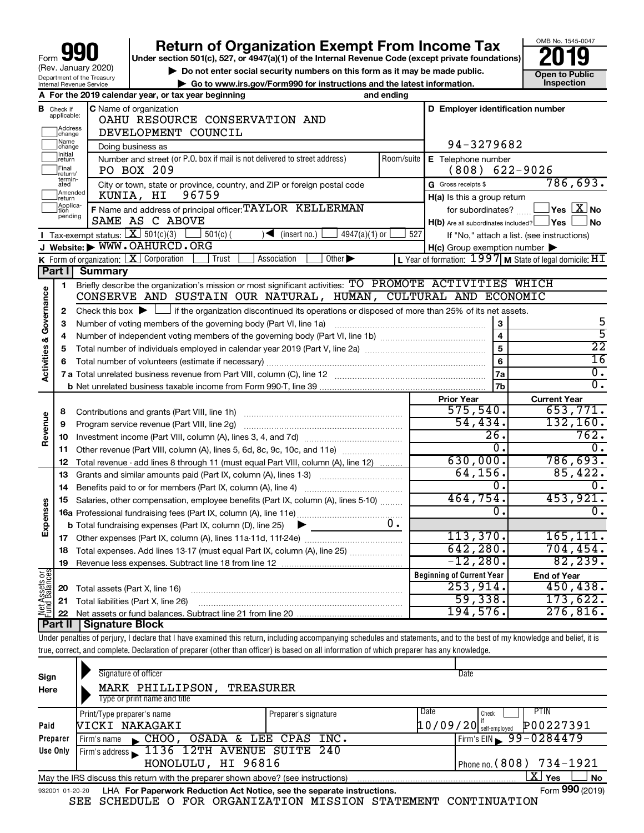# **Return of Organization Exempt From Income Tax**<br>r section 501(c), 527, or 4947(a)(1) of the Internal Revenue Code (except private foundations)<br>**2019**

**Under section 501(c), 527, or 4947(a)(1) of the Internal Revenue Code (except private foundations)**



▶ Do not enter social security numbers on this form as it may be made public. <br>**● Go to www.irs.gov/Form990 for instructions and the latest information.** Inspection **| Go to www.irs.gov/Form990 for instructions and the latest information. Inspection**

|                                |                             | A For the 2019 calendar year, or tax year beginning                                                                                         | and ending                       |                                                     |                                                             |  |  |  |
|--------------------------------|-----------------------------|---------------------------------------------------------------------------------------------------------------------------------------------|----------------------------------|-----------------------------------------------------|-------------------------------------------------------------|--|--|--|
| в                              | Check if<br>applicable:     | <b>C</b> Name of organization<br>OAHU RESOURCE CONSERVATION AND                                                                             | D Employer identification number |                                                     |                                                             |  |  |  |
|                                | Address<br>change           | DEVELOPMENT COUNCIL                                                                                                                         |                                  |                                                     |                                                             |  |  |  |
|                                | Name<br>change              | Doing business as                                                                                                                           |                                  | 94-3279682                                          |                                                             |  |  |  |
|                                | Initial<br> return          | Number and street (or P.O. box if mail is not delivered to street address)                                                                  | Room/suite                       | E Telephone number                                  |                                                             |  |  |  |
|                                | Final<br>return/<br>termin- | PO BOX 209                                                                                                                                  |                                  | (808)                                               | 622-9026                                                    |  |  |  |
|                                | ated<br>Amended             | City or town, state or province, country, and ZIP or foreign postal code                                                                    |                                  | G Gross receipts \$                                 | 786,693.                                                    |  |  |  |
|                                | Ireturn<br>Applica-         | 96759<br>KUNIA, HI                                                                                                                          |                                  | H(a) Is this a group return                         |                                                             |  |  |  |
|                                | pending                     | F Name and address of principal officer: TAYLOR KELLERMAN<br>SAME AS C ABOVE                                                                |                                  | for subordinates?                                   | $Yes$ $Xno$                                                 |  |  |  |
|                                |                             | Tax-exempt status: $X \overline{3}$ 501(c)(3)                                                                                               | 527                              | $H(b)$ Are all subordinates included? $\Box$ Yes    | ∫No                                                         |  |  |  |
|                                |                             | $\sqrt{\bullet}$ (insert no.)<br>4947(a)(1) or<br>$501(c)$ (<br>J Website: WWW.OAHURCD.ORG                                                  |                                  |                                                     | If "No," attach a list. (see instructions)                  |  |  |  |
|                                |                             | <b>K</b> Form of organization: $\boxed{\mathbf{X}}$ Corporation<br>Association<br>Other $\blacktriangleright$<br>Trust                      |                                  | $H(c)$ Group exemption number $\blacktriangleright$ | L Year of formation: $1997$ M State of legal domicile: $HT$ |  |  |  |
|                                | Part I                      | Summary                                                                                                                                     |                                  |                                                     |                                                             |  |  |  |
|                                | 1                           | Briefly describe the organization's mission or most significant activities: TO PROMOTE ACTIVITIES WHICH                                     |                                  |                                                     |                                                             |  |  |  |
| Governance                     |                             | CONSERVE AND SUSTAIN OUR NATURAL, HUMAN, CULTURAL AND ECONOMIC                                                                              |                                  |                                                     |                                                             |  |  |  |
|                                | 2                           | Check this box $\blacktriangleright$ $\Box$ if the organization discontinued its operations or disposed of more than 25% of its net assets. |                                  |                                                     |                                                             |  |  |  |
|                                | 3                           |                                                                                                                                             |                                  | 3                                                   | 5                                                           |  |  |  |
|                                | 4                           |                                                                                                                                             |                                  | $\overline{4}$                                      | 5                                                           |  |  |  |
|                                | 5                           |                                                                                                                                             |                                  | $\overline{5}$                                      | $\overline{22}$                                             |  |  |  |
|                                | 6                           |                                                                                                                                             |                                  | 6                                                   | $\overline{16}$                                             |  |  |  |
| <b>Activities &amp;</b>        |                             |                                                                                                                                             |                                  | 7a                                                  | $\overline{0}$ .                                            |  |  |  |
|                                |                             |                                                                                                                                             |                                  | 7b                                                  | $\overline{0}$ .                                            |  |  |  |
|                                |                             |                                                                                                                                             |                                  | <b>Prior Year</b>                                   | <b>Current Year</b>                                         |  |  |  |
|                                | 8                           |                                                                                                                                             |                                  | 575,540.                                            | 653,771.                                                    |  |  |  |
| Revenue                        | 9                           | Program service revenue (Part VIII, line 2g)                                                                                                |                                  | 54,434.                                             | 132, 160.                                                   |  |  |  |
|                                | 10                          |                                                                                                                                             |                                  | 26.                                                 | 762.                                                        |  |  |  |
|                                | 11                          | Other revenue (Part VIII, column (A), lines 5, 6d, 8c, 9c, 10c, and 11e)                                                                    |                                  | О.                                                  | $\overline{0}$ .                                            |  |  |  |
|                                | 12                          | Total revenue - add lines 8 through 11 (must equal Part VIII, column (A), line 12)                                                          |                                  | 630,000.                                            | 786, 693.                                                   |  |  |  |
|                                | 13                          | Grants and similar amounts paid (Part IX, column (A), lines 1-3)                                                                            |                                  | 64,156.                                             | 85,422.                                                     |  |  |  |
|                                | 14                          | Benefits paid to or for members (Part IX, column (A), line 4)                                                                               |                                  | 0.                                                  | $\mathbf{0}$ .                                              |  |  |  |
|                                | 15                          | Salaries, other compensation, employee benefits (Part IX, column (A), lines 5-10)                                                           |                                  | 464,754.                                            | 453,921.                                                    |  |  |  |
| Expenses                       |                             |                                                                                                                                             |                                  | 0.                                                  | $\overline{0}$ .                                            |  |  |  |
|                                |                             | <b>b</b> Total fundraising expenses (Part IX, column (D), line 25)                                                                          | $0 -$                            |                                                     |                                                             |  |  |  |
|                                |                             |                                                                                                                                             |                                  | 113,370.                                            | 165, 111.                                                   |  |  |  |
|                                | 18                          | Total expenses. Add lines 13-17 (must equal Part IX, column (A), line 25)                                                                   |                                  | 642, 280.                                           | 704, 454.                                                   |  |  |  |
|                                | 19                          |                                                                                                                                             |                                  | $-12,280.$                                          | 82, 239.                                                    |  |  |  |
| Net Assets or<br>Fund Balances |                             |                                                                                                                                             |                                  | <b>Beginning of Current Year</b>                    | <b>End of Year</b>                                          |  |  |  |
|                                | 20                          | Total assets (Part X, line 16)                                                                                                              |                                  | 253,914.                                            | 450, 438.                                                   |  |  |  |
|                                | 21                          | Total liabilities (Part X, line 26)                                                                                                         |                                  | 59,338.                                             | 173,622.                                                    |  |  |  |
|                                |                             | Dart II   Cianaturo Plook                                                                                                                   |                                  | 194,576.                                            | 276,816.                                                    |  |  |  |

**Part II Signature Block**

Under penalties of perjury, I declare that I have examined this return, including accompanying schedules and statements, and to the best of my knowledge and belief, it is true, correct, and complete. Declaration of preparer (other than officer) is based on all information of which preparer has any knowledge.

| Sign<br>Here                                                                                                          | Signature of officer<br>MARK PHILLIPSON,<br><b>TREASURER</b><br>Type or print name and title                 | Date                  |                                           |                          |  |  |  |  |  |
|-----------------------------------------------------------------------------------------------------------------------|--------------------------------------------------------------------------------------------------------------|-----------------------|-------------------------------------------|--------------------------|--|--|--|--|--|
| Paid                                                                                                                  | Print/Type preparer's name<br><b>NICKI NAKAGAKI</b>                                                          | Preparer's signature  | Date<br>Check<br>$10/09/20$ self-employed | <b>PTIN</b><br>P00227391 |  |  |  |  |  |
| Preparer                                                                                                              | $\mathsf{CHOO}$ ,<br>Firm's name                                                                             | OSADA & LEE CPAS INC. | Firm's EIN $\, 99 - 0284479$              |                          |  |  |  |  |  |
| Firm's address 1136 12TH AVENUE SUITE 240<br>Use Only<br>HONOLULU, HI 96816<br>Phone no. $(808)$ 734-1921             |                                                                                                              |                       |                                           |                          |  |  |  |  |  |
| $\mathbf{X}$<br><b>No</b><br>Yes<br>May the IRS discuss this return with the preparer shown above? (see instructions) |                                                                                                              |                       |                                           |                          |  |  |  |  |  |
|                                                                                                                       | Form 990 (2019)<br>LHA For Paperwork Reduction Act Notice, see the separate instructions.<br>932001 01-20-20 |                       |                                           |                          |  |  |  |  |  |

SEE SCHEDULE O FOR ORGANIZATION MISSION STATEMENT CONTINUATION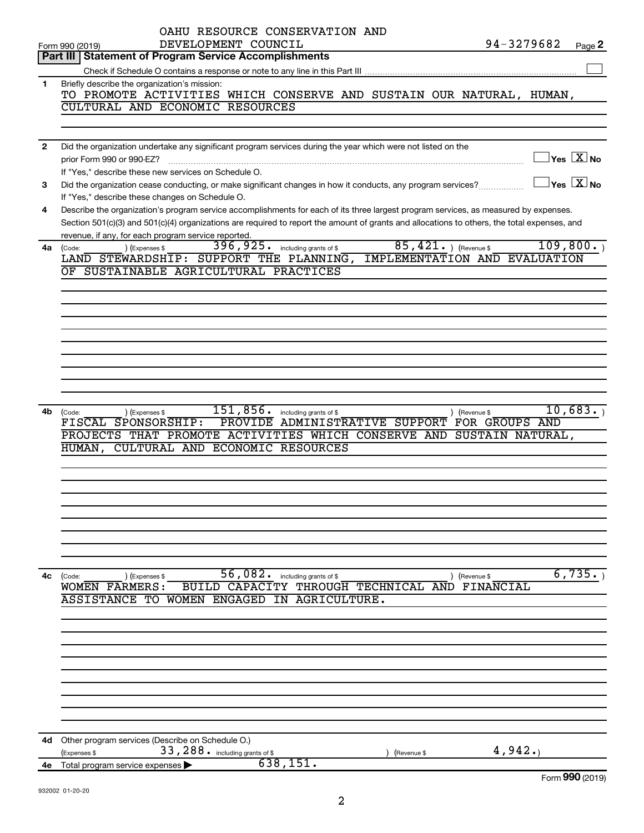|              | OAHU RESOURCE CONSERVATION AND<br>94-3279682<br>DEVELOPMENT COUNCIL                                                                                               |  |
|--------------|-------------------------------------------------------------------------------------------------------------------------------------------------------------------|--|
|              | Page 2<br>Form 990 (2019)<br><b>Statement of Program Service Accomplishments</b><br>Part III I                                                                    |  |
|              |                                                                                                                                                                   |  |
| 1            | Briefly describe the organization's mission:                                                                                                                      |  |
|              | TO PROMOTE ACTIVITIES WHICH CONSERVE AND SUSTAIN OUR NATURAL, HUMAN,                                                                                              |  |
|              | CULTURAL AND ECONOMIC RESOURCES                                                                                                                                   |  |
|              |                                                                                                                                                                   |  |
|              |                                                                                                                                                                   |  |
| $\mathbf{2}$ | Did the organization undertake any significant program services during the year which were not listed on the                                                      |  |
|              | $\sqrt{\mathsf{Yes}\ \mathbb{X}}$ No<br>prior Form 990 or 990-EZ?                                                                                                 |  |
|              | If "Yes," describe these new services on Schedule O.                                                                                                              |  |
| 3            | $\sqrt{\mathsf{Yes}\ \mathbf{X}}$ No<br>Did the organization cease conducting, or make significant changes in how it conducts, any program services?              |  |
|              | If "Yes," describe these changes on Schedule O.                                                                                                                   |  |
| 4            | Describe the organization's program service accomplishments for each of its three largest program services, as measured by expenses.                              |  |
|              | Section 501(c)(3) and 501(c)(4) organizations are required to report the amount of grants and allocations to others, the total expenses, and                      |  |
|              | revenue, if any, for each program service reported.<br>109, 800.                                                                                                  |  |
| 4a           | $85,421.$ (Revenue \$<br>396, 925. including grants of \$<br>) (Expenses \$<br>(Code:<br>LAND STEWARDSHIP: SUPPORT THE PLANNING,<br>IMPLEMENTATION AND EVALUATION |  |
|              | OF SUSTAINABLE AGRICULTURAL PRACTICES                                                                                                                             |  |
|              |                                                                                                                                                                   |  |
|              |                                                                                                                                                                   |  |
|              |                                                                                                                                                                   |  |
|              |                                                                                                                                                                   |  |
|              |                                                                                                                                                                   |  |
|              |                                                                                                                                                                   |  |
|              |                                                                                                                                                                   |  |
|              |                                                                                                                                                                   |  |
|              |                                                                                                                                                                   |  |
|              |                                                                                                                                                                   |  |
| 4b           | 151,856.<br>10,683.<br>including grants of \$<br>) (Revenue \$<br>(Expenses \$<br>(Code:                                                                          |  |
|              | FISCAL SPONSORSHIP:<br>PROVIDE ADMINISTRATIVE SUPPORT FOR GROUPS AND                                                                                              |  |
|              | PROJECTS THAT PROMOTE ACTIVITIES WHICH CONSERVE AND SUSTAIN NATURAL,                                                                                              |  |
|              | CULTURAL AND ECONOMIC RESOURCES<br>HUMAN,                                                                                                                         |  |
|              |                                                                                                                                                                   |  |
|              |                                                                                                                                                                   |  |
|              |                                                                                                                                                                   |  |
|              |                                                                                                                                                                   |  |
|              |                                                                                                                                                                   |  |
|              |                                                                                                                                                                   |  |
|              |                                                                                                                                                                   |  |
|              |                                                                                                                                                                   |  |
|              |                                                                                                                                                                   |  |
| 4c           | 56,082.<br>6,735.<br>(Code:<br>including grants of \$<br>(Expenses \$<br>) (Revenue \$                                                                            |  |
|              | BUILD CAPACITY THROUGH TECHNICAL AND<br><b>FINANCIAL</b><br>WOMEN FARMERS:                                                                                        |  |
|              | <b>WOMEN ENGAGED</b><br><b>ASSISTANCE</b><br>TO<br>IN AGRICULTURE.                                                                                                |  |
|              |                                                                                                                                                                   |  |
|              |                                                                                                                                                                   |  |
|              |                                                                                                                                                                   |  |
|              |                                                                                                                                                                   |  |
|              |                                                                                                                                                                   |  |
|              |                                                                                                                                                                   |  |
|              |                                                                                                                                                                   |  |
|              |                                                                                                                                                                   |  |
|              |                                                                                                                                                                   |  |
| 4d           | Other program services (Describe on Schedule O.)                                                                                                                  |  |
|              | 4,942.<br>33, 288. including grants of \$<br>(Expenses \$<br>(Revenue \$                                                                                          |  |
| 4e           | 638, 151.<br>Total program service expenses                                                                                                                       |  |
|              | Form 990 (2019)                                                                                                                                                   |  |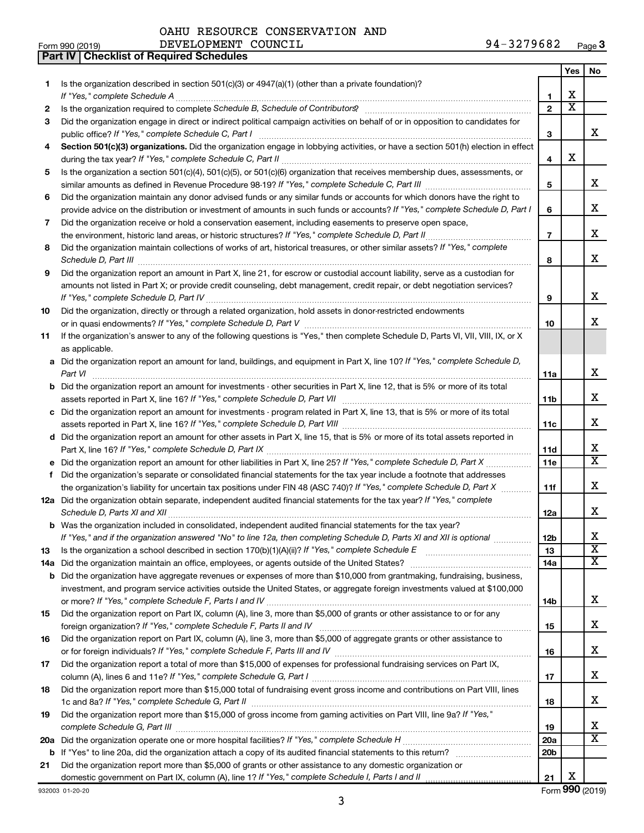**Part IV Checklist of Required Schedules**

|     |                                                                                                                                                                       |                 | Yes | No                      |
|-----|-----------------------------------------------------------------------------------------------------------------------------------------------------------------------|-----------------|-----|-------------------------|
| 1.  | Is the organization described in section $501(c)(3)$ or $4947(a)(1)$ (other than a private foundation)?                                                               |                 |     |                         |
|     | If "Yes," complete Schedule A                                                                                                                                         | 1               | х   |                         |
| 2   | Is the organization required to complete Schedule B, Schedule of Contributors? [111] [12] the organization required to complete Schedule B, Schedule of Contributors? | $\mathbf{2}$    | х   |                         |
| 3   | Did the organization engage in direct or indirect political campaign activities on behalf of or in opposition to candidates for                                       | 3               |     | x                       |
| 4   | Section 501(c)(3) organizations. Did the organization engage in lobbying activities, or have a section 501(h) election in effect                                      |                 |     |                         |
|     |                                                                                                                                                                       | 4               | х   |                         |
| 5   | Is the organization a section 501(c)(4), 501(c)(5), or 501(c)(6) organization that receives membership dues, assessments, or                                          |                 |     |                         |
|     |                                                                                                                                                                       | 5               |     | x                       |
| 6   | Did the organization maintain any donor advised funds or any similar funds or accounts for which donors have the right to                                             |                 |     |                         |
|     | provide advice on the distribution or investment of amounts in such funds or accounts? If "Yes," complete Schedule D, Part I                                          | 6               |     | X.                      |
| 7   | Did the organization receive or hold a conservation easement, including easements to preserve open space,                                                             |                 |     |                         |
|     |                                                                                                                                                                       | $\overline{7}$  |     | x                       |
| 8   | Did the organization maintain collections of works of art, historical treasures, or other similar assets? If "Yes," complete                                          |                 |     |                         |
|     | Schedule D, Part III <b>www.community.community.community.community.community.community.com</b>                                                                       | 8               |     | х                       |
| 9   | Did the organization report an amount in Part X, line 21, for escrow or custodial account liability, serve as a custodian for                                         |                 |     |                         |
|     | amounts not listed in Part X; or provide credit counseling, debt management, credit repair, or debt negotiation services?                                             |                 |     |                         |
|     |                                                                                                                                                                       | 9               |     | X.                      |
| 10  | Did the organization, directly or through a related organization, hold assets in donor-restricted endowments                                                          |                 |     |                         |
|     |                                                                                                                                                                       | 10              |     | x.                      |
| 11  | If the organization's answer to any of the following questions is "Yes," then complete Schedule D, Parts VI, VII, VIII, IX, or X<br>as applicable.                    |                 |     |                         |
|     | a Did the organization report an amount for land, buildings, and equipment in Part X, line 10? If "Yes," complete Schedule D,                                         |                 |     |                         |
|     |                                                                                                                                                                       | 11a             |     | x                       |
|     | <b>b</b> Did the organization report an amount for investments - other securities in Part X, line 12, that is 5% or more of its total                                 |                 |     |                         |
|     |                                                                                                                                                                       | 11b             |     | x                       |
|     | c Did the organization report an amount for investments - program related in Part X, line 13, that is 5% or more of its total                                         |                 |     |                         |
|     |                                                                                                                                                                       | 11c             |     | X.                      |
|     | d Did the organization report an amount for other assets in Part X, line 15, that is 5% or more of its total assets reported in                                       |                 |     |                         |
|     |                                                                                                                                                                       | 11d             |     | х                       |
| е   | Did the organization report an amount for other liabilities in Part X, line 25? If "Yes," complete Schedule D, Part X manu-                                           | 11e             |     | $\overline{\mathtt{x}}$ |
| f   | Did the organization's separate or consolidated financial statements for the tax year include a footnote that addresses                                               |                 |     |                         |
|     | the organization's liability for uncertain tax positions under FIN 48 (ASC 740)? If "Yes," complete Schedule D, Part X                                                | 11f             |     | х                       |
|     | 12a Did the organization obtain separate, independent audited financial statements for the tax year? If "Yes," complete                                               |                 |     | х                       |
|     | <b>b</b> Was the organization included in consolidated, independent audited financial statements for the tax year?                                                    | 12a             |     |                         |
|     | If "Yes." and if the organization answered "No" to line 12a, then completing Schedule D. Parts XI and XII is optional                                                 | 12 <sub>b</sub> |     | Χ                       |
| 13  |                                                                                                                                                                       | 13              |     | $\overline{\textbf{x}}$ |
| 14a |                                                                                                                                                                       | 14a             |     | X                       |
| b   | Did the organization have aggregate revenues or expenses of more than \$10,000 from grantmaking, fundraising, business,                                               |                 |     |                         |
|     | investment, and program service activities outside the United States, or aggregate foreign investments valued at \$100,000                                            |                 |     |                         |
|     |                                                                                                                                                                       | 14b             |     | х                       |
| 15  | Did the organization report on Part IX, column (A), line 3, more than \$5,000 of grants or other assistance to or for any                                             |                 |     |                         |
|     |                                                                                                                                                                       | 15              |     | x                       |
| 16  | Did the organization report on Part IX, column (A), line 3, more than \$5,000 of aggregate grants or other assistance to                                              |                 |     |                         |
|     |                                                                                                                                                                       | 16              |     | x                       |
| 17  | Did the organization report a total of more than \$15,000 of expenses for professional fundraising services on Part IX,                                               |                 |     |                         |
|     |                                                                                                                                                                       | 17              |     | x                       |
| 18  | Did the organization report more than \$15,000 total of fundraising event gross income and contributions on Part VIII, lines                                          | 18              |     | x                       |
| 19  | Did the organization report more than \$15,000 of gross income from gaming activities on Part VIII, line 9a? If "Yes,"                                                |                 |     |                         |
|     |                                                                                                                                                                       | 19              |     | х                       |
| 20a |                                                                                                                                                                       | 20a             |     | $\overline{\mathtt{x}}$ |
|     |                                                                                                                                                                       | 20 <sub>b</sub> |     |                         |
| 21  | Did the organization report more than \$5,000 of grants or other assistance to any domestic organization or                                                           |                 |     |                         |
|     |                                                                                                                                                                       | 21              | Χ   |                         |
|     | 932003 01-20-20                                                                                                                                                       |                 |     | Form 990 (2019)         |

932003 01-20-20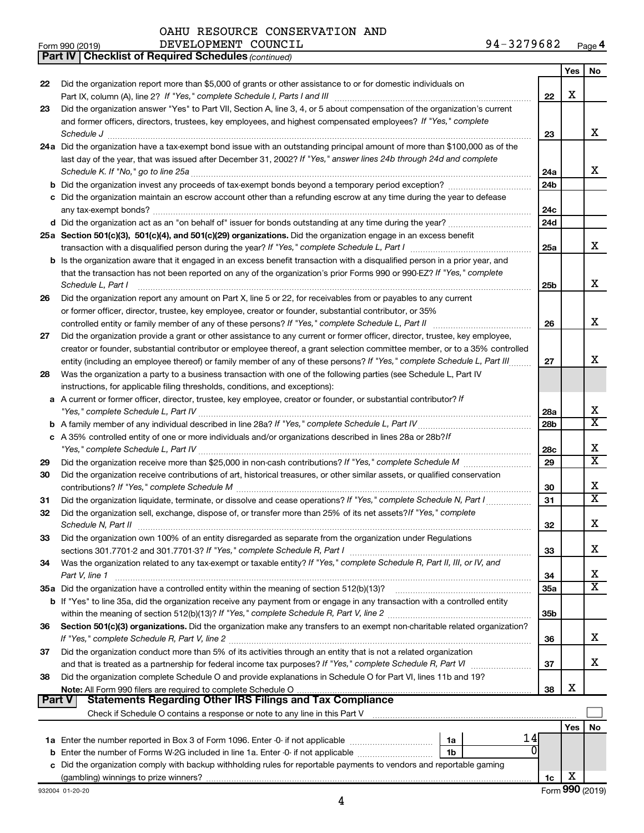*(continued)* **Part IV Checklist of Required Schedules**

| Form 990 (2019) | DEVELOPMENT COUNCIL | 94-3279682<br>Page 4 |
|-----------------|---------------------|----------------------|
|-----------------|---------------------|----------------------|

|               |                                                                                                                                                                                                               |                 | Yes | No                      |
|---------------|---------------------------------------------------------------------------------------------------------------------------------------------------------------------------------------------------------------|-----------------|-----|-------------------------|
| 22            | Did the organization report more than \$5,000 of grants or other assistance to or for domestic individuals on                                                                                                 |                 |     |                         |
|               |                                                                                                                                                                                                               | 22              | х   |                         |
| 23            | Did the organization answer "Yes" to Part VII, Section A, line 3, 4, or 5 about compensation of the organization's current                                                                                    |                 |     |                         |
|               | and former officers, directors, trustees, key employees, and highest compensated employees? If "Yes," complete                                                                                                |                 |     |                         |
|               | Schedule J                                                                                                                                                                                                    | 23              |     | x                       |
|               | 24a Did the organization have a tax-exempt bond issue with an outstanding principal amount of more than \$100,000 as of the                                                                                   |                 |     |                         |
|               | last day of the year, that was issued after December 31, 2002? If "Yes," answer lines 24b through 24d and complete                                                                                            |                 |     |                         |
|               |                                                                                                                                                                                                               | 24a             |     | x                       |
|               | <b>b</b> Did the organization invest any proceeds of tax-exempt bonds beyond a temporary period exception?                                                                                                    | 24 <sub>b</sub> |     |                         |
| с             | Did the organization maintain an escrow account other than a refunding escrow at any time during the year to defease                                                                                          |                 |     |                         |
|               | any tax-exempt bonds?                                                                                                                                                                                         | 24c             |     |                         |
|               | d Did the organization act as an "on behalf of" issuer for bonds outstanding at any time during the year?                                                                                                     | 24d             |     |                         |
|               | 25a Section 501(c)(3), 501(c)(4), and 501(c)(29) organizations. Did the organization engage in an excess benefit                                                                                              |                 |     | х                       |
|               |                                                                                                                                                                                                               | 25a             |     |                         |
|               | b Is the organization aware that it engaged in an excess benefit transaction with a disqualified person in a prior year, and                                                                                  |                 |     |                         |
|               | that the transaction has not been reported on any of the organization's prior Forms 990 or 990-EZ? If "Yes," complete                                                                                         |                 |     | x                       |
|               | Schedule L, Part I                                                                                                                                                                                            | 25 <sub>b</sub> |     |                         |
| 26            | Did the organization report any amount on Part X, line 5 or 22, for receivables from or payables to any current                                                                                               |                 |     |                         |
|               | or former officer, director, trustee, key employee, creator or founder, substantial contributor, or 35%<br>controlled entity or family member of any of these persons? If "Yes," complete Schedule L, Part II | 26              |     | х                       |
| 27            | Did the organization provide a grant or other assistance to any current or former officer, director, trustee, key employee,                                                                                   |                 |     |                         |
|               | creator or founder, substantial contributor or employee thereof, a grant selection committee member, or to a 35% controlled                                                                                   |                 |     |                         |
|               | entity (including an employee thereof) or family member of any of these persons? If "Yes," complete Schedule L, Part III.                                                                                     | 27              |     | X                       |
| 28            | Was the organization a party to a business transaction with one of the following parties (see Schedule L, Part IV                                                                                             |                 |     |                         |
|               | instructions, for applicable filing thresholds, conditions, and exceptions):                                                                                                                                  |                 |     |                         |
| а             | A current or former officer, director, trustee, key employee, creator or founder, or substantial contributor? If                                                                                              |                 |     |                         |
|               |                                                                                                                                                                                                               | 28a             |     | х                       |
|               |                                                                                                                                                                                                               | 28 <sub>b</sub> |     | $\overline{\texttt{x}}$ |
|               | c A 35% controlled entity of one or more individuals and/or organizations described in lines 28a or 28b?/f                                                                                                    |                 |     |                         |
|               |                                                                                                                                                                                                               | 28c             |     | х                       |
| 29            |                                                                                                                                                                                                               | 29              |     | $\overline{\mathtt{x}}$ |
| 30            | Did the organization receive contributions of art, historical treasures, or other similar assets, or qualified conservation                                                                                   |                 |     |                         |
|               |                                                                                                                                                                                                               | 30              |     | х                       |
| 31            |                                                                                                                                                                                                               | 31              |     | $\overline{\texttt{x}}$ |
| 32            | Did the organization sell, exchange, dispose of, or transfer more than 25% of its net assets? If "Yes," complete                                                                                              |                 |     |                         |
|               |                                                                                                                                                                                                               | 32              |     | х                       |
| 33            | Did the organization own 100% of an entity disregarded as separate from the organization under Regulations                                                                                                    |                 |     |                         |
|               | sections 301.7701-2 and 301.7701-3? If "Yes," complete Schedule R, Part I                                                                                                                                     | 33              |     | x                       |
| 34            | Was the organization related to any tax-exempt or taxable entity? If "Yes," complete Schedule R, Part II, III, or IV, and                                                                                     |                 |     |                         |
|               | Part V, line 1                                                                                                                                                                                                | 34              |     | x                       |
|               | 35a Did the organization have a controlled entity within the meaning of section 512(b)(13)?                                                                                                                   | 35a             |     | $\overline{\text{x}}$   |
|               | b If "Yes" to line 35a, did the organization receive any payment from or engage in any transaction with a controlled entity                                                                                   |                 |     |                         |
|               |                                                                                                                                                                                                               | 35b             |     |                         |
| 36            | Section 501(c)(3) organizations. Did the organization make any transfers to an exempt non-charitable related organization?                                                                                    |                 |     |                         |
|               |                                                                                                                                                                                                               | 36              |     | x                       |
| 37            | Did the organization conduct more than 5% of its activities through an entity that is not a related organization                                                                                              |                 |     |                         |
|               |                                                                                                                                                                                                               | 37              |     | x                       |
| 38            | Did the organization complete Schedule O and provide explanations in Schedule O for Part VI, lines 11b and 19?                                                                                                |                 | х   |                         |
| <b>Part V</b> | <b>Statements Regarding Other IRS Filings and Tax Compliance</b>                                                                                                                                              | 38              |     |                         |
|               | Check if Schedule O contains a response or note to any line in this Part V [11] [12] Check if Schedule O contains a response or note to any line in this Part V                                               |                 |     |                         |
|               |                                                                                                                                                                                                               |                 | Yes | No                      |
|               | 14<br>1a                                                                                                                                                                                                      |                 |     |                         |
|               | 0<br><b>b</b> Enter the number of Forms W-2G included in line 1a. Enter -0- if not applicable<br>1 <sub>b</sub>                                                                                               |                 |     |                         |
|               | c Did the organization comply with backup withholding rules for reportable payments to vendors and reportable gaming                                                                                          |                 |     |                         |
|               |                                                                                                                                                                                                               | 1c              | х   |                         |
|               | 932004 01-20-20                                                                                                                                                                                               |                 |     | Form 990 (2019)         |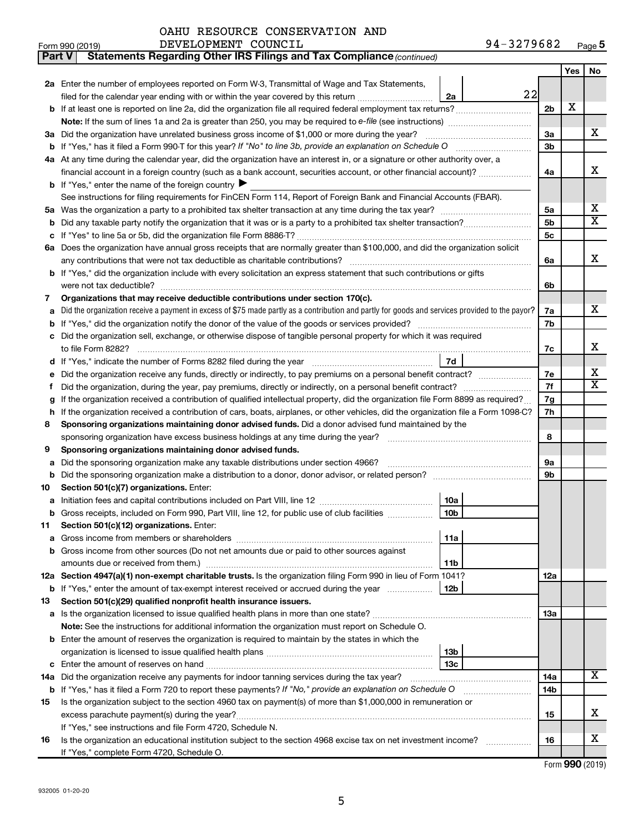| OAHU RESOURCE CONSERVATION AND |  |  |
|--------------------------------|--|--|
|--------------------------------|--|--|

| Part V | Statements Regarding Other IRS Filings and Tax Compliance (continued)                                                                                                                                                           |                 |     |                         |  |  |  |
|--------|---------------------------------------------------------------------------------------------------------------------------------------------------------------------------------------------------------------------------------|-----------------|-----|-------------------------|--|--|--|
|        |                                                                                                                                                                                                                                 |                 | Yes | No                      |  |  |  |
|        | 2a Enter the number of employees reported on Form W-3, Transmittal of Wage and Tax Statements,                                                                                                                                  |                 |     |                         |  |  |  |
|        | 22<br>filed for the calendar year ending with or within the year covered by this return<br>2a                                                                                                                                   |                 |     |                         |  |  |  |
|        | b If at least one is reported on line 2a, did the organization file all required federal employment tax returns?                                                                                                                | 2 <sub>b</sub>  | х   |                         |  |  |  |
|        |                                                                                                                                                                                                                                 |                 |     |                         |  |  |  |
|        | 3a Did the organization have unrelated business gross income of \$1,000 or more during the year?                                                                                                                                | 3a              |     | x.                      |  |  |  |
|        |                                                                                                                                                                                                                                 | 3b              |     |                         |  |  |  |
|        | 4a At any time during the calendar year, did the organization have an interest in, or a signature or other authority over, a                                                                                                    |                 |     |                         |  |  |  |
|        | financial account in a foreign country (such as a bank account, securities account, or other financial account)?                                                                                                                | 4a              |     | x                       |  |  |  |
|        | <b>b</b> If "Yes," enter the name of the foreign country $\blacktriangleright$                                                                                                                                                  |                 |     |                         |  |  |  |
|        | See instructions for filing requirements for FinCEN Form 114, Report of Foreign Bank and Financial Accounts (FBAR).                                                                                                             |                 |     | x                       |  |  |  |
| 5a     |                                                                                                                                                                                                                                 |                 |     |                         |  |  |  |
|        |                                                                                                                                                                                                                                 | 5b              |     | $\overline{\texttt{x}}$ |  |  |  |
|        |                                                                                                                                                                                                                                 | 5c              |     |                         |  |  |  |
|        | 6a Does the organization have annual gross receipts that are normally greater than \$100,000, and did the organization solicit                                                                                                  |                 |     |                         |  |  |  |
|        |                                                                                                                                                                                                                                 | 6a              |     | x                       |  |  |  |
|        | b If "Yes," did the organization include with every solicitation an express statement that such contributions or gifts                                                                                                          |                 |     |                         |  |  |  |
|        | were not tax deductible?                                                                                                                                                                                                        | 6b              |     |                         |  |  |  |
| 7      | Organizations that may receive deductible contributions under section 170(c).                                                                                                                                                   |                 |     |                         |  |  |  |
|        | Did the organization receive a payment in excess of \$75 made partly as a contribution and partly for goods and services provided to the payor?                                                                                 | 7a              |     | x.                      |  |  |  |
| b      |                                                                                                                                                                                                                                 | 7b              |     |                         |  |  |  |
|        | Did the organization sell, exchange, or otherwise dispose of tangible personal property for which it was required                                                                                                               |                 |     | x                       |  |  |  |
|        | 7d                                                                                                                                                                                                                              | 7c              |     |                         |  |  |  |
|        |                                                                                                                                                                                                                                 | 7е              |     | x                       |  |  |  |
| f      | Did the organization receive any funds, directly or indirectly, to pay premiums on a personal benefit contract?<br>Did the organization, during the year, pay premiums, directly or indirectly, on a personal benefit contract? |                 |     |                         |  |  |  |
| g      | If the organization received a contribution of qualified intellectual property, did the organization file Form 8899 as required?                                                                                                |                 |     |                         |  |  |  |
| h      | If the organization received a contribution of cars, boats, airplanes, or other vehicles, did the organization file a Form 1098-C?                                                                                              |                 |     |                         |  |  |  |
| 8      | Sponsoring organizations maintaining donor advised funds. Did a donor advised fund maintained by the                                                                                                                            | 7h              |     |                         |  |  |  |
|        |                                                                                                                                                                                                                                 | 8               |     |                         |  |  |  |
| 9      | Sponsoring organizations maintaining donor advised funds.                                                                                                                                                                       |                 |     |                         |  |  |  |
| а      | Did the sponsoring organization make any taxable distributions under section 4966?                                                                                                                                              | 9а              |     |                         |  |  |  |
| b      |                                                                                                                                                                                                                                 | 9b              |     |                         |  |  |  |
| 10     | Section 501(c)(7) organizations. Enter:                                                                                                                                                                                         |                 |     |                         |  |  |  |
|        | 10a                                                                                                                                                                                                                             |                 |     |                         |  |  |  |
|        | 10 <sub>b</sub><br>b Gross receipts, included on Form 990, Part VIII, line 12, for public use of club facilities                                                                                                                |                 |     |                         |  |  |  |
| 11.    | Section 501(c)(12) organizations. Enter:                                                                                                                                                                                        |                 |     |                         |  |  |  |
|        | 11a                                                                                                                                                                                                                             |                 |     |                         |  |  |  |
|        | b Gross income from other sources (Do not net amounts due or paid to other sources against                                                                                                                                      |                 |     |                         |  |  |  |
|        | 11b                                                                                                                                                                                                                             |                 |     |                         |  |  |  |
|        | 12a Section 4947(a)(1) non-exempt charitable trusts. Is the organization filing Form 990 in lieu of Form 1041?                                                                                                                  | 12a             |     |                         |  |  |  |
|        | <b>b</b> If "Yes," enter the amount of tax-exempt interest received or accrued during the year<br>12b                                                                                                                           |                 |     |                         |  |  |  |
| 13     | Section 501(c)(29) qualified nonprofit health insurance issuers.                                                                                                                                                                |                 |     |                         |  |  |  |
|        | <b>a</b> Is the organization licensed to issue qualified health plans in more than one state?                                                                                                                                   | 1За             |     |                         |  |  |  |
|        | Note: See the instructions for additional information the organization must report on Schedule O.                                                                                                                               |                 |     |                         |  |  |  |
|        | <b>b</b> Enter the amount of reserves the organization is required to maintain by the states in which the                                                                                                                       |                 |     |                         |  |  |  |
|        | 13b                                                                                                                                                                                                                             |                 |     |                         |  |  |  |
|        | 13 <sub>c</sub>                                                                                                                                                                                                                 |                 |     | x                       |  |  |  |
|        | 14a Did the organization receive any payments for indoor tanning services during the tax year?                                                                                                                                  | 14a             |     |                         |  |  |  |
|        | <b>b</b> If "Yes," has it filed a Form 720 to report these payments? If "No," provide an explanation on Schedule O                                                                                                              | 14 <sub>b</sub> |     |                         |  |  |  |
| 15     | Is the organization subject to the section 4960 tax on payment(s) of more than \$1,000,000 in remuneration or                                                                                                                   |                 |     | x                       |  |  |  |
|        |                                                                                                                                                                                                                                 | 15              |     |                         |  |  |  |
| 16     | If "Yes," see instructions and file Form 4720, Schedule N.<br>Is the organization an educational institution subject to the section 4968 excise tax on net investment income?                                                   | 16              |     | x                       |  |  |  |
|        | If "Yes," complete Form 4720, Schedule O.                                                                                                                                                                                       |                 |     |                         |  |  |  |
|        |                                                                                                                                                                                                                                 |                 |     |                         |  |  |  |

Form (2019) **990**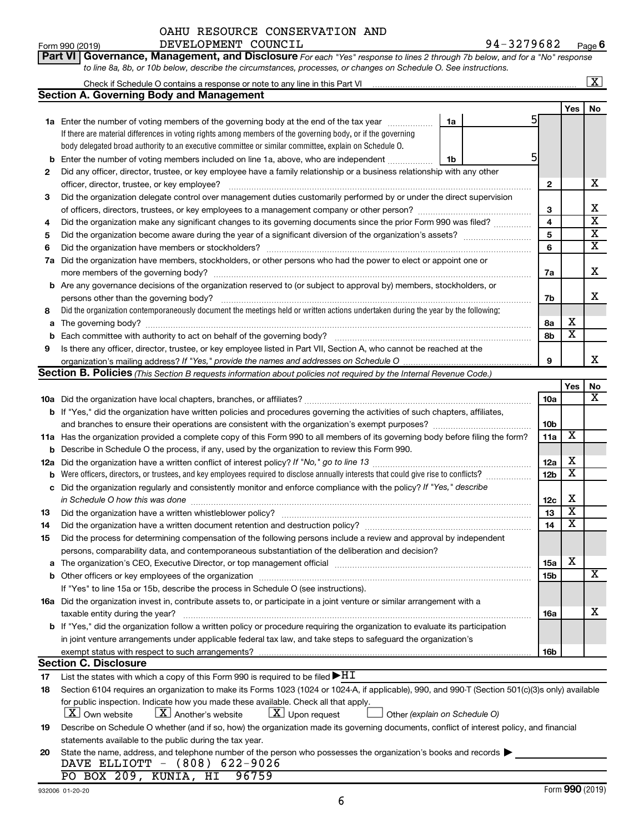| Part VI   Governance, Management, and Disclosure For each "Yes" response to lines 2 through 7b below, and for a "No" response |  |  |  |  |  |
|-------------------------------------------------------------------------------------------------------------------------------|--|--|--|--|--|
| to line 8a, 8b, or 10b below, describe the circumstances, processes, or changes on Schedule O. See instructions.              |  |  |  |  |  |

|     |                                                                                                                                                                                                                                |    |  |                 |                         | X                             |
|-----|--------------------------------------------------------------------------------------------------------------------------------------------------------------------------------------------------------------------------------|----|--|-----------------|-------------------------|-------------------------------|
|     | <b>Section A. Governing Body and Management</b>                                                                                                                                                                                |    |  |                 |                         |                               |
|     |                                                                                                                                                                                                                                |    |  |                 | Yes                     | No                            |
|     | <b>1a</b> Enter the number of voting members of the governing body at the end of the tax year                                                                                                                                  | 1a |  | 5               |                         |                               |
|     | If there are material differences in voting rights among members of the governing body, or if the governing                                                                                                                    |    |  |                 |                         |                               |
|     | body delegated broad authority to an executive committee or similar committee, explain on Schedule O.                                                                                                                          |    |  |                 |                         |                               |
| b   | Enter the number of voting members included on line 1a, above, who are independent                                                                                                                                             | 1b |  | 5               |                         |                               |
| 2   | Did any officer, director, trustee, or key employee have a family relationship or a business relationship with any other                                                                                                       |    |  |                 |                         |                               |
|     | officer, director, trustee, or key employee?                                                                                                                                                                                   |    |  | 2               |                         | x                             |
| 3   | Did the organization delegate control over management duties customarily performed by or under the direct supervision                                                                                                          |    |  |                 |                         |                               |
|     |                                                                                                                                                                                                                                |    |  | 3               |                         | х                             |
| 4   | Did the organization make any significant changes to its governing documents since the prior Form 990 was filed?                                                                                                               |    |  | 4               |                         | $\overline{\textbf{x}}$       |
| 5   |                                                                                                                                                                                                                                |    |  | 5               |                         | $\overline{\textbf{x}}$       |
| 6   | Did the organization have members or stockholders?                                                                                                                                                                             |    |  | 6               |                         | $\overline{\mathtt{x}}$       |
| 7a  | Did the organization have members, stockholders, or other persons who had the power to elect or appoint one or                                                                                                                 |    |  |                 |                         |                               |
|     | more members of the governing body?                                                                                                                                                                                            |    |  | 7a              |                         | х                             |
|     | <b>b</b> Are any governance decisions of the organization reserved to (or subject to approval by) members, stockholders, or                                                                                                    |    |  |                 |                         |                               |
|     | persons other than the governing body?                                                                                                                                                                                         |    |  | 7b              |                         | х                             |
| 8   | Did the organization contemporaneously document the meetings held or written actions undertaken during the year by the following:                                                                                              |    |  |                 |                         |                               |
|     | The governing body?                                                                                                                                                                                                            |    |  | 8а              | х                       |                               |
| a   |                                                                                                                                                                                                                                |    |  | 8b              | $\overline{\textbf{x}}$ |                               |
| b   |                                                                                                                                                                                                                                |    |  |                 |                         |                               |
| 9   | Is there any officer, director, trustee, or key employee listed in Part VII, Section A, who cannot be reached at the                                                                                                           |    |  | 9               |                         | x                             |
|     | Section B. Policies (This Section B requests information about policies not required by the Internal Revenue Code.)                                                                                                            |    |  |                 |                         |                               |
|     |                                                                                                                                                                                                                                |    |  |                 |                         |                               |
|     |                                                                                                                                                                                                                                |    |  |                 | Yes                     | No<br>$\overline{\mathbf{X}}$ |
|     |                                                                                                                                                                                                                                |    |  | 10a             |                         |                               |
|     | b If "Yes," did the organization have written policies and procedures governing the activities of such chapters, affiliates,                                                                                                   |    |  |                 |                         |                               |
|     |                                                                                                                                                                                                                                |    |  | 10 <sub>b</sub> | X                       |                               |
|     | 11a Has the organization provided a complete copy of this Form 990 to all members of its governing body before filing the form?                                                                                                |    |  | 11a             |                         |                               |
| b   | Describe in Schedule O the process, if any, used by the organization to review this Form 990.                                                                                                                                  |    |  |                 | х                       |                               |
| 12a |                                                                                                                                                                                                                                |    |  | 12a             | $\overline{\textbf{x}}$ |                               |
| b   | Were officers, directors, or trustees, and key employees required to disclose annually interests that could give rise to conflicts?                                                                                            |    |  | 12 <sub>b</sub> |                         |                               |
| с   | Did the organization regularly and consistently monitor and enforce compliance with the policy? If "Yes," describe                                                                                                             |    |  |                 | х                       |                               |
|     | in Schedule O how this was done                                                                                                                                                                                                |    |  | 12c             | $\overline{\texttt{x}}$ |                               |
| 13  | Did the organization have a written whistleblower policy?                                                                                                                                                                      |    |  | 13              | $\overline{\texttt{x}}$ |                               |
| 14  | Did the organization have a written document retention and destruction policy? [11] manuscription materials and destruction policy? [11] manuscription materials and the organization have a written document retention and de |    |  | 14              |                         |                               |
| 15  | Did the process for determining compensation of the following persons include a review and approval by independent                                                                                                             |    |  |                 |                         |                               |
|     | persons, comparability data, and contemporaneous substantiation of the deliberation and decision?                                                                                                                              |    |  |                 |                         |                               |
| a   | The organization's CEO, Executive Director, or top management official manufactured content content of the organization's CEO, Executive Director, or top management official manufactured content of the original content of  |    |  | 15a             | х                       |                               |
|     | <b>b</b> Other officers or key employees of the organization                                                                                                                                                                   |    |  | 15b             |                         | X                             |
|     | If "Yes" to line 15a or 15b, describe the process in Schedule O (see instructions).                                                                                                                                            |    |  |                 |                         |                               |
|     | 16a Did the organization invest in, contribute assets to, or participate in a joint venture or similar arrangement with a                                                                                                      |    |  |                 |                         |                               |
|     | taxable entity during the year?                                                                                                                                                                                                |    |  | 16a             |                         | х                             |
|     | b If "Yes," did the organization follow a written policy or procedure requiring the organization to evaluate its participation                                                                                                 |    |  |                 |                         |                               |
|     | in joint venture arrangements under applicable federal tax law, and take steps to safeguard the organization's                                                                                                                 |    |  |                 |                         |                               |
|     | exempt status with respect to such arrangements?                                                                                                                                                                               |    |  | 16b             |                         |                               |
|     | <b>Section C. Disclosure</b>                                                                                                                                                                                                   |    |  |                 |                         |                               |
| 17  | List the states with which a copy of this Form 990 is required to be filed $\blacktriangleright$ HT                                                                                                                            |    |  |                 |                         |                               |
| 18  | Section 6104 requires an organization to make its Forms 1023 (1024 or 1024-A, if applicable), 990, and 990-T (Section 501(c)(3)s only) available                                                                               |    |  |                 |                         |                               |
|     | for public inspection. Indicate how you made these available. Check all that apply.                                                                                                                                            |    |  |                 |                         |                               |
|     | $\lfloor x \rfloor$ Upon request<br>$ \mathbf{X} $ Own website<br>$\lfloor X \rfloor$ Another's website<br>Other (explain on Schedule O)                                                                                       |    |  |                 |                         |                               |
| 19  | Describe on Schedule O whether (and if so, how) the organization made its governing documents, conflict of interest policy, and financial                                                                                      |    |  |                 |                         |                               |
|     | statements available to the public during the tax year.                                                                                                                                                                        |    |  |                 |                         |                               |
| 20  | State the name, address, and telephone number of the person who possesses the organization's books and records                                                                                                                 |    |  |                 |                         |                               |
|     | DAVE ELLIOTT - (808) 622-9026                                                                                                                                                                                                  |    |  |                 |                         |                               |
|     | PO BOX 209, KUNIA, HI<br>96759                                                                                                                                                                                                 |    |  |                 |                         |                               |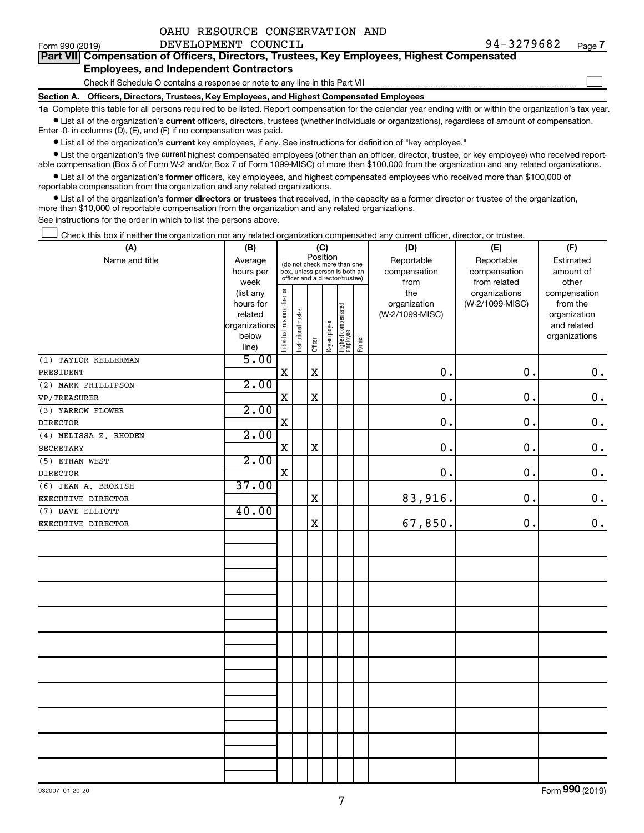|  | OAHU RESOURCE CONSERVATION AND |  |
|--|--------------------------------|--|
|  |                                |  |

 $\Box$ 

|  |                                               |  | Part VII Compensation of Officers, Directors, Trustees, Key Employees, Highest Compensated |  |  |
|--|-----------------------------------------------|--|--------------------------------------------------------------------------------------------|--|--|
|  | <b>Employees, and Independent Contractors</b> |  |                                                                                            |  |  |

#### Check if Schedule O contains a response or note to any line in this Part VII

**Section A. Officers, Directors, Trustees, Key Employees, and Highest Compensated Employees**

**1a**  Complete this table for all persons required to be listed. Report compensation for the calendar year ending with or within the organization's tax year.  $\bullet$  List all of the organization's current officers, directors, trustees (whether individuals or organizations), regardless of amount of compensation.

Enter -0- in columns (D), (E), and (F) if no compensation was paid.

**•** List all of the organization's current key employees, if any. See instructions for definition of "key employee."

**•** List the organization's five *current* highest compensated employees (other than an officer, director, trustee, or key employee) who received reportable compensation (Box 5 of Form W-2 and/or Box 7 of Form 1099-MISC) of more than \$100,000 from the organization and any related organizations.

 $\bullet$  List all of the organization's former officers, key employees, and highest compensated employees who received more than \$100,000 of reportable compensation from the organization and any related organizations.

**•** List all of the organization's former directors or trustees that received, in the capacity as a former director or trustee of the organization, more than \$10,000 of reportable compensation from the organization and any related organizations.

See instructions for the order in which to list the persons above.

Check this box if neither the organization nor any related organization compensated any current officer, director, or trustee.  $\Box$ 

| (A)                   | (B)                      |                                                                                                         |                       | (C)         |              |                                 | (D)    | (E)             | (F)             |                             |  |
|-----------------------|--------------------------|---------------------------------------------------------------------------------------------------------|-----------------------|-------------|--------------|---------------------------------|--------|-----------------|-----------------|-----------------------------|--|
| Name and title        | Average                  | (do not check more than one<br>box, unless person is both an<br>officer and a director/trustee)<br>week |                       |             | Position     |                                 |        | Reportable      | Reportable      | Estimated                   |  |
|                       | hours per                |                                                                                                         |                       |             |              |                                 |        | compensation    | compensation    | amount of                   |  |
|                       |                          |                                                                                                         |                       |             |              |                                 |        | from            | from related    | other                       |  |
|                       | (list any                |                                                                                                         |                       |             |              |                                 |        | the             | organizations   | compensation                |  |
|                       | hours for                |                                                                                                         |                       |             |              |                                 |        | organization    | (W-2/1099-MISC) | from the                    |  |
|                       | related<br>organizations |                                                                                                         |                       |             |              |                                 |        | (W-2/1099-MISC) |                 | organization<br>and related |  |
|                       | below                    |                                                                                                         |                       |             |              |                                 |        |                 |                 | organizations               |  |
|                       | line)                    | Individual trustee or director                                                                          | Institutional trustee | Officer     | Key employee | Highest compensated<br>employee | Former |                 |                 |                             |  |
| (1) TAYLOR KELLERMAN  | 5.00                     |                                                                                                         |                       |             |              |                                 |        |                 |                 |                             |  |
| PRESIDENT             |                          | $\mathbf X$                                                                                             |                       | $\mathbf x$ |              |                                 |        | 0.              | 0.              | $\mathbf 0$ .               |  |
| (2) MARK PHILLIPSON   | 2.00                     |                                                                                                         |                       |             |              |                                 |        |                 |                 |                             |  |
| <b>VP/TREASURER</b>   |                          | X                                                                                                       |                       | $\mathbf X$ |              |                                 |        | $\mathbf 0$     | 0.              | $\mathbf 0$ .               |  |
| (3) YARROW FLOWER     | 2.00                     |                                                                                                         |                       |             |              |                                 |        |                 |                 |                             |  |
| <b>DIRECTOR</b>       |                          | X                                                                                                       |                       |             |              |                                 |        | $\mathbf 0$     | 0.              | $\mathbf 0$ .               |  |
| (4) MELISSA Z. RHODEN | 2.00                     |                                                                                                         |                       |             |              |                                 |        |                 |                 |                             |  |
| SECRETARY             |                          | X                                                                                                       |                       | $\mathbf x$ |              |                                 |        | 0.              | $\mathbf 0$ .   | $\mathbf 0$ .               |  |
| (5) ETHAN WEST        | 2.00                     |                                                                                                         |                       |             |              |                                 |        |                 |                 |                             |  |
| <b>DIRECTOR</b>       |                          | $\mathbf X$                                                                                             |                       |             |              |                                 |        | 0.              | $\mathbf 0$ .   | $\mathbf 0$ .               |  |
| (6) JEAN A. BROKISH   | 37.00                    |                                                                                                         |                       |             |              |                                 |        |                 |                 |                             |  |
| EXECUTIVE DIRECTOR    |                          |                                                                                                         |                       | $\mathbf X$ |              |                                 |        | 83,916.         | 0.              | $\mathbf 0$ .               |  |
| (7) DAVE ELLIOTT      | 40.00                    |                                                                                                         |                       |             |              |                                 |        |                 |                 |                             |  |
| EXECUTIVE DIRECTOR    |                          |                                                                                                         |                       | $\mathbf x$ |              |                                 |        | 67,850.         | 0.              | $\mathbf 0$ .               |  |
|                       |                          |                                                                                                         |                       |             |              |                                 |        |                 |                 |                             |  |
|                       |                          |                                                                                                         |                       |             |              |                                 |        |                 |                 |                             |  |
|                       |                          |                                                                                                         |                       |             |              |                                 |        |                 |                 |                             |  |
|                       |                          |                                                                                                         |                       |             |              |                                 |        |                 |                 |                             |  |
|                       |                          |                                                                                                         |                       |             |              |                                 |        |                 |                 |                             |  |
|                       |                          |                                                                                                         |                       |             |              |                                 |        |                 |                 |                             |  |
|                       |                          |                                                                                                         |                       |             |              |                                 |        |                 |                 |                             |  |
|                       |                          |                                                                                                         |                       |             |              |                                 |        |                 |                 |                             |  |
|                       |                          |                                                                                                         |                       |             |              |                                 |        |                 |                 |                             |  |
|                       |                          |                                                                                                         |                       |             |              |                                 |        |                 |                 |                             |  |
|                       |                          |                                                                                                         |                       |             |              |                                 |        |                 |                 |                             |  |
|                       |                          |                                                                                                         |                       |             |              |                                 |        |                 |                 |                             |  |
|                       |                          |                                                                                                         |                       |             |              |                                 |        |                 |                 |                             |  |
|                       |                          |                                                                                                         |                       |             |              |                                 |        |                 |                 |                             |  |
|                       |                          |                                                                                                         |                       |             |              |                                 |        |                 |                 |                             |  |
|                       |                          |                                                                                                         |                       |             |              |                                 |        |                 |                 |                             |  |
|                       |                          |                                                                                                         |                       |             |              |                                 |        |                 |                 |                             |  |
|                       |                          |                                                                                                         |                       |             |              |                                 |        |                 |                 |                             |  |
|                       |                          |                                                                                                         |                       |             |              |                                 |        |                 |                 |                             |  |

Form (2019) **990**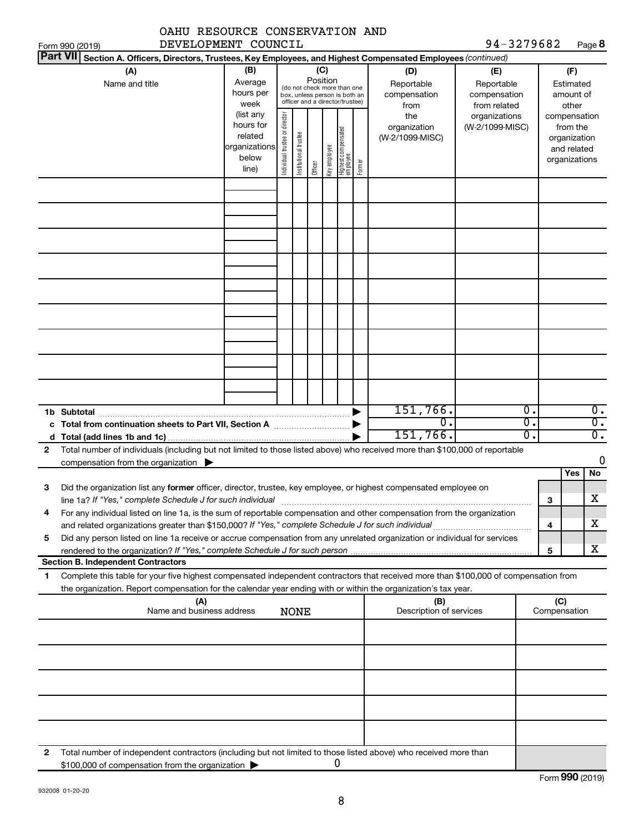|              | OAHU RESOURCE CONSERVATION AND                                                                                                                                                                                                                         |                                                                      |                                |                       |                 |              |                                                                                                 |        |                                           |                                                   |                                      |        |                                                                          |                        |
|--------------|--------------------------------------------------------------------------------------------------------------------------------------------------------------------------------------------------------------------------------------------------------|----------------------------------------------------------------------|--------------------------------|-----------------------|-----------------|--------------|-------------------------------------------------------------------------------------------------|--------|-------------------------------------------|---------------------------------------------------|--------------------------------------|--------|--------------------------------------------------------------------------|------------------------|
|              | DEVELOPMENT COUNCIL<br>Form 990 (2019)                                                                                                                                                                                                                 |                                                                      |                                |                       |                 |              |                                                                                                 |        |                                           | 94-3279682                                        |                                      |        |                                                                          | Page 8                 |
|              | <b>Part VII</b><br>Section A. Officers, Directors, Trustees, Key Employees, and Highest Compensated Employees (continued)                                                                                                                              |                                                                      |                                |                       |                 |              |                                                                                                 |        |                                           |                                                   |                                      |        |                                                                          |                        |
|              | (A)<br>Name and title                                                                                                                                                                                                                                  | (B)<br>Average<br>hours per<br>week                                  |                                |                       | (C)<br>Position |              | (do not check more than one<br>box, unless person is both an<br>officer and a director/trustee) |        | (D)<br>Reportable<br>compensation<br>from | (E)<br>Reportable<br>compensation<br>from related |                                      |        | (F)<br>Estimated<br>amount of<br>other                                   |                        |
|              |                                                                                                                                                                                                                                                        | (list any<br>hours for<br>related<br>organizations<br>below<br>line) | Individual trustee or director | Institutional trustee | Officer         | Key employee | Highest compensated<br>employee                                                                 | Former | the<br>organization<br>(W-2/1099-MISC)    | organizations<br>(W-2/1099-MISC)                  |                                      |        | compensation<br>from the<br>organization<br>and related<br>organizations |                        |
|              |                                                                                                                                                                                                                                                        |                                                                      |                                |                       |                 |              |                                                                                                 |        |                                           |                                                   |                                      |        |                                                                          |                        |
|              |                                                                                                                                                                                                                                                        |                                                                      |                                |                       |                 |              |                                                                                                 |        |                                           |                                                   |                                      |        |                                                                          |                        |
|              |                                                                                                                                                                                                                                                        |                                                                      |                                |                       |                 |              |                                                                                                 |        |                                           |                                                   |                                      |        |                                                                          |                        |
|              |                                                                                                                                                                                                                                                        |                                                                      |                                |                       |                 |              |                                                                                                 |        |                                           |                                                   |                                      |        |                                                                          |                        |
|              |                                                                                                                                                                                                                                                        |                                                                      |                                |                       |                 |              |                                                                                                 |        |                                           |                                                   |                                      |        |                                                                          |                        |
|              |                                                                                                                                                                                                                                                        |                                                                      |                                |                       |                 |              |                                                                                                 |        |                                           |                                                   |                                      |        |                                                                          |                        |
|              |                                                                                                                                                                                                                                                        |                                                                      |                                |                       |                 |              |                                                                                                 |        |                                           |                                                   |                                      |        |                                                                          |                        |
|              |                                                                                                                                                                                                                                                        |                                                                      |                                |                       |                 |              |                                                                                                 |        |                                           |                                                   |                                      |        |                                                                          |                        |
|              | 1b Subtotal                                                                                                                                                                                                                                            |                                                                      |                                |                       |                 |              |                                                                                                 |        | 151,766.<br>0.                            |                                                   | $\overline{0}$ .<br>$\overline{0}$ . |        |                                                                          | 0.<br>$\overline{0}$ . |
| $\mathbf{2}$ | Total number of individuals (including but not limited to those listed above) who received more than \$100,000 of reportable                                                                                                                           |                                                                      |                                |                       |                 |              |                                                                                                 |        | 151,766.                                  |                                                   | $\overline{0}$ .                     |        |                                                                          | $\overline{0}$ .       |
|              | compensation from the organization $\blacktriangleright$                                                                                                                                                                                               |                                                                      |                                |                       |                 |              |                                                                                                 |        |                                           |                                                   |                                      |        |                                                                          | 0                      |
| З            | Did the organization list any former officer, director, trustee, key employee, or highest compensated employee on                                                                                                                                      |                                                                      |                                |                       |                 |              |                                                                                                 |        |                                           |                                                   |                                      |        | Yes                                                                      | No<br>х                |
| 4            | line 1a? If "Yes," complete Schedule J for such individual manufactured content content for the complete schedu<br>For any individual listed on line 1a, is the sum of reportable compensation and other compensation from the organization            |                                                                      |                                |                       |                 |              |                                                                                                 |        |                                           |                                                   |                                      | З<br>4 |                                                                          | X.                     |
| 5            | Did any person listed on line 1a receive or accrue compensation from any unrelated organization or individual for services                                                                                                                             |                                                                      |                                |                       |                 |              |                                                                                                 |        |                                           |                                                   |                                      | 5      |                                                                          | x                      |
|              | <b>Section B. Independent Contractors</b>                                                                                                                                                                                                              |                                                                      |                                |                       |                 |              |                                                                                                 |        |                                           |                                                   |                                      |        |                                                                          |                        |
| 1            | Complete this table for your five highest compensated independent contractors that received more than \$100,000 of compensation from<br>the organization. Report compensation for the calendar year ending with or within the organization's tax year. |                                                                      |                                |                       |                 |              |                                                                                                 |        |                                           |                                                   |                                      |        |                                                                          |                        |
|              | (A)<br>Name and business address                                                                                                                                                                                                                       |                                                                      |                                | <b>NONE</b>           |                 |              |                                                                                                 |        | (B)<br>Description of services            |                                                   |                                      | (C)    | Compensation                                                             |                        |
|              |                                                                                                                                                                                                                                                        |                                                                      |                                |                       |                 |              |                                                                                                 |        |                                           |                                                   |                                      |        |                                                                          |                        |
|              |                                                                                                                                                                                                                                                        |                                                                      |                                |                       |                 |              |                                                                                                 |        |                                           |                                                   |                                      |        |                                                                          |                        |
|              |                                                                                                                                                                                                                                                        |                                                                      |                                |                       |                 |              |                                                                                                 |        |                                           |                                                   |                                      |        |                                                                          |                        |
|              |                                                                                                                                                                                                                                                        |                                                                      |                                |                       |                 |              |                                                                                                 |        |                                           |                                                   |                                      |        |                                                                          |                        |
| 2            | Total number of independent contractors (including but not limited to those listed above) who received more than<br>\$100,000 of compensation from the organization                                                                                    |                                                                      |                                |                       |                 |              | 0                                                                                               |        |                                           |                                                   |                                      |        |                                                                          |                        |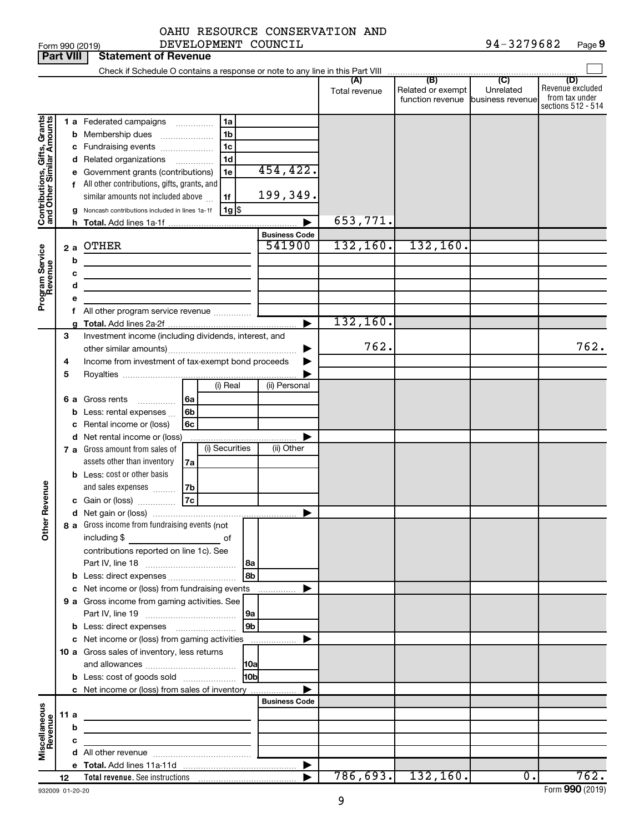|                                                           | <b>Part VIII</b> |    | <b>Statement of Revenue</b>                                                                                                                                                                                                                                                                                                                                                        |                       |               |                                                        |                  |                                                                 |
|-----------------------------------------------------------|------------------|----|------------------------------------------------------------------------------------------------------------------------------------------------------------------------------------------------------------------------------------------------------------------------------------------------------------------------------------------------------------------------------------|-----------------------|---------------|--------------------------------------------------------|------------------|-----------------------------------------------------------------|
|                                                           |                  |    |                                                                                                                                                                                                                                                                                                                                                                                    |                       |               |                                                        |                  |                                                                 |
|                                                           |                  |    |                                                                                                                                                                                                                                                                                                                                                                                    |                       | Total revenue | Related or exempt<br>function revenue business revenue | Unrelated        | (D)<br>Revenue excluded<br>from tax under<br>sections 512 - 514 |
| Contributions, Gifts, Grants<br>and Other Similar Amounts |                  |    | 1 a Federated campaigns<br>1a<br>1 <sub>b</sub><br><b>b</b> Membership dues<br>1 <sub>c</sub><br>c Fundraising events<br>1d<br>d Related organizations<br>$\overline{\phantom{a}}$<br>Government grants (contributions)<br>1e<br>f All other contributions, gifts, grants, and<br>similar amounts not included above<br>1f<br>Noncash contributions included in lines 1a-1f<br> 1g | 454,422.<br>199,349.  |               |                                                        |                  |                                                                 |
|                                                           |                  | h. |                                                                                                                                                                                                                                                                                                                                                                                    |                       | 653,771.      |                                                        |                  |                                                                 |
|                                                           |                  |    |                                                                                                                                                                                                                                                                                                                                                                                    | <b>Business Code</b>  |               |                                                        |                  |                                                                 |
| Program Service<br>Revenue                                | 2a               | b  | OTHER                                                                                                                                                                                                                                                                                                                                                                              | 541900                | 132, 160.     | 132, 160.                                              |                  |                                                                 |
|                                                           |                  | c  | the control of the control of the control of the control of the control of                                                                                                                                                                                                                                                                                                         |                       |               |                                                        |                  |                                                                 |
|                                                           |                  | d  | <u> 1980 - Johann Barn, mars ann an t-Amhain an t-Amhain an t-Amhain an t-Amhain an t-Amhain an t-Amhain an t-A</u>                                                                                                                                                                                                                                                                |                       |               |                                                        |                  |                                                                 |
|                                                           |                  | е  |                                                                                                                                                                                                                                                                                                                                                                                    |                       |               |                                                        |                  |                                                                 |
|                                                           |                  |    | f All other program service revenue                                                                                                                                                                                                                                                                                                                                                |                       |               |                                                        |                  |                                                                 |
|                                                           |                  |    |                                                                                                                                                                                                                                                                                                                                                                                    | ▶                     | 132, 160.     |                                                        |                  |                                                                 |
|                                                           | 3<br>4           |    | Investment income (including dividends, interest, and<br>Income from investment of tax-exempt bond proceeds                                                                                                                                                                                                                                                                        |                       | 762.          |                                                        |                  | 762.                                                            |
|                                                           | 5                |    |                                                                                                                                                                                                                                                                                                                                                                                    |                       |               |                                                        |                  |                                                                 |
|                                                           |                  |    | (i) Real<br>6 a Gross rents<br>l 6a<br>.                                                                                                                                                                                                                                                                                                                                           | (ii) Personal         |               |                                                        |                  |                                                                 |
|                                                           |                  |    | <b>b</b> Less: rental expenses<br>6b                                                                                                                                                                                                                                                                                                                                               |                       |               |                                                        |                  |                                                                 |
|                                                           |                  |    | c Rental income or (loss)<br>6с                                                                                                                                                                                                                                                                                                                                                    |                       |               |                                                        |                  |                                                                 |
|                                                           |                  |    | d Net rental income or (loss)                                                                                                                                                                                                                                                                                                                                                      |                       |               |                                                        |                  |                                                                 |
|                                                           |                  |    | (i) Securities<br>7 a Gross amount from sales of                                                                                                                                                                                                                                                                                                                                   | (ii) Other            |               |                                                        |                  |                                                                 |
|                                                           |                  |    | assets other than inventory<br>7a                                                                                                                                                                                                                                                                                                                                                  |                       |               |                                                        |                  |                                                                 |
|                                                           |                  |    | <b>b</b> Less: cost or other basis                                                                                                                                                                                                                                                                                                                                                 |                       |               |                                                        |                  |                                                                 |
|                                                           |                  |    | and sales expenses<br>7b                                                                                                                                                                                                                                                                                                                                                           |                       |               |                                                        |                  |                                                                 |
| Revenue                                                   |                  |    | 7c<br>c Gain or (loss)                                                                                                                                                                                                                                                                                                                                                             |                       |               |                                                        |                  |                                                                 |
|                                                           |                  |    |                                                                                                                                                                                                                                                                                                                                                                                    | ▶                     |               |                                                        |                  |                                                                 |
|                                                           |                  |    | 8 a Gross income from fundraising events (not                                                                                                                                                                                                                                                                                                                                      |                       |               |                                                        |                  |                                                                 |
| Š                                                         |                  |    | including \$<br>оf<br>contributions reported on line 1c). See                                                                                                                                                                                                                                                                                                                      |                       |               |                                                        |                  |                                                                 |
|                                                           |                  |    | l8a                                                                                                                                                                                                                                                                                                                                                                                |                       |               |                                                        |                  |                                                                 |
|                                                           |                  |    | 8 <sub>b</sub>                                                                                                                                                                                                                                                                                                                                                                     |                       |               |                                                        |                  |                                                                 |
|                                                           |                  |    | c Net income or (loss) from fundraising events                                                                                                                                                                                                                                                                                                                                     | .                     |               |                                                        |                  |                                                                 |
|                                                           |                  |    | 9 a Gross income from gaming activities. See                                                                                                                                                                                                                                                                                                                                       |                       |               |                                                        |                  |                                                                 |
|                                                           |                  |    | 9a                                                                                                                                                                                                                                                                                                                                                                                 |                       |               |                                                        |                  |                                                                 |
|                                                           |                  |    | 9 <sub>b</sub>                                                                                                                                                                                                                                                                                                                                                                     |                       |               |                                                        |                  |                                                                 |
|                                                           |                  |    | c Net income or (loss) from gaming activities                                                                                                                                                                                                                                                                                                                                      |                       |               |                                                        |                  |                                                                 |
|                                                           |                  |    | 10 a Gross sales of inventory, less returns                                                                                                                                                                                                                                                                                                                                        |                       |               |                                                        |                  |                                                                 |
|                                                           |                  |    |                                                                                                                                                                                                                                                                                                                                                                                    |                       |               |                                                        |                  |                                                                 |
|                                                           |                  |    | 10bl<br><b>b</b> Less: cost of goods sold                                                                                                                                                                                                                                                                                                                                          |                       |               |                                                        |                  |                                                                 |
|                                                           |                  |    | c Net income or (loss) from sales of inventory                                                                                                                                                                                                                                                                                                                                     |                       |               |                                                        |                  |                                                                 |
|                                                           |                  |    |                                                                                                                                                                                                                                                                                                                                                                                    | <b>Business Code</b>  |               |                                                        |                  |                                                                 |
|                                                           | 11 a             |    | <u> 1989 - Johann Stein, mars an deus an deus Amerikaansk kommunister (</u>                                                                                                                                                                                                                                                                                                        |                       |               |                                                        |                  |                                                                 |
|                                                           |                  | b  |                                                                                                                                                                                                                                                                                                                                                                                    |                       |               |                                                        |                  |                                                                 |
| Miscellaneous<br>Revenue                                  |                  | c  | the control of the control of the control of the                                                                                                                                                                                                                                                                                                                                   |                       |               |                                                        |                  |                                                                 |
|                                                           |                  |    |                                                                                                                                                                                                                                                                                                                                                                                    |                       |               |                                                        |                  |                                                                 |
|                                                           |                  |    |                                                                                                                                                                                                                                                                                                                                                                                    | $\blacktriangleright$ |               |                                                        |                  |                                                                 |
|                                                           | 12               |    | Total revenue. See instructions [101] [101] Total revenue See instructions [101] [101] Total Press, Table                                                                                                                                                                                                                                                                          |                       |               | $786, 693.$ 132,160.                                   | $\overline{0}$ . | 762.                                                            |

932009 01-20-20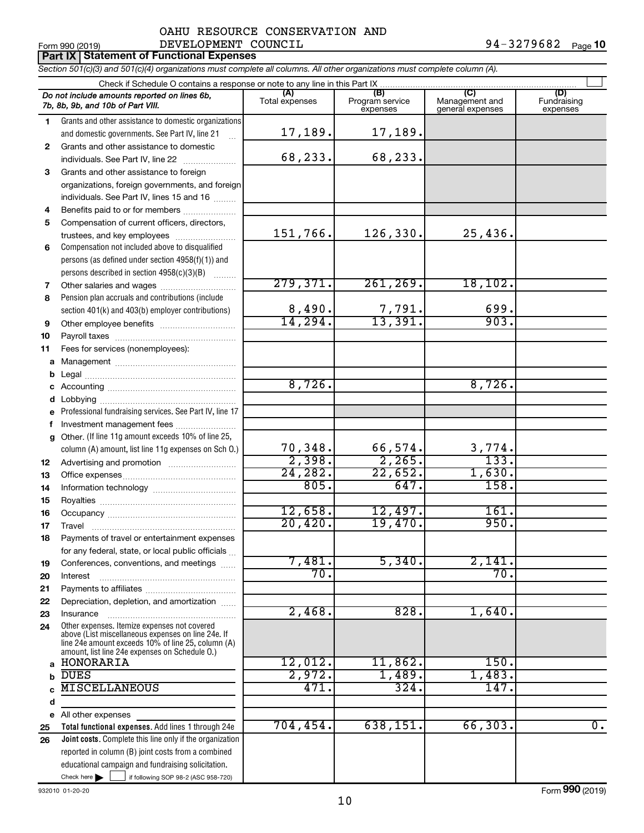### Form 990 (2019)  $DEVELOPMENT$   $COUNCIL$   $94-3279682$   $Page$ OAHU RESOURCE CONSERVATION AND

**Part IX Statement of Functional Expenses**

*Section 501(c)(3) and 501(c)(4) organizations must complete all columns. All other organizations must complete column (A).*

|              | Do not include amounts reported on lines 6b,<br>7b, 8b, 9b, and 10b of Part VIII.                                                                          | (A)<br>Total expenses | (B)<br>Program service<br>expenses | (C)<br>Management and<br>general expenses | (D)<br>Fundraising<br>expenses |  |  |  |  |  |
|--------------|------------------------------------------------------------------------------------------------------------------------------------------------------------|-----------------------|------------------------------------|-------------------------------------------|--------------------------------|--|--|--|--|--|
| 1            | Grants and other assistance to domestic organizations                                                                                                      |                       |                                    |                                           |                                |  |  |  |  |  |
|              | and domestic governments. See Part IV, line 21                                                                                                             | 17,189.               | 17,189.                            |                                           |                                |  |  |  |  |  |
| $\mathbf{2}$ | Grants and other assistance to domestic                                                                                                                    |                       |                                    |                                           |                                |  |  |  |  |  |
|              | individuals. See Part IV, line 22                                                                                                                          | 68,233.               | 68,233.                            |                                           |                                |  |  |  |  |  |
| 3            | Grants and other assistance to foreign                                                                                                                     |                       |                                    |                                           |                                |  |  |  |  |  |
|              | organizations, foreign governments, and foreign                                                                                                            |                       |                                    |                                           |                                |  |  |  |  |  |
|              | individuals. See Part IV, lines 15 and 16                                                                                                                  |                       |                                    |                                           |                                |  |  |  |  |  |
| 4            | Benefits paid to or for members                                                                                                                            |                       |                                    |                                           |                                |  |  |  |  |  |
| 5            | Compensation of current officers, directors,                                                                                                               |                       |                                    |                                           |                                |  |  |  |  |  |
|              | trustees, and key employees                                                                                                                                | 151,766.              | 126,330.                           | 25,436.                                   |                                |  |  |  |  |  |
| 6            | Compensation not included above to disqualified                                                                                                            |                       |                                    |                                           |                                |  |  |  |  |  |
|              | persons (as defined under section 4958(f)(1)) and                                                                                                          |                       |                                    |                                           |                                |  |  |  |  |  |
|              | persons described in section 4958(c)(3)(B)                                                                                                                 |                       |                                    |                                           |                                |  |  |  |  |  |
| 7            | Other salaries and wages                                                                                                                                   | 279,371.              | 261, 269.                          | 18, 102.                                  |                                |  |  |  |  |  |
| 8            | Pension plan accruals and contributions (include                                                                                                           | 8,490.                |                                    | 699.                                      |                                |  |  |  |  |  |
|              | section 401(k) and 403(b) employer contributions)                                                                                                          | 14,294.               | $\frac{7,791}{13,391}$             | 903.                                      |                                |  |  |  |  |  |
| 9            | Other employee benefits                                                                                                                                    |                       |                                    |                                           |                                |  |  |  |  |  |
| 10<br>11     |                                                                                                                                                            |                       |                                    |                                           |                                |  |  |  |  |  |
| a            | Fees for services (nonemployees):                                                                                                                          |                       |                                    |                                           |                                |  |  |  |  |  |
| b            |                                                                                                                                                            |                       |                                    |                                           |                                |  |  |  |  |  |
| с            |                                                                                                                                                            | 8,726.                |                                    | 8,726.                                    |                                |  |  |  |  |  |
| d            |                                                                                                                                                            |                       |                                    |                                           |                                |  |  |  |  |  |
| е            | Professional fundraising services. See Part IV, line 17                                                                                                    |                       |                                    |                                           |                                |  |  |  |  |  |
| f            | Investment management fees                                                                                                                                 |                       |                                    |                                           |                                |  |  |  |  |  |
| g            | Other. (If line 11g amount exceeds 10% of line 25,                                                                                                         |                       |                                    |                                           |                                |  |  |  |  |  |
|              | column (A) amount, list line 11g expenses on Sch O.)                                                                                                       | 70,348.               | 66,574.                            | $\frac{3,774}{133}$                       |                                |  |  |  |  |  |
| 12           |                                                                                                                                                            | 2,398.                | 2,265.                             |                                           |                                |  |  |  |  |  |
| 13           |                                                                                                                                                            | 24, 282.              | 22,652.                            | 1,630.                                    |                                |  |  |  |  |  |
| 14           |                                                                                                                                                            | 805.                  | 647.                               | 158.                                      |                                |  |  |  |  |  |
| 15           |                                                                                                                                                            |                       |                                    |                                           |                                |  |  |  |  |  |
| 16           |                                                                                                                                                            | 12,658.               | 12,497.                            | 161.                                      |                                |  |  |  |  |  |
| 17           |                                                                                                                                                            | 20,420.               | 19,470.                            | 950.                                      |                                |  |  |  |  |  |
| 18           | Payments of travel or entertainment expenses                                                                                                               |                       |                                    |                                           |                                |  |  |  |  |  |
|              | for any federal, state, or local public officials                                                                                                          |                       |                                    |                                           |                                |  |  |  |  |  |
| 19           | Conferences, conventions, and meetings                                                                                                                     | 7,481.<br>70.         | 5,340.                             | 2,141.<br>70.                             |                                |  |  |  |  |  |
| 20           | Interest                                                                                                                                                   |                       |                                    |                                           |                                |  |  |  |  |  |
| 21           |                                                                                                                                                            |                       |                                    |                                           |                                |  |  |  |  |  |
| 22<br>23     | Depreciation, depletion, and amortization<br>Insurance                                                                                                     | 2,468.                | 828.                               | 1,640.                                    |                                |  |  |  |  |  |
| 24           | Other expenses. Itemize expenses not covered                                                                                                               |                       |                                    |                                           |                                |  |  |  |  |  |
|              | above (List miscellaneous expenses on line 24e. If<br>line 24e amount exceeds 10% of line 25, column (A)<br>amount, list line 24e expenses on Schedule O.) |                       |                                    |                                           |                                |  |  |  |  |  |
| a            | HONORARIA                                                                                                                                                  | 12,012.               | 11,862.                            | 150.                                      |                                |  |  |  |  |  |
| b            | <b>DUES</b>                                                                                                                                                | 2,972.                | 1,489.                             | 1,483.                                    |                                |  |  |  |  |  |
|              | <b>MISCELLANEOUS</b>                                                                                                                                       | 471.                  | 324.                               | 147.                                      |                                |  |  |  |  |  |
| d            |                                                                                                                                                            |                       |                                    |                                           |                                |  |  |  |  |  |
|              | e All other expenses                                                                                                                                       |                       |                                    |                                           |                                |  |  |  |  |  |
| 25           | Total functional expenses. Add lines 1 through 24e                                                                                                         | 704,454.              | 638, 151.                          | 66, 303.                                  | $\overline{0}$ .               |  |  |  |  |  |
| 26           | <b>Joint costs.</b> Complete this line only if the organization                                                                                            |                       |                                    |                                           |                                |  |  |  |  |  |
|              | reported in column (B) joint costs from a combined                                                                                                         |                       |                                    |                                           |                                |  |  |  |  |  |
|              | educational campaign and fundraising solicitation.                                                                                                         |                       |                                    |                                           |                                |  |  |  |  |  |
|              | Check here $\blacktriangleright$<br>if following SOP 98-2 (ASC 958-720)                                                                                    |                       |                                    |                                           |                                |  |  |  |  |  |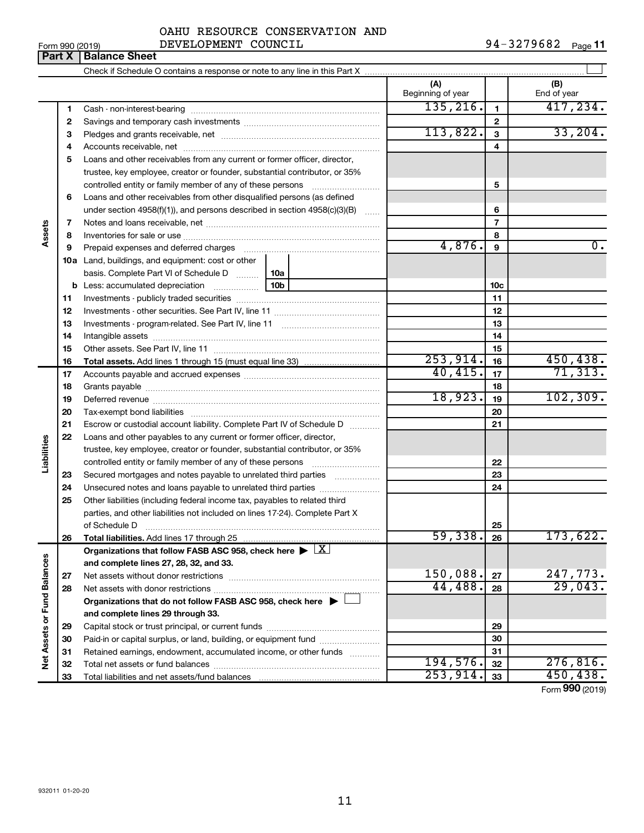### $\frac{1}{2}$  Form 990 (2019) DEVELOPMENT COUNCIL  $\frac{94-3279682}{2}$  Page OAHU RESOURCE CONSERVATION AND

94-3279682 Page 11

|                             | Part X | <b>Balance Sheet</b>                                                                                                                                                                                                           |                 |                          |                 |                    |
|-----------------------------|--------|--------------------------------------------------------------------------------------------------------------------------------------------------------------------------------------------------------------------------------|-----------------|--------------------------|-----------------|--------------------|
|                             |        |                                                                                                                                                                                                                                |                 |                          |                 |                    |
|                             |        |                                                                                                                                                                                                                                |                 | (A)<br>Beginning of year |                 | (B)<br>End of year |
|                             | 1.     |                                                                                                                                                                                                                                |                 | 135, 216.                | 1               | 417,234.           |
|                             | 2      |                                                                                                                                                                                                                                |                 |                          | 2               |                    |
|                             | З      |                                                                                                                                                                                                                                |                 | 113,822.                 | 3               | 33,204.            |
|                             | 4      |                                                                                                                                                                                                                                |                 |                          | 4               |                    |
|                             | 5      | Loans and other receivables from any current or former officer, director,                                                                                                                                                      |                 |                          |                 |                    |
|                             |        | trustee, key employee, creator or founder, substantial contributor, or 35%                                                                                                                                                     |                 |                          |                 |                    |
|                             |        | controlled entity or family member of any of these persons                                                                                                                                                                     |                 |                          | 5               |                    |
|                             | 6      | Loans and other receivables from other disqualified persons (as defined                                                                                                                                                        |                 |                          |                 |                    |
|                             |        | under section 4958(f)(1)), and persons described in section 4958(c)(3)(B)                                                                                                                                                      |                 |                          | 6               |                    |
|                             | 7      |                                                                                                                                                                                                                                |                 |                          | 7               |                    |
| Assets                      | 8      |                                                                                                                                                                                                                                |                 |                          | 8               |                    |
|                             | 9      | Prepaid expenses and deferred charges [11] [11] prepaid expenses and deferred charges [11] [11] presummation and the Prepaid expension and the Prepaid expension and the Prepaid experiment of Prepaid experiment and the Prep |                 | 4,876.                   | 9               | $\overline{0}$ .   |
|                             |        | 10a Land, buildings, and equipment: cost or other                                                                                                                                                                              |                 |                          |                 |                    |
|                             |        | basis. Complete Part VI of Schedule D                                                                                                                                                                                          | 10a             |                          |                 |                    |
|                             |        | <b>b</b> Less: accumulated depreciation                                                                                                                                                                                        | 10 <sub>b</sub> |                          | 10 <sub>c</sub> |                    |
|                             | 11     |                                                                                                                                                                                                                                |                 |                          | 11              |                    |
|                             | 12     |                                                                                                                                                                                                                                |                 |                          | 12              |                    |
|                             | 13     |                                                                                                                                                                                                                                |                 |                          | 13              |                    |
|                             | 14     |                                                                                                                                                                                                                                |                 |                          | 14              |                    |
|                             | 15     |                                                                                                                                                                                                                                |                 |                          | 15              |                    |
|                             | 16     |                                                                                                                                                                                                                                |                 | 253,914.                 | 16              | 450, 438.          |
|                             | 17     |                                                                                                                                                                                                                                |                 | 40,415.                  | 17              | 71, 313.           |
|                             | 18     |                                                                                                                                                                                                                                |                 | 18                       |                 |                    |
|                             | 19     |                                                                                                                                                                                                                                |                 | 18,923.                  | 19              | 102, 309.          |
|                             | 20     |                                                                                                                                                                                                                                |                 |                          | 20              |                    |
|                             | 21     | Escrow or custodial account liability. Complete Part IV of Schedule D                                                                                                                                                          |                 |                          | 21              |                    |
|                             | 22     | Loans and other payables to any current or former officer, director,                                                                                                                                                           |                 |                          |                 |                    |
| Liabilities                 |        | trustee, key employee, creator or founder, substantial contributor, or 35%                                                                                                                                                     |                 |                          |                 |                    |
|                             |        | controlled entity or family member of any of these persons                                                                                                                                                                     |                 |                          | 22              |                    |
|                             | 23     | Secured mortgages and notes payable to unrelated third parties                                                                                                                                                                 |                 |                          | 23              |                    |
|                             | 24     | Unsecured notes and loans payable to unrelated third parties                                                                                                                                                                   |                 |                          | 24              |                    |
|                             | 25     | Other liabilities (including federal income tax, payables to related third                                                                                                                                                     |                 |                          |                 |                    |
|                             |        | parties, and other liabilities not included on lines 17-24). Complete Part X                                                                                                                                                   |                 |                          |                 |                    |
|                             |        | of Schedule D                                                                                                                                                                                                                  |                 |                          | 25              |                    |
|                             | 26     | Total liabilities. Add lines 17 through 25                                                                                                                                                                                     |                 | 59,338.                  | 26              | 173,622.           |
|                             |        | Organizations that follow FASB ASC 958, check here $\blacktriangleright \lfloor \underline{X} \rfloor$                                                                                                                         |                 |                          |                 |                    |
|                             |        | and complete lines 27, 28, 32, and 33.                                                                                                                                                                                         |                 |                          |                 |                    |
|                             | 27     |                                                                                                                                                                                                                                |                 | 150,088.                 | 27              | 247,773.           |
|                             | 28     |                                                                                                                                                                                                                                |                 | 44,488.                  | 28              | 29,043.            |
| Net Assets or Fund Balances |        | Organizations that do not follow FASB ASC 958, check here $\blacktriangleright$                                                                                                                                                |                 |                          |                 |                    |
|                             |        | and complete lines 29 through 33.                                                                                                                                                                                              |                 |                          |                 |                    |
|                             | 29     |                                                                                                                                                                                                                                |                 |                          | 29              |                    |
|                             | 30     | Paid-in or capital surplus, or land, building, or equipment fund                                                                                                                                                               |                 |                          | 30              |                    |
|                             | 31     | Retained earnings, endowment, accumulated income, or other funds                                                                                                                                                               |                 |                          | 31              |                    |
|                             | 32     |                                                                                                                                                                                                                                |                 | 194,576.                 | 32              | 276,816.           |

Total liabilities and net assets/fund balances

Form (2019) **990**  $253,914.$   $33$  450,438.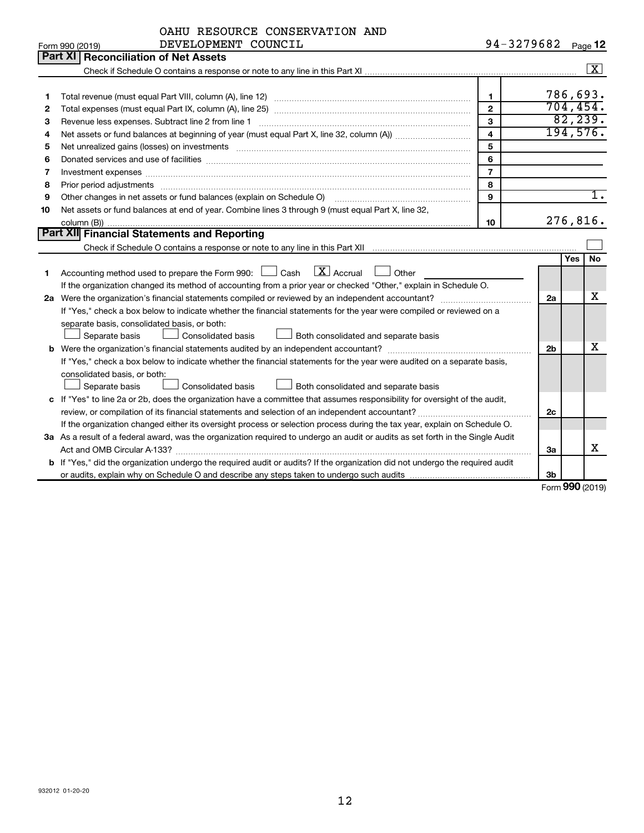|  | OAHU RESOURCE CONSERVATION AND |  |
|--|--------------------------------|--|
|  |                                |  |

|    | DEVELOPMENT COUNCIL<br>Form 990 (2019)                                                                                               | 94-3279682              |                | Page 12              |
|----|--------------------------------------------------------------------------------------------------------------------------------------|-------------------------|----------------|----------------------|
|    | Part XI Reconciliation of Net Assets                                                                                                 |                         |                |                      |
|    |                                                                                                                                      |                         |                | $\boxed{\mathbf{X}}$ |
|    |                                                                                                                                      |                         |                |                      |
| 1  |                                                                                                                                      | $\mathbf 1$             |                | 786,693.             |
| 2  |                                                                                                                                      | $\overline{2}$          |                | 704, 454.            |
| З  |                                                                                                                                      | $\mathbf{3}$            |                | 82, 239.             |
| 4  |                                                                                                                                      | $\overline{\mathbf{4}}$ |                | 194,576.             |
| 5  |                                                                                                                                      | 5                       |                |                      |
| 6  |                                                                                                                                      | 6                       |                |                      |
| 7  |                                                                                                                                      | $\overline{7}$          |                |                      |
| 8  |                                                                                                                                      | 8                       |                |                      |
| 9  | Other changes in net assets or fund balances (explain on Schedule O)                                                                 | 9                       |                | 1.                   |
| 10 | Net assets or fund balances at end of year. Combine lines 3 through 9 (must equal Part X, line 32,                                   |                         |                |                      |
|    |                                                                                                                                      | 10                      |                | 276,816.             |
|    | Part XII Financial Statements and Reporting                                                                                          |                         |                |                      |
|    |                                                                                                                                      |                         |                |                      |
|    |                                                                                                                                      |                         |                | No<br>Yes            |
| 1  | Accounting method used to prepare the Form 990: $\Box$ Cash $\Box X$ Accrual<br>$\Box$ Other                                         |                         |                |                      |
|    | If the organization changed its method of accounting from a prior year or checked "Other," explain in Schedule O.                    |                         |                |                      |
|    |                                                                                                                                      |                         | 2a             | х                    |
|    | If "Yes," check a box below to indicate whether the financial statements for the year were compiled or reviewed on a                 |                         |                |                      |
|    | separate basis, consolidated basis, or both:                                                                                         |                         |                |                      |
|    | Separate basis<br><b>Consolidated basis</b><br>Both consolidated and separate basis                                                  |                         |                |                      |
|    |                                                                                                                                      |                         | 2 <sub>b</sub> | х                    |
|    | If "Yes," check a box below to indicate whether the financial statements for the year were audited on a separate basis,              |                         |                |                      |
|    | consolidated basis, or both:                                                                                                         |                         |                |                      |
|    | <b>Consolidated basis</b><br>Separate basis<br>Both consolidated and separate basis                                                  |                         |                |                      |
|    | c If "Yes" to line 2a or 2b, does the organization have a committee that assumes responsibility for oversight of the audit,          |                         |                |                      |
|    |                                                                                                                                      |                         | 2c             |                      |
|    | If the organization changed either its oversight process or selection process during the tax year, explain on Schedule O.            |                         |                |                      |
|    | 3a As a result of a federal award, was the organization required to undergo an audit or audits as set forth in the Single Audit      |                         |                |                      |
|    |                                                                                                                                      |                         | За             | x                    |
|    | <b>b</b> If "Yes," did the organization undergo the required audit or audits? If the organization did not undergo the required audit |                         |                |                      |
|    |                                                                                                                                      |                         | 3 <sub>b</sub> |                      |

Form (2019) **990**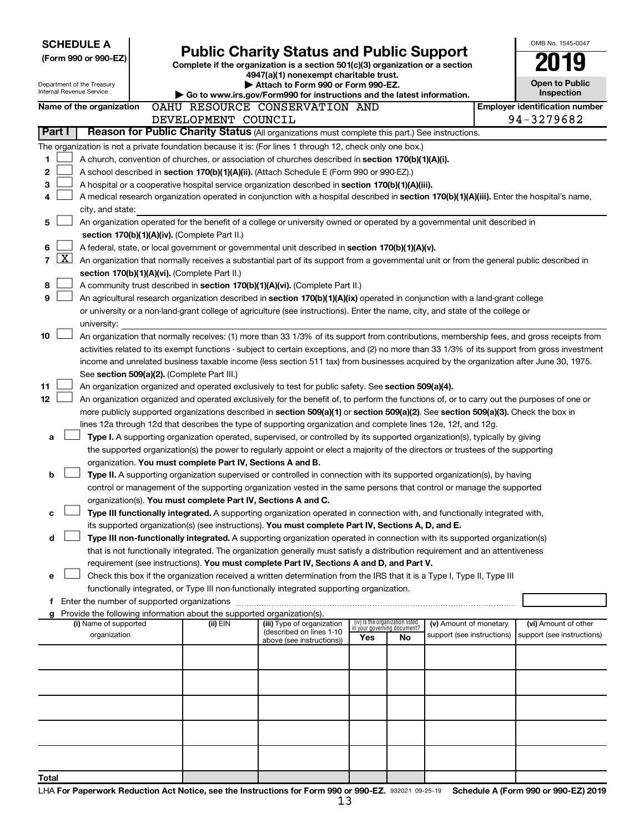| <b>SCHEDULE A</b>                                                                                         |                                                                                                                                                                                                                                                                                  |                                                                                                                                  |                                                                |    |                            |  | OMB No. 1545-0047                     |  |  |  |
|-----------------------------------------------------------------------------------------------------------|----------------------------------------------------------------------------------------------------------------------------------------------------------------------------------------------------------------------------------------------------------------------------------|----------------------------------------------------------------------------------------------------------------------------------|----------------------------------------------------------------|----|----------------------------|--|---------------------------------------|--|--|--|
| (Form 990 or 990-EZ)                                                                                      |                                                                                                                                                                                                                                                                                  | <b>Public Charity Status and Public Support</b><br>Complete if the organization is a section 501(c)(3) organization or a section |                                                                |    |                            |  |                                       |  |  |  |
|                                                                                                           |                                                                                                                                                                                                                                                                                  | 4947(a)(1) nonexempt charitable trust.                                                                                           |                                                                |    |                            |  |                                       |  |  |  |
| Department of the Treasury<br>Internal Revenue Service                                                    |                                                                                                                                                                                                                                                                                  | Attach to Form 990 or Form 990-EZ.<br>Go to www.irs.gov/Form990 for instructions and the latest information.                     |                                                                |    |                            |  | <b>Open to Public</b><br>Inspection   |  |  |  |
| Name of the organization                                                                                  | OAHU RESOURCE CONSERVATION AND                                                                                                                                                                                                                                                   |                                                                                                                                  |                                                                |    |                            |  | <b>Employer identification number</b> |  |  |  |
|                                                                                                           | DEVELOPMENT COUNCIL                                                                                                                                                                                                                                                              |                                                                                                                                  |                                                                |    |                            |  | 94-3279682                            |  |  |  |
| Part I                                                                                                    | Reason for Public Charity Status (All organizations must complete this part.) See instructions.                                                                                                                                                                                  |                                                                                                                                  |                                                                |    |                            |  |                                       |  |  |  |
| The organization is not a private foundation because it is: (For lines 1 through 12, check only one box.) |                                                                                                                                                                                                                                                                                  |                                                                                                                                  |                                                                |    |                            |  |                                       |  |  |  |
| 1                                                                                                         | A church, convention of churches, or association of churches described in section 170(b)(1)(A)(i).                                                                                                                                                                               |                                                                                                                                  |                                                                |    |                            |  |                                       |  |  |  |
| 2                                                                                                         | A school described in section 170(b)(1)(A)(ii). (Attach Schedule E (Form 990 or 990-EZ).)                                                                                                                                                                                        |                                                                                                                                  |                                                                |    |                            |  |                                       |  |  |  |
| з                                                                                                         | A hospital or a cooperative hospital service organization described in section 170(b)(1)(A)(iii).                                                                                                                                                                                |                                                                                                                                  |                                                                |    |                            |  |                                       |  |  |  |
| 4<br>city, and state:                                                                                     | A medical research organization operated in conjunction with a hospital described in section 170(b)(1)(A)(iii). Enter the hospital's name,                                                                                                                                       |                                                                                                                                  |                                                                |    |                            |  |                                       |  |  |  |
| 5                                                                                                         | An organization operated for the benefit of a college or university owned or operated by a governmental unit described in                                                                                                                                                        |                                                                                                                                  |                                                                |    |                            |  |                                       |  |  |  |
|                                                                                                           | section 170(b)(1)(A)(iv). (Complete Part II.)                                                                                                                                                                                                                                    |                                                                                                                                  |                                                                |    |                            |  |                                       |  |  |  |
| 6                                                                                                         | A federal, state, or local government or governmental unit described in section 170(b)(1)(A)(v).                                                                                                                                                                                 |                                                                                                                                  |                                                                |    |                            |  |                                       |  |  |  |
| $\overline{7}$                                                                                            | $\mathbf{X}$<br>An organization that normally receives a substantial part of its support from a governmental unit or from the general public described in                                                                                                                        |                                                                                                                                  |                                                                |    |                            |  |                                       |  |  |  |
|                                                                                                           | section 170(b)(1)(A)(vi). (Complete Part II.)                                                                                                                                                                                                                                    |                                                                                                                                  |                                                                |    |                            |  |                                       |  |  |  |
| 8                                                                                                         | A community trust described in section 170(b)(1)(A)(vi). (Complete Part II.)                                                                                                                                                                                                     |                                                                                                                                  |                                                                |    |                            |  |                                       |  |  |  |
| 9                                                                                                         | An agricultural research organization described in section 170(b)(1)(A)(ix) operated in conjunction with a land-grant college<br>or university or a non-land-grant college of agriculture (see instructions). Enter the name, city, and state of the college or                  |                                                                                                                                  |                                                                |    |                            |  |                                       |  |  |  |
| university:                                                                                               |                                                                                                                                                                                                                                                                                  |                                                                                                                                  |                                                                |    |                            |  |                                       |  |  |  |
| 10                                                                                                        | An organization that normally receives: (1) more than 33 1/3% of its support from contributions, membership fees, and gross receipts from                                                                                                                                        |                                                                                                                                  |                                                                |    |                            |  |                                       |  |  |  |
|                                                                                                           | activities related to its exempt functions - subject to certain exceptions, and (2) no more than 33 1/3% of its support from gross investment                                                                                                                                    |                                                                                                                                  |                                                                |    |                            |  |                                       |  |  |  |
|                                                                                                           | income and unrelated business taxable income (less section 511 tax) from businesses acquired by the organization after June 30, 1975.                                                                                                                                            |                                                                                                                                  |                                                                |    |                            |  |                                       |  |  |  |
|                                                                                                           | See section 509(a)(2). (Complete Part III.)                                                                                                                                                                                                                                      |                                                                                                                                  |                                                                |    |                            |  |                                       |  |  |  |
| 11                                                                                                        | An organization organized and operated exclusively to test for public safety. See section 509(a)(4).                                                                                                                                                                             |                                                                                                                                  |                                                                |    |                            |  |                                       |  |  |  |
| 12                                                                                                        | An organization organized and operated exclusively for the benefit of, to perform the functions of, or to carry out the purposes of one or<br>more publicly supported organizations described in section 509(a)(1) or section 509(a)(2). See section 509(a)(3). Check the box in |                                                                                                                                  |                                                                |    |                            |  |                                       |  |  |  |
|                                                                                                           | lines 12a through 12d that describes the type of supporting organization and complete lines 12e, 12f, and 12g.                                                                                                                                                                   |                                                                                                                                  |                                                                |    |                            |  |                                       |  |  |  |
| a                                                                                                         | Type I. A supporting organization operated, supervised, or controlled by its supported organization(s), typically by giving                                                                                                                                                      |                                                                                                                                  |                                                                |    |                            |  |                                       |  |  |  |
|                                                                                                           | the supported organization(s) the power to regularly appoint or elect a majority of the directors or trustees of the supporting                                                                                                                                                  |                                                                                                                                  |                                                                |    |                            |  |                                       |  |  |  |
|                                                                                                           | organization. You must complete Part IV, Sections A and B.                                                                                                                                                                                                                       |                                                                                                                                  |                                                                |    |                            |  |                                       |  |  |  |
| b                                                                                                         | Type II. A supporting organization supervised or controlled in connection with its supported organization(s), by having                                                                                                                                                          |                                                                                                                                  |                                                                |    |                            |  |                                       |  |  |  |
|                                                                                                           | control or management of the supporting organization vested in the same persons that control or manage the supported                                                                                                                                                             |                                                                                                                                  |                                                                |    |                            |  |                                       |  |  |  |
| с                                                                                                         | organization(s). You must complete Part IV, Sections A and C.<br>Type III functionally integrated. A supporting organization operated in connection with, and functionally integrated with,                                                                                      |                                                                                                                                  |                                                                |    |                            |  |                                       |  |  |  |
|                                                                                                           | its supported organization(s) (see instructions). You must complete Part IV, Sections A, D, and E.                                                                                                                                                                               |                                                                                                                                  |                                                                |    |                            |  |                                       |  |  |  |
| d                                                                                                         | Type III non-functionally integrated. A supporting organization operated in connection with its supported organization(s)                                                                                                                                                        |                                                                                                                                  |                                                                |    |                            |  |                                       |  |  |  |
|                                                                                                           | that is not functionally integrated. The organization generally must satisfy a distribution requirement and an attentiveness                                                                                                                                                     |                                                                                                                                  |                                                                |    |                            |  |                                       |  |  |  |
|                                                                                                           | requirement (see instructions). You must complete Part IV, Sections A and D, and Part V.                                                                                                                                                                                         |                                                                                                                                  |                                                                |    |                            |  |                                       |  |  |  |
| е                                                                                                         | Check this box if the organization received a written determination from the IRS that it is a Type I, Type II, Type III                                                                                                                                                          |                                                                                                                                  |                                                                |    |                            |  |                                       |  |  |  |
|                                                                                                           | functionally integrated, or Type III non-functionally integrated supporting organization.                                                                                                                                                                                        |                                                                                                                                  |                                                                |    |                            |  |                                       |  |  |  |
| g                                                                                                         | Provide the following information about the supported organization(s).                                                                                                                                                                                                           |                                                                                                                                  |                                                                |    |                            |  |                                       |  |  |  |
| (i) Name of supported                                                                                     | (ii) EIN                                                                                                                                                                                                                                                                         | (iii) Type of organization                                                                                                       | (iv) Is the organization listed<br>in your governing document? |    | (v) Amount of monetary     |  | (vi) Amount of other                  |  |  |  |
| organization                                                                                              |                                                                                                                                                                                                                                                                                  | (described on lines 1-10)<br>above (see instructions))                                                                           | Yes                                                            | No | support (see instructions) |  | support (see instructions)            |  |  |  |
|                                                                                                           |                                                                                                                                                                                                                                                                                  |                                                                                                                                  |                                                                |    |                            |  |                                       |  |  |  |
|                                                                                                           |                                                                                                                                                                                                                                                                                  |                                                                                                                                  |                                                                |    |                            |  |                                       |  |  |  |
|                                                                                                           |                                                                                                                                                                                                                                                                                  |                                                                                                                                  |                                                                |    |                            |  |                                       |  |  |  |
|                                                                                                           |                                                                                                                                                                                                                                                                                  |                                                                                                                                  |                                                                |    |                            |  |                                       |  |  |  |
|                                                                                                           |                                                                                                                                                                                                                                                                                  |                                                                                                                                  |                                                                |    |                            |  |                                       |  |  |  |
|                                                                                                           |                                                                                                                                                                                                                                                                                  |                                                                                                                                  |                                                                |    |                            |  |                                       |  |  |  |
|                                                                                                           |                                                                                                                                                                                                                                                                                  |                                                                                                                                  |                                                                |    |                            |  |                                       |  |  |  |
|                                                                                                           |                                                                                                                                                                                                                                                                                  |                                                                                                                                  |                                                                |    |                            |  |                                       |  |  |  |
|                                                                                                           |                                                                                                                                                                                                                                                                                  |                                                                                                                                  |                                                                |    |                            |  |                                       |  |  |  |
| Total                                                                                                     |                                                                                                                                                                                                                                                                                  |                                                                                                                                  |                                                                |    |                            |  |                                       |  |  |  |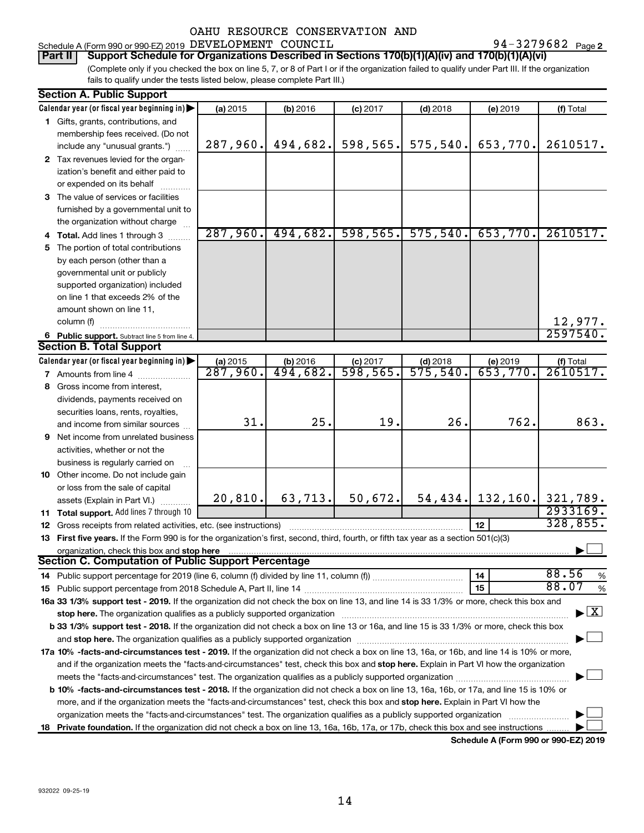Schedule A (Form 990 or 990-EZ) 2019 DEVELOPMENT COUNCIL  $94-3279682$  Page

94-3279682 Page 2

(Complete only if you checked the box on line 5, 7, or 8 of Part I or if the organization failed to qualify under Part III. If the organization fails to qualify under the tests listed below, please complete Part III.) **Part II** | Support Schedule for Organizations Described in Sections 170(b)(1)(A)(iv) and 170(b)(1)(A)(vi)

| <b>Section A. Public Support</b>                                                                                                                                                                                               |          |          |                        |            |                       |                                    |
|--------------------------------------------------------------------------------------------------------------------------------------------------------------------------------------------------------------------------------|----------|----------|------------------------|------------|-----------------------|------------------------------------|
| Calendar year (or fiscal year beginning in)                                                                                                                                                                                    | (a) 2015 | (b) 2016 | $(c)$ 2017             | $(d)$ 2018 | (e) 2019              | (f) Total                          |
| 1 Gifts, grants, contributions, and                                                                                                                                                                                            |          |          |                        |            |                       |                                    |
| membership fees received. (Do not                                                                                                                                                                                              |          |          |                        |            |                       |                                    |
| include any "unusual grants.")                                                                                                                                                                                                 | 287,960. | 494,682. | 598, 565.              | 575, 540.  | 653,770.              | 2610517.                           |
| 2 Tax revenues levied for the organ-                                                                                                                                                                                           |          |          |                        |            |                       |                                    |
| ization's benefit and either paid to                                                                                                                                                                                           |          |          |                        |            |                       |                                    |
| or expended on its behalf                                                                                                                                                                                                      |          |          |                        |            |                       |                                    |
| 3 The value of services or facilities                                                                                                                                                                                          |          |          |                        |            |                       |                                    |
| furnished by a governmental unit to                                                                                                                                                                                            |          |          |                        |            |                       |                                    |
| the organization without charge                                                                                                                                                                                                |          |          |                        |            |                       |                                    |
| 4 Total. Add lines 1 through 3                                                                                                                                                                                                 | 287,960. | 494,682. | 598,565.               | 575, 540.  | 653,770.              | 2610517.                           |
| 5 The portion of total contributions                                                                                                                                                                                           |          |          |                        |            |                       |                                    |
| by each person (other than a                                                                                                                                                                                                   |          |          |                        |            |                       |                                    |
| governmental unit or publicly                                                                                                                                                                                                  |          |          |                        |            |                       |                                    |
| supported organization) included                                                                                                                                                                                               |          |          |                        |            |                       |                                    |
| on line 1 that exceeds 2% of the                                                                                                                                                                                               |          |          |                        |            |                       |                                    |
|                                                                                                                                                                                                                                |          |          |                        |            |                       |                                    |
| amount shown on line 11,                                                                                                                                                                                                       |          |          |                        |            |                       |                                    |
| column (f)                                                                                                                                                                                                                     |          |          |                        |            |                       | 12,977.<br>2597540.                |
| 6 Public support. Subtract line 5 from line 4.                                                                                                                                                                                 |          |          |                        |            |                       |                                    |
| <b>Section B. Total Support</b>                                                                                                                                                                                                |          |          |                        |            |                       |                                    |
| Calendar year (or fiscal year beginning in)                                                                                                                                                                                    | (a) 2015 | (b) 2016 | $(c)$ 2017<br>598,565. | $(d)$ 2018 | (e) 2019              | (f) Total                          |
| 7 Amounts from line 4                                                                                                                                                                                                          | 287,960. | 494,682. |                        | 575,540.   | 653,770.              | 2610517.                           |
| 8 Gross income from interest,                                                                                                                                                                                                  |          |          |                        |            |                       |                                    |
| dividends, payments received on                                                                                                                                                                                                |          |          |                        |            |                       |                                    |
| securities loans, rents, royalties,                                                                                                                                                                                            |          |          |                        |            |                       |                                    |
| and income from similar sources                                                                                                                                                                                                | 31.      | 25.      | 19.                    | 26.        | 762.                  | 863.                               |
| <b>9</b> Net income from unrelated business                                                                                                                                                                                    |          |          |                        |            |                       |                                    |
| activities, whether or not the                                                                                                                                                                                                 |          |          |                        |            |                       |                                    |
| business is regularly carried on                                                                                                                                                                                               |          |          |                        |            |                       |                                    |
| 10 Other income. Do not include gain                                                                                                                                                                                           |          |          |                        |            |                       |                                    |
| or loss from the sale of capital                                                                                                                                                                                               |          |          |                        |            |                       |                                    |
| assets (Explain in Part VI.)                                                                                                                                                                                                   | 20, 810. | 63, 713. | 50,672.                |            | $54, 434$ . 132, 160. | 321,789.                           |
| 11 Total support. Add lines 7 through 10                                                                                                                                                                                       |          |          |                        |            |                       | 2933169.                           |
| 12 Gross receipts from related activities, etc. (see instructions)                                                                                                                                                             |          |          |                        |            | 12                    | 328,855.                           |
| 13 First five years. If the Form 990 is for the organization's first, second, third, fourth, or fifth tax year as a section 501(c)(3)                                                                                          |          |          |                        |            |                       |                                    |
| organization, check this box and stop here                                                                                                                                                                                     |          |          |                        |            |                       |                                    |
| <b>Section C. Computation of Public Support Percentage</b>                                                                                                                                                                     |          |          |                        |            |                       |                                    |
|                                                                                                                                                                                                                                |          |          |                        |            | 14                    | 88.56<br>%                         |
|                                                                                                                                                                                                                                |          |          |                        |            | 15                    | 88.07<br>%                         |
| 16a 33 1/3% support test - 2019. If the organization did not check the box on line 13, and line 14 is 33 1/3% or more, check this box and                                                                                      |          |          |                        |            |                       |                                    |
| stop here. The organization qualifies as a publicly supported organization manufactured content and the support of the state of the state of the state of the state of the state of the state of the state of the state of the |          |          |                        |            |                       | $\blacktriangleright$ $\mathbf{X}$ |
| b 33 1/3% support test - 2018. If the organization did not check a box on line 13 or 16a, and line 15 is 33 1/3% or more, check this box                                                                                       |          |          |                        |            |                       |                                    |
|                                                                                                                                                                                                                                |          |          |                        |            |                       |                                    |
| 17a 10% -facts-and-circumstances test - 2019. If the organization did not check a box on line 13, 16a, or 16b, and line 14 is 10% or more,                                                                                     |          |          |                        |            |                       |                                    |
| and if the organization meets the "facts-and-circumstances" test, check this box and stop here. Explain in Part VI how the organization                                                                                        |          |          |                        |            |                       |                                    |
|                                                                                                                                                                                                                                |          |          |                        |            |                       |                                    |
|                                                                                                                                                                                                                                |          |          |                        |            |                       |                                    |
| <b>b 10%</b> -facts-and-circumstances test - 2018. If the organization did not check a box on line 13, 16a, 16b, or 17a, and line 15 is 10% or                                                                                 |          |          |                        |            |                       |                                    |
| more, and if the organization meets the "facts-and-circumstances" test, check this box and stop here. Explain in Part VI how the                                                                                               |          |          |                        |            |                       |                                    |
| organization meets the "facts-and-circumstances" test. The organization qualifies as a publicly supported organization                                                                                                         |          |          |                        |            |                       |                                    |
| 18 Private foundation. If the organization did not check a box on line 13, 16a, 16b, 17a, or 17b, check this box and see instructions                                                                                          |          |          |                        |            |                       |                                    |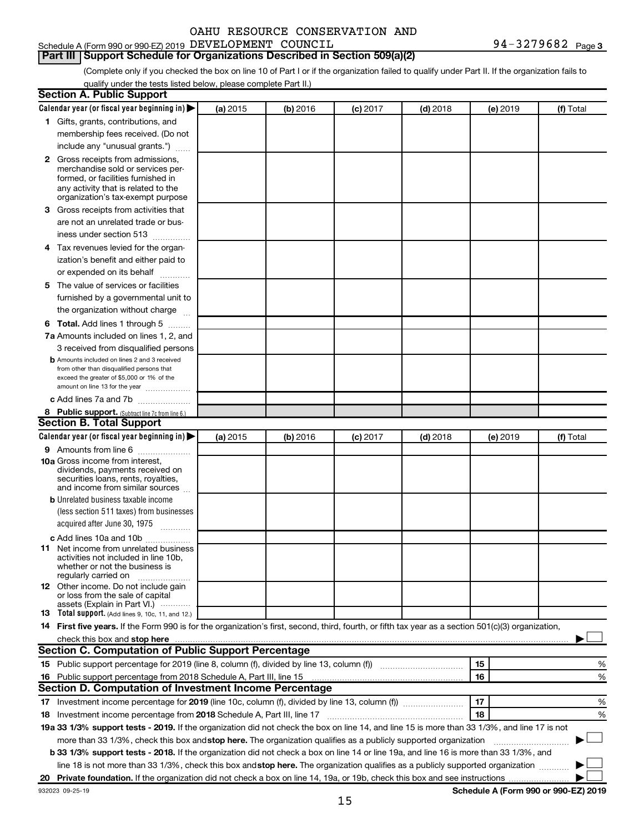### Schedule A (Form 990 or 990-EZ) 2019 DEVELOPMENT COUNCIL  $94-3279682$  Page

### **Part III | Support Schedule for Organizations Described in Section 509(a)(2)**

(Complete only if you checked the box on line 10 of Part I or if the organization failed to qualify under Part II. If the organization fails to qualify under the tests listed below, please complete Part II.)

| <b>Section A. Public Support</b>                                                                                                                                                         |          |          |            |            |          |                                      |
|------------------------------------------------------------------------------------------------------------------------------------------------------------------------------------------|----------|----------|------------|------------|----------|--------------------------------------|
| Calendar year (or fiscal year beginning in)                                                                                                                                              | (a) 2015 | (b) 2016 | $(c)$ 2017 | $(d)$ 2018 | (e) 2019 | (f) Total                            |
| 1 Gifts, grants, contributions, and                                                                                                                                                      |          |          |            |            |          |                                      |
| membership fees received. (Do not                                                                                                                                                        |          |          |            |            |          |                                      |
| include any "unusual grants.")                                                                                                                                                           |          |          |            |            |          |                                      |
| 2 Gross receipts from admissions,<br>merchandise sold or services per-<br>formed, or facilities furnished in<br>any activity that is related to the<br>organization's tax-exempt purpose |          |          |            |            |          |                                      |
| 3 Gross receipts from activities that                                                                                                                                                    |          |          |            |            |          |                                      |
| are not an unrelated trade or bus-                                                                                                                                                       |          |          |            |            |          |                                      |
| iness under section 513                                                                                                                                                                  |          |          |            |            |          |                                      |
| 4 Tax revenues levied for the organ-                                                                                                                                                     |          |          |            |            |          |                                      |
| ization's benefit and either paid to                                                                                                                                                     |          |          |            |            |          |                                      |
| or expended on its behalf                                                                                                                                                                |          |          |            |            |          |                                      |
| 5 The value of services or facilities                                                                                                                                                    |          |          |            |            |          |                                      |
| furnished by a governmental unit to                                                                                                                                                      |          |          |            |            |          |                                      |
| the organization without charge                                                                                                                                                          |          |          |            |            |          |                                      |
| 6 Total. Add lines 1 through 5                                                                                                                                                           |          |          |            |            |          |                                      |
| 7a Amounts included on lines 1, 2, and                                                                                                                                                   |          |          |            |            |          |                                      |
| 3 received from disqualified persons                                                                                                                                                     |          |          |            |            |          |                                      |
| <b>b</b> Amounts included on lines 2 and 3 received<br>from other than disqualified persons that<br>exceed the greater of \$5,000 or 1% of the<br>amount on line 13 for the year         |          |          |            |            |          |                                      |
| c Add lines 7a and 7b                                                                                                                                                                    |          |          |            |            |          |                                      |
| 8 Public support. (Subtract line 7c from line 6.)                                                                                                                                        |          |          |            |            |          |                                      |
| <b>Section B. Total Support</b>                                                                                                                                                          |          |          |            |            |          |                                      |
| Calendar year (or fiscal year beginning in)                                                                                                                                              | (a) 2015 | (b) 2016 | $(c)$ 2017 | $(d)$ 2018 | (e) 2019 | (f) Total                            |
| 9 Amounts from line 6                                                                                                                                                                    |          |          |            |            |          |                                      |
| <b>10a</b> Gross income from interest,<br>dividends, payments received on<br>securities loans, rents, royalties,<br>and income from similar sources                                      |          |          |            |            |          |                                      |
| <b>b</b> Unrelated business taxable income                                                                                                                                               |          |          |            |            |          |                                      |
| (less section 511 taxes) from businesses                                                                                                                                                 |          |          |            |            |          |                                      |
| acquired after June 30, 1975<br>$\overline{\phantom{a}}$                                                                                                                                 |          |          |            |            |          |                                      |
| c Add lines 10a and 10b<br><b>11</b> Net income from unrelated business                                                                                                                  |          |          |            |            |          |                                      |
| activities not included in line 10b,<br>whether or not the business is<br>regularly carried on                                                                                           |          |          |            |            |          |                                      |
| 12 Other income. Do not include gain<br>or loss from the sale of capital<br>assets (Explain in Part VI.)                                                                                 |          |          |            |            |          |                                      |
| <b>13</b> Total support. (Add lines 9, 10c, 11, and 12.)                                                                                                                                 |          |          |            |            |          |                                      |
| 14 First five years. If the Form 990 is for the organization's first, second, third, fourth, or fifth tax year as a section 501(c)(3) organization,                                      |          |          |            |            |          |                                      |
|                                                                                                                                                                                          |          |          |            |            |          |                                      |
| <b>Section C. Computation of Public Support Percentage</b>                                                                                                                               |          |          |            |            |          |                                      |
|                                                                                                                                                                                          |          |          |            |            | 15       | %                                    |
|                                                                                                                                                                                          |          |          |            |            | 16       | %                                    |
| <b>Section D. Computation of Investment Income Percentage</b>                                                                                                                            |          |          |            |            |          |                                      |
| 17 Investment income percentage for 2019 (line 10c, column (f), divided by line 13, column (f))                                                                                          |          |          |            |            | 17       | %                                    |
| 18 Investment income percentage from 2018 Schedule A, Part III, line 17                                                                                                                  |          |          |            |            | 18       | %                                    |
| 19a 33 1/3% support tests - 2019. If the organization did not check the box on line 14, and line 15 is more than 33 1/3%, and line 17 is not                                             |          |          |            |            |          |                                      |
| more than 33 1/3%, check this box and stop here. The organization qualifies as a publicly supported organization                                                                         |          |          |            |            |          |                                      |
| b 33 1/3% support tests - 2018. If the organization did not check a box on line 14 or line 19a, and line 16 is more than 33 1/3%, and                                                    |          |          |            |            |          |                                      |
| line 18 is not more than 33 1/3%, check this box and stop here. The organization qualifies as a publicly supported organization                                                          |          |          |            |            |          |                                      |
|                                                                                                                                                                                          |          |          |            |            |          |                                      |
| 932023 09-25-19                                                                                                                                                                          |          |          |            |            |          | Schedule A (Form 990 or 990-EZ) 2019 |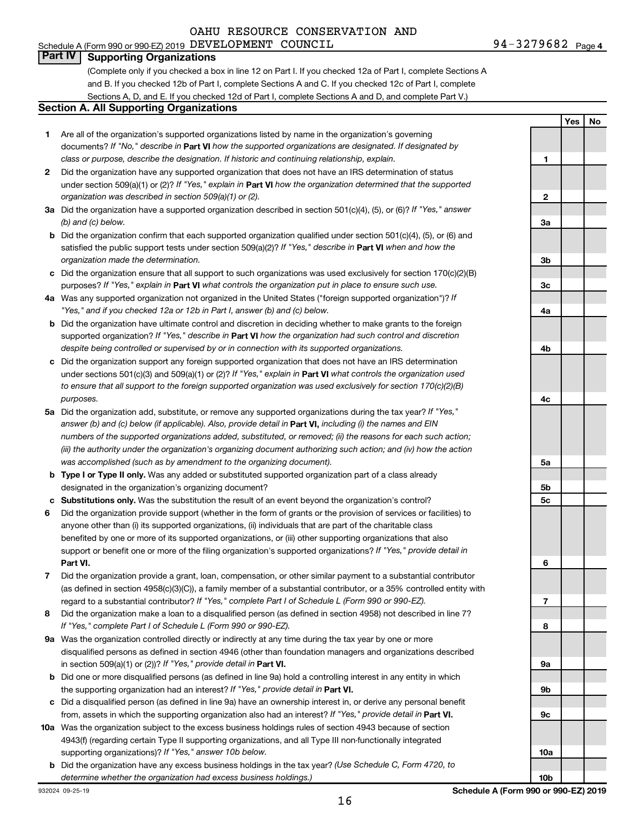### Schedule A (Form 990 or 990-EZ) 2019 DEVELOPMENT COUNCIL  $94-3279682$  Page OAHU RESOURCE CONSERVATION AND

**Yes No**

### **Part IV Supporting Organizations**

(Complete only if you checked a box in line 12 on Part I. If you checked 12a of Part I, complete Sections A and B. If you checked 12b of Part I, complete Sections A and C. If you checked 12c of Part I, complete Sections A, D, and E. If you checked 12d of Part I, complete Sections A and D, and complete Part V.)

#### **Section A. All Supporting Organizations**

- **1** Are all of the organization's supported organizations listed by name in the organization's governing documents? If "No," describe in Part VI how the supported organizations are designated. If designated by *class or purpose, describe the designation. If historic and continuing relationship, explain.*
- **2** Did the organization have any supported organization that does not have an IRS determination of status under section 509(a)(1) or (2)? If "Yes," explain in Part **VI** how the organization determined that the supported *organization was described in section 509(a)(1) or (2).*
- **3a** Did the organization have a supported organization described in section 501(c)(4), (5), or (6)? If "Yes," answer *(b) and (c) below.*
- **b** Did the organization confirm that each supported organization qualified under section 501(c)(4), (5), or (6) and satisfied the public support tests under section 509(a)(2)? If "Yes," describe in Part VI when and how the *organization made the determination.*
- **c** Did the organization ensure that all support to such organizations was used exclusively for section 170(c)(2)(B) purposes? If "Yes," explain in Part VI what controls the organization put in place to ensure such use.
- **4 a** *If* Was any supported organization not organized in the United States ("foreign supported organization")? *"Yes," and if you checked 12a or 12b in Part I, answer (b) and (c) below.*
- **b** Did the organization have ultimate control and discretion in deciding whether to make grants to the foreign supported organization? If "Yes," describe in Part VI how the organization had such control and discretion *despite being controlled or supervised by or in connection with its supported organizations.*
- **c** Did the organization support any foreign supported organization that does not have an IRS determination under sections 501(c)(3) and 509(a)(1) or (2)? If "Yes," explain in Part VI what controls the organization used *to ensure that all support to the foreign supported organization was used exclusively for section 170(c)(2)(B) purposes.*
- **5a** Did the organization add, substitute, or remove any supported organizations during the tax year? If "Yes," answer (b) and (c) below (if applicable). Also, provide detail in **Part VI,** including (i) the names and EIN *numbers of the supported organizations added, substituted, or removed; (ii) the reasons for each such action; (iii) the authority under the organization's organizing document authorizing such action; and (iv) how the action was accomplished (such as by amendment to the organizing document).*
- **b Type I or Type II only.** Was any added or substituted supported organization part of a class already designated in the organization's organizing document?
- **c Substitutions only.**  Was the substitution the result of an event beyond the organization's control?
- **6** Did the organization provide support (whether in the form of grants or the provision of services or facilities) to **Part VI.** support or benefit one or more of the filing organization's supported organizations? If "Yes," provide detail in anyone other than (i) its supported organizations, (ii) individuals that are part of the charitable class benefited by one or more of its supported organizations, or (iii) other supporting organizations that also
- **7** Did the organization provide a grant, loan, compensation, or other similar payment to a substantial contributor regard to a substantial contributor? If "Yes," complete Part I of Schedule L (Form 990 or 990-EZ). (as defined in section 4958(c)(3)(C)), a family member of a substantial contributor, or a 35% controlled entity with
- **8** Did the organization make a loan to a disqualified person (as defined in section 4958) not described in line 7? *If "Yes," complete Part I of Schedule L (Form 990 or 990-EZ).*
- **9 a** Was the organization controlled directly or indirectly at any time during the tax year by one or more in section 509(a)(1) or (2))? If "Yes," provide detail in **Part VI.** disqualified persons as defined in section 4946 (other than foundation managers and organizations described
- **b** Did one or more disqualified persons (as defined in line 9a) hold a controlling interest in any entity in which the supporting organization had an interest? If "Yes," provide detail in Part VI.
- **c** Did a disqualified person (as defined in line 9a) have an ownership interest in, or derive any personal benefit from, assets in which the supporting organization also had an interest? If "Yes," provide detail in Part VI.
- **10 a** Was the organization subject to the excess business holdings rules of section 4943 because of section supporting organizations)? If "Yes," answer 10b below. 4943(f) (regarding certain Type II supporting organizations, and all Type III non-functionally integrated
- **b** Did the organization have any excess business holdings in the tax year? (Use Schedule C, Form 4720, to *determine whether the organization had excess business holdings.)*

**1 2 3a 3b 3c 4a 4b 4c 5a 5b 5c 6 7 8 9a 9b 9c 10a**

932024 09-25-19

**10b**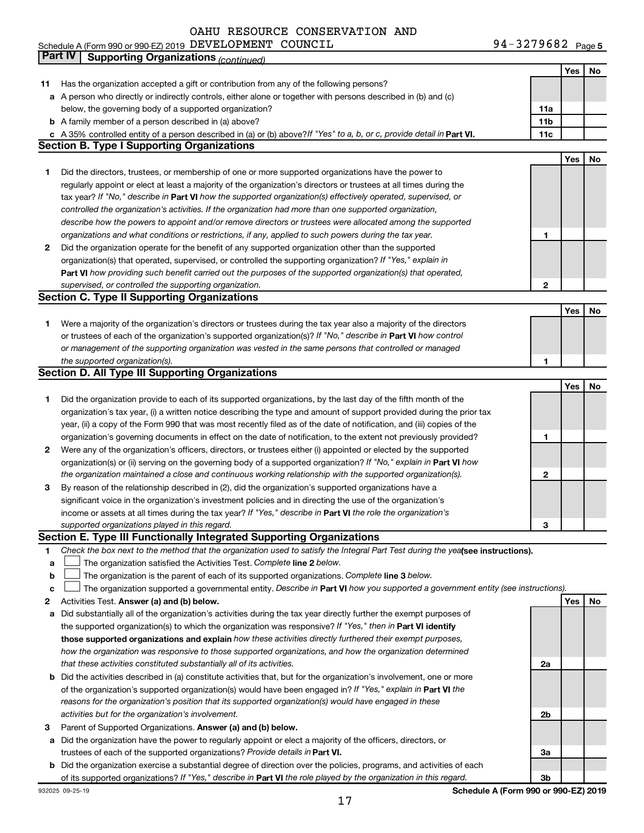94-3279682 Page 5 Schedule A (Form 990 or 990-EZ) 2019 DEVELIOPMENT COUNCTL 9 4 – 3 4 7 9 6 8 4 Page DEVELOPMENT COUNCIL 94-3279682

|    | Part IV<br><b>Supporting Organizations (continued)</b>                                                                          |                 |     |    |
|----|---------------------------------------------------------------------------------------------------------------------------------|-----------------|-----|----|
|    |                                                                                                                                 |                 | Yes | No |
| 11 | Has the organization accepted a gift or contribution from any of the following persons?                                         |                 |     |    |
|    | a A person who directly or indirectly controls, either alone or together with persons described in (b) and (c)                  |                 |     |    |
|    | below, the governing body of a supported organization?                                                                          | 11a             |     |    |
|    | <b>b</b> A family member of a person described in (a) above?                                                                    | 11 <sub>b</sub> |     |    |
|    | c A 35% controlled entity of a person described in (a) or (b) above? If "Yes" to a, b, or c, provide detail in Part VI.         | 11c             |     |    |
|    | <b>Section B. Type I Supporting Organizations</b>                                                                               |                 |     |    |
|    |                                                                                                                                 |                 | Yes | No |
| 1  | Did the directors, trustees, or membership of one or more supported organizations have the power to                             |                 |     |    |
|    | regularly appoint or elect at least a majority of the organization's directors or trustees at all times during the              |                 |     |    |
|    | tax year? If "No," describe in Part VI how the supported organization(s) effectively operated, supervised, or                   |                 |     |    |
|    | controlled the organization's activities. If the organization had more than one supported organization,                         |                 |     |    |
|    | describe how the powers to appoint and/or remove directors or trustees were allocated among the supported                       |                 |     |    |
|    | organizations and what conditions or restrictions, if any, applied to such powers during the tax year.                          | 1               |     |    |
| 2  | Did the organization operate for the benefit of any supported organization other than the supported                             |                 |     |    |
|    | organization(s) that operated, supervised, or controlled the supporting organization? If "Yes," explain in                      |                 |     |    |
|    |                                                                                                                                 |                 |     |    |
|    | Part VI how providing such benefit carried out the purposes of the supported organization(s) that operated,                     |                 |     |    |
|    | supervised, or controlled the supporting organization.                                                                          | $\mathbf{2}$    |     |    |
|    | <b>Section C. Type II Supporting Organizations</b>                                                                              |                 |     |    |
|    |                                                                                                                                 |                 | Yes | No |
| 1. | Were a majority of the organization's directors or trustees during the tax year also a majority of the directors                |                 |     |    |
|    | or trustees of each of the organization's supported organization(s)? If "No," describe in Part VI how control                   |                 |     |    |
|    | or management of the supporting organization was vested in the same persons that controlled or managed                          |                 |     |    |
|    | the supported organization(s).                                                                                                  | 1               |     |    |
|    | <b>Section D. All Type III Supporting Organizations</b>                                                                         |                 |     |    |
|    |                                                                                                                                 |                 | Yes | No |
| 1  | Did the organization provide to each of its supported organizations, by the last day of the fifth month of the                  |                 |     |    |
|    | organization's tax year, (i) a written notice describing the type and amount of support provided during the prior tax           |                 |     |    |
|    | year, (ii) a copy of the Form 990 that was most recently filed as of the date of notification, and (iii) copies of the          |                 |     |    |
|    | organization's governing documents in effect on the date of notification, to the extent not previously provided?                | 1               |     |    |
| 2  | Were any of the organization's officers, directors, or trustees either (i) appointed or elected by the supported                |                 |     |    |
|    | organization(s) or (ii) serving on the governing body of a supported organization? If "No," explain in Part VI how              |                 |     |    |
|    | the organization maintained a close and continuous working relationship with the supported organization(s).                     | 2               |     |    |
| 3  | By reason of the relationship described in (2), did the organization's supported organizations have a                           |                 |     |    |
|    | significant voice in the organization's investment policies and in directing the use of the organization's                      |                 |     |    |
|    | income or assets at all times during the tax year? If "Yes," describe in Part VI the role the organization's                    |                 |     |    |
|    | supported organizations played in this regard.                                                                                  | з               |     |    |
|    | Section E. Type III Functionally Integrated Supporting Organizations                                                            |                 |     |    |
| 1  | Check the box next to the method that the organization used to satisfy the Integral Part Test during the yealsee instructions). |                 |     |    |
| a  | The organization satisfied the Activities Test. Complete line 2 below.                                                          |                 |     |    |
| b  | The organization is the parent of each of its supported organizations. Complete line 3 below.                                   |                 |     |    |
| с  | The organization supported a governmental entity. Describe in Part VI how you supported a government entity (see instructions). |                 |     |    |
| 2  | Activities Test. Answer (a) and (b) below.                                                                                      |                 | Yes | No |
| а  | Did substantially all of the organization's activities during the tax year directly further the exempt purposes of              |                 |     |    |
|    | the supported organization(s) to which the organization was responsive? If "Yes," then in Part VI identify                      |                 |     |    |
|    | those supported organizations and explain how these activities directly furthered their exempt purposes,                        |                 |     |    |
|    | how the organization was responsive to those supported organizations, and how the organization determined                       |                 |     |    |
|    | that these activities constituted substantially all of its activities.                                                          | 2a              |     |    |
|    | <b>b</b> Did the activities described in (a) constitute activities that, but for the organization's involvement, one or more    |                 |     |    |
|    | of the organization's supported organization(s) would have been engaged in? If "Yes," explain in Part VI the                    |                 |     |    |
|    | reasons for the organization's position that its supported organization(s) would have engaged in these                          |                 |     |    |
|    |                                                                                                                                 | 2b              |     |    |
|    | activities but for the organization's involvement.                                                                              |                 |     |    |
| з  | Parent of Supported Organizations. Answer (a) and (b) below.                                                                    |                 |     |    |
| а  | Did the organization have the power to regularly appoint or elect a majority of the officers, directors, or                     |                 |     |    |
|    | trustees of each of the supported organizations? Provide details in Part VI.                                                    | За              |     |    |
|    | <b>b</b> Did the organization exercise a substantial degree of direction over the policies, programs, and activities of each    |                 |     |    |
|    | of its supported organizations? If "Yes," describe in Part VI the role played by the organization in this regard.               | 3b              |     |    |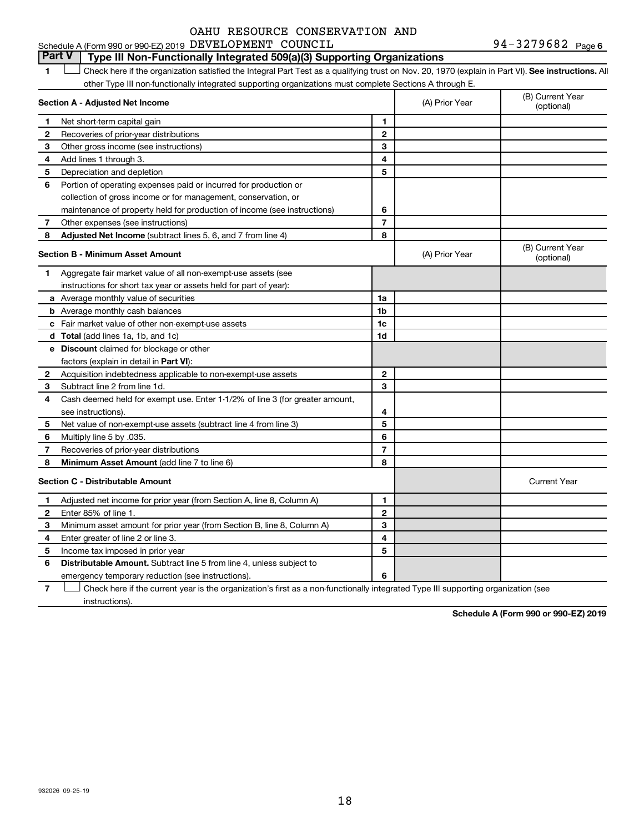### **Part V Type III Non-Functionally Integrated 509(a)(3) Supporting Organizations**

**1 Lett** Check here if the organization satisfied the Integral Part Test as a qualifying trust on Nov. 20, 1970 (explain in Part VI). See instructions. All other Type III non-functionally integrated supporting organizations must complete Sections A through E.  $\Box$ 

|              | Section A - Adjusted Net Income                                              |                | (A) Prior Year | (B) Current Year<br>(optional) |
|--------------|------------------------------------------------------------------------------|----------------|----------------|--------------------------------|
| 1            | Net short-term capital gain                                                  | 1              |                |                                |
| 2            | Recoveries of prior-year distributions                                       | $\overline{2}$ |                |                                |
| 3            | Other gross income (see instructions)                                        | 3              |                |                                |
| 4            | Add lines 1 through 3.                                                       | 4              |                |                                |
| 5            | Depreciation and depletion                                                   | 5              |                |                                |
| 6            | Portion of operating expenses paid or incurred for production or             |                |                |                                |
|              | collection of gross income or for management, conservation, or               |                |                |                                |
|              | maintenance of property held for production of income (see instructions)     | 6              |                |                                |
| 7            | Other expenses (see instructions)                                            | $\overline{7}$ |                |                                |
| 8            | Adjusted Net Income (subtract lines 5, 6, and 7 from line 4)                 | 8              |                |                                |
|              | <b>Section B - Minimum Asset Amount</b>                                      |                | (A) Prior Year | (B) Current Year<br>(optional) |
| 1            | Aggregate fair market value of all non-exempt-use assets (see                |                |                |                                |
|              | instructions for short tax year or assets held for part of year):            |                |                |                                |
|              | a Average monthly value of securities                                        | 1a             |                |                                |
|              | <b>b</b> Average monthly cash balances                                       | 1b             |                |                                |
|              | c Fair market value of other non-exempt-use assets                           | 1c             |                |                                |
|              | <b>d</b> Total (add lines 1a, 1b, and 1c)                                    | 1d             |                |                                |
|              | e Discount claimed for blockage or other                                     |                |                |                                |
|              | factors (explain in detail in <b>Part VI</b> ):                              |                |                |                                |
| 2            | Acquisition indebtedness applicable to non-exempt-use assets                 | $\mathbf{2}$   |                |                                |
| 3            | Subtract line 2 from line 1d.                                                | 3              |                |                                |
| 4            | Cash deemed held for exempt use. Enter 1-1/2% of line 3 (for greater amount, |                |                |                                |
|              | see instructions).                                                           | 4              |                |                                |
| 5            | Net value of non-exempt-use assets (subtract line 4 from line 3)             | 5              |                |                                |
| 6            | Multiply line 5 by .035.                                                     | 6              |                |                                |
| 7            | Recoveries of prior-year distributions                                       | 7              |                |                                |
| 8            | Minimum Asset Amount (add line 7 to line 6)                                  | 8              |                |                                |
|              | <b>Section C - Distributable Amount</b>                                      |                |                | <b>Current Year</b>            |
| 1            | Adjusted net income for prior year (from Section A, line 8, Column A)        | 1              |                |                                |
| $\mathbf{2}$ | Enter 85% of line 1.                                                         | $\mathbf{2}$   |                |                                |
| 3            | Minimum asset amount for prior year (from Section B, line 8, Column A)       | 3              |                |                                |
| 4            | Enter greater of line 2 or line 3.                                           | 4              |                |                                |
| 5            | Income tax imposed in prior year                                             | 5              |                |                                |
| 6            | <b>Distributable Amount.</b> Subtract line 5 from line 4, unless subject to  |                |                |                                |
|              | emergency temporary reduction (see instructions).                            | 6              |                |                                |

**7** Let Check here if the current year is the organization's first as a non-functionally integrated Type III supporting organization (see instructions).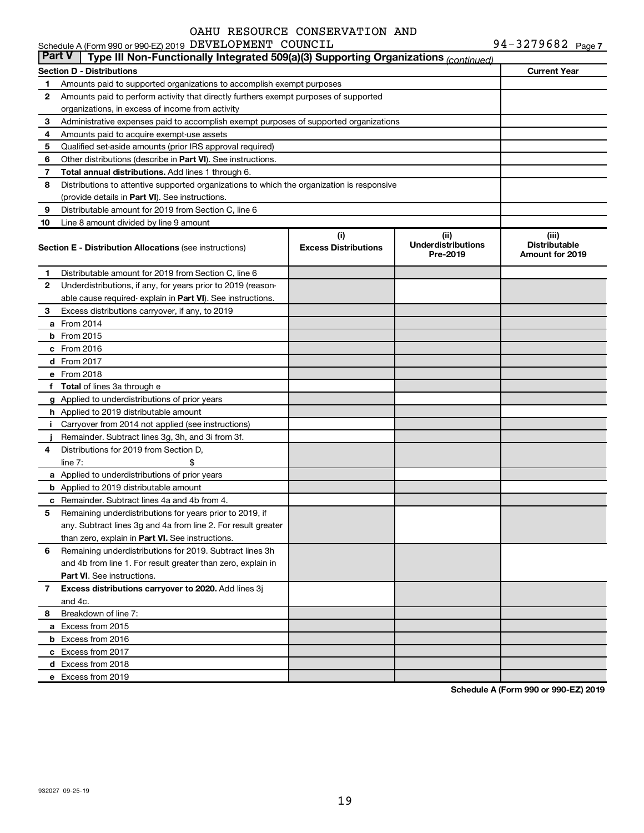|               | Schedule A (Form 990 or 990-EZ) 2019 DEVELOPMENT COUNCIL                                   |                                    |                                               | 94-3279682 Page 7                                       |
|---------------|--------------------------------------------------------------------------------------------|------------------------------------|-----------------------------------------------|---------------------------------------------------------|
| <b>Part V</b> | Type III Non-Functionally Integrated 509(a)(3) Supporting Organizations (continued)        |                                    |                                               |                                                         |
|               | <b>Section D - Distributions</b>                                                           |                                    |                                               | <b>Current Year</b>                                     |
| 1             | Amounts paid to supported organizations to accomplish exempt purposes                      |                                    |                                               |                                                         |
| 2             | Amounts paid to perform activity that directly furthers exempt purposes of supported       |                                    |                                               |                                                         |
|               | organizations, in excess of income from activity                                           |                                    |                                               |                                                         |
| 3             | Administrative expenses paid to accomplish exempt purposes of supported organizations      |                                    |                                               |                                                         |
| 4             | Amounts paid to acquire exempt-use assets                                                  |                                    |                                               |                                                         |
| 5             | Qualified set-aside amounts (prior IRS approval required)                                  |                                    |                                               |                                                         |
| 6             | Other distributions (describe in Part VI). See instructions.                               |                                    |                                               |                                                         |
| 7             | Total annual distributions. Add lines 1 through 6.                                         |                                    |                                               |                                                         |
| 8             | Distributions to attentive supported organizations to which the organization is responsive |                                    |                                               |                                                         |
|               | (provide details in Part VI). See instructions.                                            |                                    |                                               |                                                         |
| 9             | Distributable amount for 2019 from Section C, line 6                                       |                                    |                                               |                                                         |
| 10            | Line 8 amount divided by line 9 amount                                                     |                                    |                                               |                                                         |
|               | <b>Section E - Distribution Allocations (see instructions)</b>                             | (i)<br><b>Excess Distributions</b> | (ii)<br><b>Underdistributions</b><br>Pre-2019 | (iii)<br><b>Distributable</b><br><b>Amount for 2019</b> |
| 1             | Distributable amount for 2019 from Section C, line 6                                       |                                    |                                               |                                                         |
| 2             | Underdistributions, if any, for years prior to 2019 (reason-                               |                                    |                                               |                                                         |
|               | able cause required- explain in Part VI). See instructions.                                |                                    |                                               |                                                         |
| 3             | Excess distributions carryover, if any, to 2019                                            |                                    |                                               |                                                         |
|               | a From 2014                                                                                |                                    |                                               |                                                         |
|               | <b>b</b> From 2015                                                                         |                                    |                                               |                                                         |
|               | c From 2016                                                                                |                                    |                                               |                                                         |
|               | d From 2017                                                                                |                                    |                                               |                                                         |
|               | e From 2018                                                                                |                                    |                                               |                                                         |
|               | f Total of lines 3a through e                                                              |                                    |                                               |                                                         |
|               | g Applied to underdistributions of prior years                                             |                                    |                                               |                                                         |
|               | h Applied to 2019 distributable amount                                                     |                                    |                                               |                                                         |
| Ť.            | Carryover from 2014 not applied (see instructions)                                         |                                    |                                               |                                                         |
|               | Remainder. Subtract lines 3g, 3h, and 3i from 3f.                                          |                                    |                                               |                                                         |
| 4             | Distributions for 2019 from Section D,                                                     |                                    |                                               |                                                         |
|               | line $7:$                                                                                  |                                    |                                               |                                                         |
|               | a Applied to underdistributions of prior years                                             |                                    |                                               |                                                         |
|               | <b>b</b> Applied to 2019 distributable amount                                              |                                    |                                               |                                                         |
|               | c Remainder. Subtract lines 4a and 4b from 4.                                              |                                    |                                               |                                                         |
|               | 5 Remaining underdistributions for years prior to 2019, if                                 |                                    |                                               |                                                         |
|               | any. Subtract lines 3g and 4a from line 2. For result greater                              |                                    |                                               |                                                         |
|               | than zero, explain in Part VI. See instructions.                                           |                                    |                                               |                                                         |
| 6             | Remaining underdistributions for 2019. Subtract lines 3h                                   |                                    |                                               |                                                         |
|               | and 4b from line 1. For result greater than zero, explain in                               |                                    |                                               |                                                         |
|               | <b>Part VI.</b> See instructions.                                                          |                                    |                                               |                                                         |
| 7             | Excess distributions carryover to 2020. Add lines 3j                                       |                                    |                                               |                                                         |
|               | and 4c.                                                                                    |                                    |                                               |                                                         |
| 8             | Breakdown of line 7:                                                                       |                                    |                                               |                                                         |
|               | a Excess from 2015                                                                         |                                    |                                               |                                                         |
|               | <b>b</b> Excess from 2016                                                                  |                                    |                                               |                                                         |
|               | c Excess from 2017                                                                         |                                    |                                               |                                                         |
|               | d Excess from 2018                                                                         |                                    |                                               |                                                         |
|               | e Excess from 2019                                                                         |                                    |                                               |                                                         |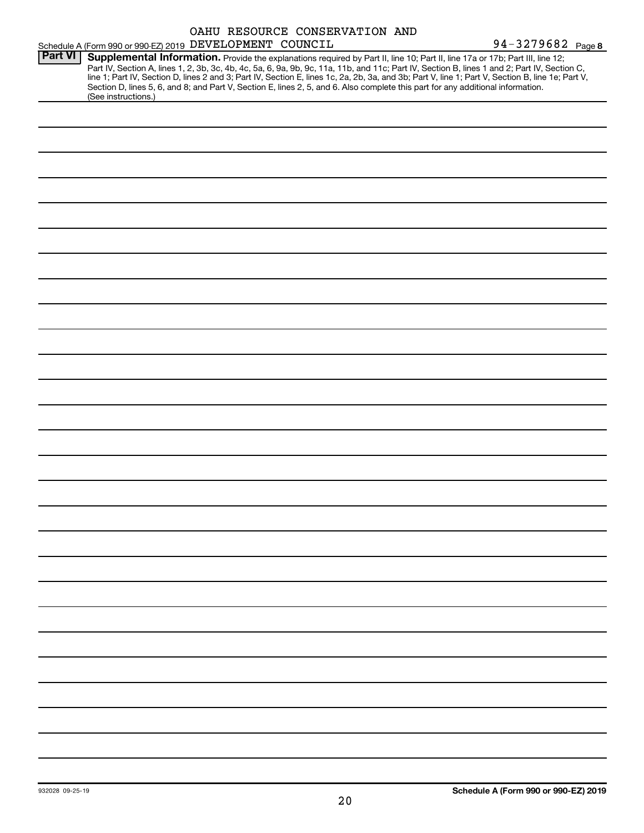|                | Schedule A (Form 990 or 990-EZ) 2019 DEVELOPMENT COUNCIL                                                                                                                                                                                                                                |  | OAHU RESOURCE CONSERVATION AND | 94-3279682 Page 8                                                                                                                                                                                                                                                                                |
|----------------|-----------------------------------------------------------------------------------------------------------------------------------------------------------------------------------------------------------------------------------------------------------------------------------------|--|--------------------------------|--------------------------------------------------------------------------------------------------------------------------------------------------------------------------------------------------------------------------------------------------------------------------------------------------|
| <b>Part VI</b> | Supplemental Information. Provide the explanations required by Part II, line 10; Part II, line 17a or 17b; Part III, line 12;<br>Section D, lines 5, 6, and 8; and Part V, Section E, lines 2, 5, and 6. Also complete this part for any additional information.<br>(See instructions.) |  |                                | Part IV, Section A, lines 1, 2, 3b, 3c, 4b, 4c, 5a, 6, 9a, 9b, 9c, 11a, 11b, and 11c; Part IV, Section B, lines 1 and 2; Part IV, Section C,<br>line 1; Part IV, Section D, lines 2 and 3; Part IV, Section E, lines 1c, 2a, 2b, 3a, and 3b; Part V, line 1; Part V, Section B, line 1e; Part V, |
|                |                                                                                                                                                                                                                                                                                         |  |                                |                                                                                                                                                                                                                                                                                                  |
|                |                                                                                                                                                                                                                                                                                         |  |                                |                                                                                                                                                                                                                                                                                                  |
|                |                                                                                                                                                                                                                                                                                         |  |                                |                                                                                                                                                                                                                                                                                                  |
|                |                                                                                                                                                                                                                                                                                         |  |                                |                                                                                                                                                                                                                                                                                                  |
|                |                                                                                                                                                                                                                                                                                         |  |                                |                                                                                                                                                                                                                                                                                                  |
|                |                                                                                                                                                                                                                                                                                         |  |                                |                                                                                                                                                                                                                                                                                                  |
|                |                                                                                                                                                                                                                                                                                         |  |                                |                                                                                                                                                                                                                                                                                                  |
|                |                                                                                                                                                                                                                                                                                         |  |                                |                                                                                                                                                                                                                                                                                                  |
|                |                                                                                                                                                                                                                                                                                         |  |                                |                                                                                                                                                                                                                                                                                                  |
|                |                                                                                                                                                                                                                                                                                         |  |                                |                                                                                                                                                                                                                                                                                                  |
|                |                                                                                                                                                                                                                                                                                         |  |                                |                                                                                                                                                                                                                                                                                                  |
|                |                                                                                                                                                                                                                                                                                         |  |                                |                                                                                                                                                                                                                                                                                                  |
|                |                                                                                                                                                                                                                                                                                         |  |                                |                                                                                                                                                                                                                                                                                                  |
|                |                                                                                                                                                                                                                                                                                         |  |                                |                                                                                                                                                                                                                                                                                                  |
|                |                                                                                                                                                                                                                                                                                         |  |                                |                                                                                                                                                                                                                                                                                                  |
|                |                                                                                                                                                                                                                                                                                         |  |                                |                                                                                                                                                                                                                                                                                                  |
|                |                                                                                                                                                                                                                                                                                         |  |                                |                                                                                                                                                                                                                                                                                                  |
|                |                                                                                                                                                                                                                                                                                         |  |                                |                                                                                                                                                                                                                                                                                                  |
|                |                                                                                                                                                                                                                                                                                         |  |                                |                                                                                                                                                                                                                                                                                                  |
|                |                                                                                                                                                                                                                                                                                         |  |                                |                                                                                                                                                                                                                                                                                                  |
|                |                                                                                                                                                                                                                                                                                         |  |                                |                                                                                                                                                                                                                                                                                                  |
|                |                                                                                                                                                                                                                                                                                         |  |                                |                                                                                                                                                                                                                                                                                                  |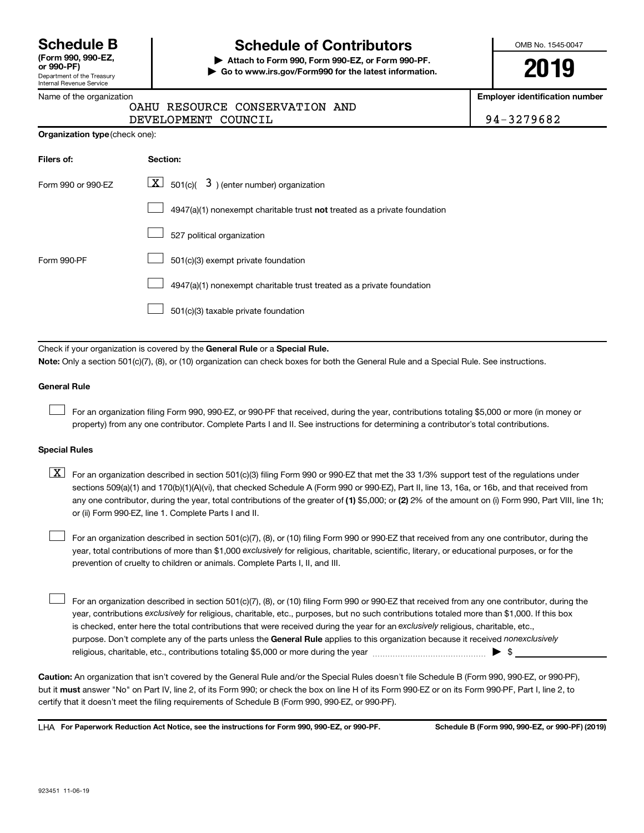| <b>Schedule B</b>  |  |
|--------------------|--|
| (Form 990, 990-EZ, |  |

Department of the Treasury Internal Revenue Service

### **Schedule of Contributors**

**or 990-PF) | Attach to Form 990, Form 990-EZ, or Form 990-PF. | Go to www.irs.gov/Form990 for the latest information.** OMB No. 1545-0047

**2019**

**Employer identification number**

| Name of the organization |                                |  |
|--------------------------|--------------------------------|--|
|                          | OAHU RESOURCE CONSERVATION AND |  |

DEVELOPMENT COUNCIL 94-3279682

| 4-3279682 |  |  |  |  |
|-----------|--|--|--|--|
|           |  |  |  |  |

| Filers of:         | Section:                                                                           |
|--------------------|------------------------------------------------------------------------------------|
| Form 990 or 990-FZ | $\underline{X}$ 501(c)( 3) (enter number) organization                             |
|                    | $4947(a)(1)$ nonexempt charitable trust <b>not</b> treated as a private foundation |
|                    | 527 political organization                                                         |
| Form 990-PF        | 501(c)(3) exempt private foundation                                                |
|                    | 4947(a)(1) nonexempt charitable trust treated as a private foundation              |
|                    | 501(c)(3) taxable private foundation                                               |

Check if your organization is covered by the General Rule or a Special Rule.

**Note:**  Only a section 501(c)(7), (8), or (10) organization can check boxes for both the General Rule and a Special Rule. See instructions.

#### **General Rule**

 $\mathcal{L}^{\text{eff}}$ 

For an organization filing Form 990, 990-EZ, or 990-PF that received, during the year, contributions totaling \$5,000 or more (in money or property) from any one contributor. Complete Parts I and II. See instructions for determining a contributor's total contributions.

#### **Special Rules**

any one contributor, during the year, total contributions of the greater of (1) \$5,000; or (2) 2% of the amount on (i) Form 990, Part VIII, line 1h;  $\boxed{\text{X}}$  For an organization described in section 501(c)(3) filing Form 990 or 990-EZ that met the 33 1/3% support test of the regulations under sections 509(a)(1) and 170(b)(1)(A)(vi), that checked Schedule A (Form 990 or 990-EZ), Part II, line 13, 16a, or 16b, and that received from or (ii) Form 990-EZ, line 1. Complete Parts I and II.

year, total contributions of more than \$1,000 *exclusively* for religious, charitable, scientific, literary, or educational purposes, or for the For an organization described in section 501(c)(7), (8), or (10) filing Form 990 or 990-EZ that received from any one contributor, during the prevention of cruelty to children or animals. Complete Parts I, II, and III.  $\mathcal{L}^{\text{eff}}$ 

purpose. Don't complete any of the parts unless the General Rule applies to this organization because it received nonexclusively year, contributions exclusively for religious, charitable, etc., purposes, but no such contributions totaled more than \$1,000. If this box is checked, enter here the total contributions that were received during the year for an exclusively religious, charitable, etc., For an organization described in section 501(c)(7), (8), or (10) filing Form 990 or 990-EZ that received from any one contributor, during the religious, charitable, etc., contributions totaling \$5,000 or more during the year  $\ldots$  $\ldots$  $\ldots$  $\ldots$  $\ldots$  $\ldots$  $\mathcal{L}^{\text{eff}}$ 

**Caution:**  An organization that isn't covered by the General Rule and/or the Special Rules doesn't file Schedule B (Form 990, 990-EZ, or 990-PF),  **must** but it answer "No" on Part IV, line 2, of its Form 990; or check the box on line H of its Form 990-EZ or on its Form 990-PF, Part I, line 2, to certify that it doesn't meet the filing requirements of Schedule B (Form 990, 990-EZ, or 990-PF).

**For Paperwork Reduction Act Notice, see the instructions for Form 990, 990-EZ, or 990-PF. Schedule B (Form 990, 990-EZ, or 990-PF) (2019)** LHA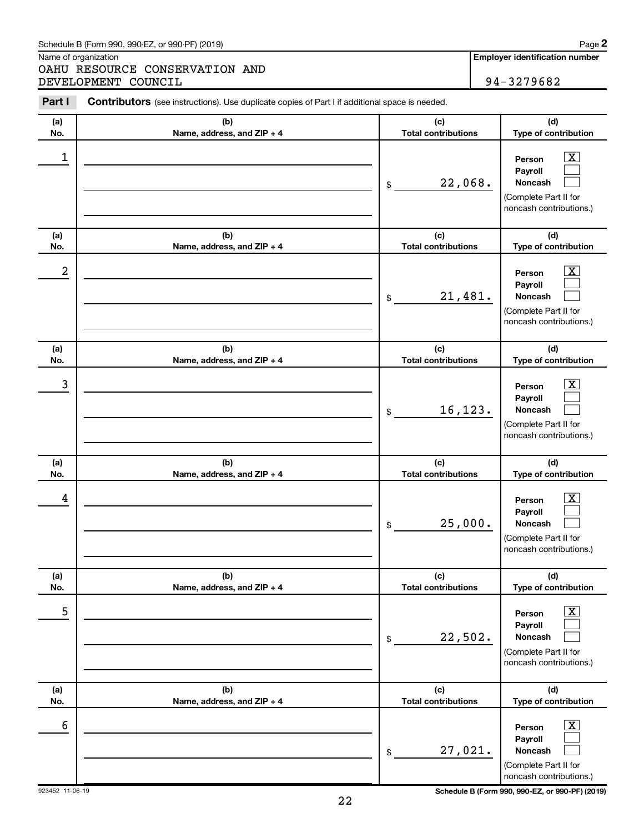#### Schedule B (Form 990, 990-EZ, or 990-PF) (2019)

Name of organization

OAHU RESOURCE CONSERVATION AND DEVELOPMENT COUNCIL 34-3279682

| Part I     | Contributors (see instructions). Use duplicate copies of Part I if additional space is needed. |                                             |                                                                                                                                     |  |  |
|------------|------------------------------------------------------------------------------------------------|---------------------------------------------|-------------------------------------------------------------------------------------------------------------------------------------|--|--|
| (a)        | (b)                                                                                            | (c)                                         | (d)                                                                                                                                 |  |  |
| No.        | Name, address, and ZIP + 4                                                                     | <b>Total contributions</b>                  | Type of contribution                                                                                                                |  |  |
| 1          |                                                                                                | 22,068.<br>\$                               | $\overline{\text{X}}$<br>Person<br>Payroll<br>Noncash<br>(Complete Part II for<br>noncash contributions.)                           |  |  |
| (a)<br>No. | (b)<br>Name, address, and ZIP + 4                                                              | (c)<br><b>Total contributions</b>           | (d)<br>Type of contribution                                                                                                         |  |  |
| 2          |                                                                                                | 21,481.<br>\$                               | $\overline{\text{X}}$<br>Person<br>Payroll<br>Noncash<br>(Complete Part II for<br>noncash contributions.)                           |  |  |
| (a)<br>No. | (b)<br>Name, address, and ZIP + 4                                                              | (c)<br><b>Total contributions</b>           | (d)<br>Type of contribution                                                                                                         |  |  |
| 3          |                                                                                                | 16,123.<br>\$                               | $\overline{\text{X}}$<br>Person<br>Payroll<br>Noncash<br>(Complete Part II for<br>noncash contributions.)                           |  |  |
| (a)        | (b)                                                                                            | (c)                                         | (d)                                                                                                                                 |  |  |
| No.<br>4   | Name, address, and ZIP + 4                                                                     | <b>Total contributions</b><br>25,000.<br>\$ | Type of contribution<br>$\overline{\mathbf{X}}$<br>Person<br>Payroll<br>Noncash<br>(Complete Part II for<br>noncash contributions.) |  |  |
| (a)        | (b)                                                                                            | (c)<br><b>Total contributions</b>           | (d)<br>Type of contribution                                                                                                         |  |  |
| No.<br>5   | Name, address, and ZIP + 4                                                                     | 22,502.<br>\$                               | $\overline{\textbf{X}}$<br>Person<br>Payroll<br>Noncash<br>(Complete Part II for<br>noncash contributions.)                         |  |  |
| (a)        | (b)                                                                                            | (c)<br><b>Total contributions</b>           | (d)                                                                                                                                 |  |  |
| No.<br>6   | Name, address, and ZIP + 4                                                                     | 27,021.<br>\$                               | Type of contribution<br>$\overline{\text{X}}$<br>Person<br>Payroll<br>Noncash<br>(Complete Part II for<br>noncash contributions.)   |  |  |

923452 11-06-19 **Schedule B (Form 990, 990-EZ, or 990-PF) (2019)**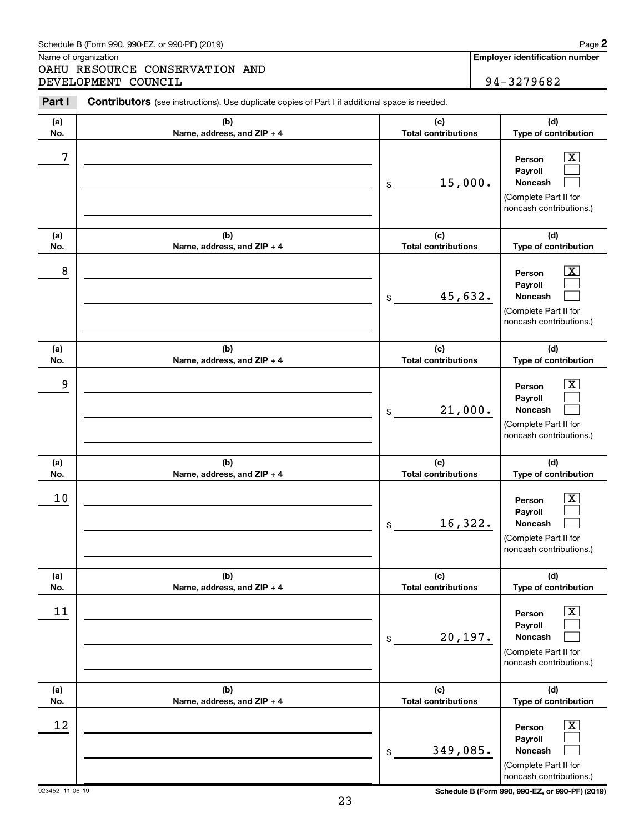#### Schedule B (Form 990, 990-EZ, or 990-PF) (2019)

Name of organization

OAHU RESOURCE CONSERVATION AND DEVELOPMENT COUNCIL 34-3279682

| Part I     | Contributors (see instructions). Use duplicate copies of Part I if additional space is needed. |                                             |                                                                                                                                  |  |  |
|------------|------------------------------------------------------------------------------------------------|---------------------------------------------|----------------------------------------------------------------------------------------------------------------------------------|--|--|
| (a)        | (b)                                                                                            | (c)                                         | (d)                                                                                                                              |  |  |
| No.<br>7   | Name, address, and ZIP + 4                                                                     | <b>Total contributions</b><br>15,000.<br>\$ | Type of contribution<br>$\boxed{\textbf{X}}$<br>Person<br>Payroll<br>Noncash<br>(Complete Part II for                            |  |  |
| (a)<br>No. | (b)<br>Name, address, and ZIP + 4                                                              | (c)<br><b>Total contributions</b>           | noncash contributions.)<br>(d)<br>Type of contribution                                                                           |  |  |
| 8          |                                                                                                | 45,632.<br>\$                               | $\boxed{\textbf{X}}$<br>Person<br>Payroll<br>Noncash<br>(Complete Part II for<br>noncash contributions.)                         |  |  |
| (a)<br>No. | (b)<br>Name, address, and ZIP + 4                                                              | (c)<br><b>Total contributions</b>           | (d)<br>Type of contribution                                                                                                      |  |  |
| 9          |                                                                                                | 21,000.<br>\$                               | $\boxed{\textbf{X}}$<br>Person<br>Payroll<br>Noncash<br>(Complete Part II for<br>noncash contributions.)                         |  |  |
| (a)        | (b)                                                                                            | (c)<br><b>Total contributions</b>           | (d)                                                                                                                              |  |  |
| No.<br>10  | Name, address, and ZIP + 4                                                                     | 16,322.<br>\$                               | Type of contribution<br>$\boxed{\textbf{X}}$<br>Person<br>Payroll<br>Noncash<br>(Complete Part II for<br>noncash contributions.) |  |  |
| (a)<br>No. | (b)<br>Name, address, and ZIP + 4                                                              | (c)<br><b>Total contributions</b>           | (d)<br>Type of contribution                                                                                                      |  |  |
| 11         |                                                                                                | 20,197.<br>\$                               | $\boxed{\textbf{X}}$<br>Person<br>Payroll<br>Noncash<br>(Complete Part II for<br>noncash contributions.)                         |  |  |
| (a)<br>No. | (b)<br>Name, address, and ZIP + 4                                                              | (c)<br><b>Total contributions</b>           | (d)<br>Type of contribution                                                                                                      |  |  |
| 12         |                                                                                                | 349,085.<br>\$                              | $\boxed{\textbf{X}}$<br>Person<br>Payroll<br>Noncash<br>(Complete Part II for<br>noncash contributions.)                         |  |  |

923452 11-06-19 **Schedule B (Form 990, 990-EZ, or 990-PF) (2019)**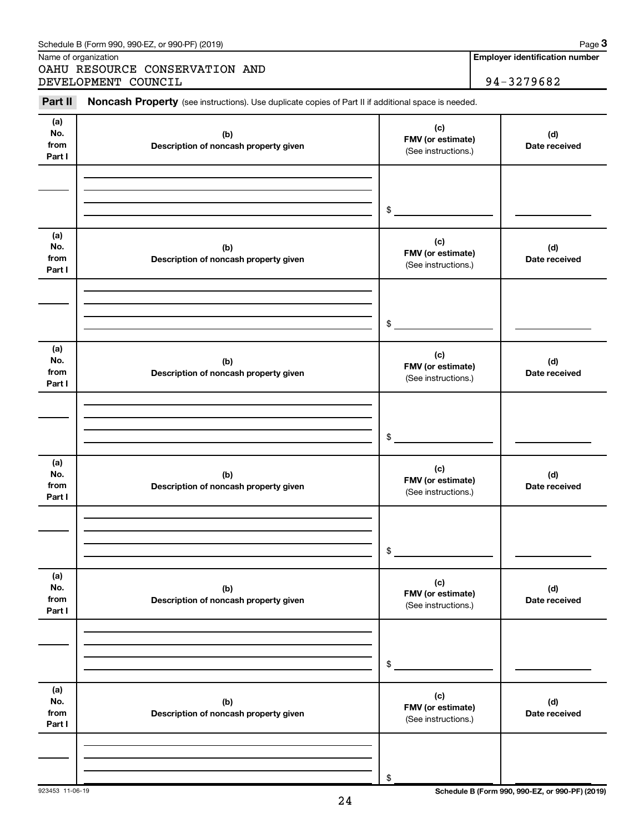| (a)<br>No.<br>from<br>Part I | (b)<br>Description of noncash property given | (c)<br>FMV (or estimate)<br>(See instructions.) | (d)<br>Date received |
|------------------------------|----------------------------------------------|-------------------------------------------------|----------------------|
|                              |                                              | $\frac{1}{2}$                                   |                      |
| (a)<br>No.<br>from<br>Part I | (b)<br>Description of noncash property given | (c)<br>FMV (or estimate)<br>(See instructions.) | (d)<br>Date received |
|                              |                                              | $\mathfrak{S}$                                  |                      |
| (a)<br>No.<br>from<br>Part I | (b)<br>Description of noncash property given | (c)<br>FMV (or estimate)<br>(See instructions.) | (d)<br>Date received |
|                              |                                              | $\frac{1}{2}$                                   |                      |
| (a)<br>No.<br>from<br>Part I | (b)<br>Description of noncash property given | (c)<br>FMV (or estimate)<br>(See instructions.) | (d)<br>Date received |
|                              |                                              | $\frac{1}{2}$                                   |                      |
| (a)<br>No.<br>from<br>Part I | (b)<br>Description of noncash property given | (c)<br>FMV (or estimate)<br>(See instructions.) | (d)<br>Date received |
|                              |                                              | \$                                              |                      |
| (a)<br>No.<br>from<br>Part I | (b)<br>Description of noncash property given | (c)<br>FMV (or estimate)<br>(See instructions.) | (d)<br>Date received |

Part II Noncash Property (see instructions). Use duplicate copies of Part II if additional space is needed.

Name of organization

OAHU RESOURCE CONSERVATION AND DEVELOPMENT COUNCIL 34-3279682

**Employer identification number**

923453 11-06-19 **Schedule B (Form 990, 990-EZ, or 990-PF) (2019)**

\$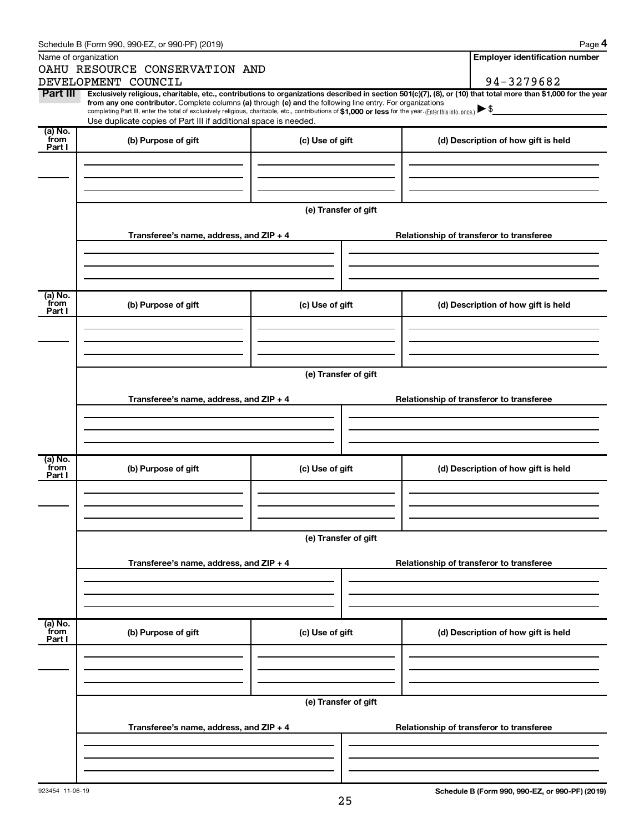|                           | Schedule B (Form 990, 990-EZ, or 990-PF) (2019)                                                                                                                                                                                                                              |                      |  |                                          | Page 4                                   |  |  |
|---------------------------|------------------------------------------------------------------------------------------------------------------------------------------------------------------------------------------------------------------------------------------------------------------------------|----------------------|--|------------------------------------------|------------------------------------------|--|--|
|                           | Name of organization                                                                                                                                                                                                                                                         |                      |  |                                          | <b>Employer identification number</b>    |  |  |
|                           | OAHU RESOURCE CONSERVATION AND                                                                                                                                                                                                                                               |                      |  |                                          |                                          |  |  |
|                           | DEVELOPMENT COUNCIL                                                                                                                                                                                                                                                          |                      |  |                                          | 94-3279682                               |  |  |
| Part III                  | Exclusively religious, charitable, etc., contributions to organizations described in section 501(c)(7), (8), or (10) that total more than \$1,000 for the year<br>from any one contributor. Complete columns (a) through (e) and the following line entry. For organizations |                      |  |                                          |                                          |  |  |
|                           | completing Part III, enter the total of exclusively religious, charitable, etc., contributions of \$1,000 or less for the year. (Enter this info. once.)                                                                                                                     |                      |  |                                          |                                          |  |  |
| (a) No.                   | Use duplicate copies of Part III if additional space is needed.                                                                                                                                                                                                              |                      |  |                                          |                                          |  |  |
| from                      | (b) Purpose of gift                                                                                                                                                                                                                                                          | (c) Use of gift      |  |                                          | (d) Description of how gift is held      |  |  |
| Part I                    |                                                                                                                                                                                                                                                                              |                      |  |                                          |                                          |  |  |
|                           |                                                                                                                                                                                                                                                                              |                      |  |                                          |                                          |  |  |
|                           |                                                                                                                                                                                                                                                                              |                      |  |                                          |                                          |  |  |
|                           |                                                                                                                                                                                                                                                                              |                      |  |                                          |                                          |  |  |
|                           |                                                                                                                                                                                                                                                                              | (e) Transfer of gift |  |                                          |                                          |  |  |
|                           |                                                                                                                                                                                                                                                                              |                      |  |                                          |                                          |  |  |
|                           | Transferee's name, address, and ZIP + 4                                                                                                                                                                                                                                      |                      |  |                                          | Relationship of transferor to transferee |  |  |
|                           |                                                                                                                                                                                                                                                                              |                      |  |                                          |                                          |  |  |
|                           |                                                                                                                                                                                                                                                                              |                      |  |                                          |                                          |  |  |
|                           |                                                                                                                                                                                                                                                                              |                      |  |                                          |                                          |  |  |
| (a) No.                   |                                                                                                                                                                                                                                                                              |                      |  |                                          |                                          |  |  |
| from<br>Part I            | (b) Purpose of gift                                                                                                                                                                                                                                                          | (c) Use of gift      |  |                                          | (d) Description of how gift is held      |  |  |
|                           |                                                                                                                                                                                                                                                                              |                      |  |                                          |                                          |  |  |
|                           |                                                                                                                                                                                                                                                                              |                      |  |                                          |                                          |  |  |
|                           |                                                                                                                                                                                                                                                                              |                      |  |                                          |                                          |  |  |
|                           |                                                                                                                                                                                                                                                                              |                      |  |                                          |                                          |  |  |
|                           | (e) Transfer of gift                                                                                                                                                                                                                                                         |                      |  |                                          |                                          |  |  |
|                           |                                                                                                                                                                                                                                                                              |                      |  |                                          |                                          |  |  |
|                           | Transferee's name, address, and ZIP + 4                                                                                                                                                                                                                                      |                      |  |                                          | Relationship of transferor to transferee |  |  |
|                           |                                                                                                                                                                                                                                                                              |                      |  |                                          |                                          |  |  |
|                           |                                                                                                                                                                                                                                                                              |                      |  |                                          |                                          |  |  |
|                           |                                                                                                                                                                                                                                                                              |                      |  |                                          |                                          |  |  |
| (a) No.<br>from           | (b) Purpose of gift                                                                                                                                                                                                                                                          | (c) Use of gift      |  |                                          |                                          |  |  |
| Part I                    |                                                                                                                                                                                                                                                                              |                      |  |                                          | (d) Description of how gift is held      |  |  |
|                           |                                                                                                                                                                                                                                                                              |                      |  |                                          |                                          |  |  |
|                           |                                                                                                                                                                                                                                                                              |                      |  |                                          |                                          |  |  |
|                           |                                                                                                                                                                                                                                                                              |                      |  |                                          |                                          |  |  |
|                           |                                                                                                                                                                                                                                                                              |                      |  |                                          |                                          |  |  |
|                           | (e) Transfer of gift                                                                                                                                                                                                                                                         |                      |  |                                          |                                          |  |  |
|                           | Transferee's name, address, and ZIP + 4                                                                                                                                                                                                                                      |                      |  | Relationship of transferor to transferee |                                          |  |  |
|                           |                                                                                                                                                                                                                                                                              |                      |  |                                          |                                          |  |  |
|                           |                                                                                                                                                                                                                                                                              |                      |  |                                          |                                          |  |  |
|                           |                                                                                                                                                                                                                                                                              |                      |  |                                          |                                          |  |  |
|                           |                                                                                                                                                                                                                                                                              |                      |  |                                          |                                          |  |  |
| (a) No.<br>from<br>Part I | (b) Purpose of gift                                                                                                                                                                                                                                                          | (c) Use of gift      |  |                                          | (d) Description of how gift is held      |  |  |
|                           |                                                                                                                                                                                                                                                                              |                      |  |                                          |                                          |  |  |
|                           |                                                                                                                                                                                                                                                                              |                      |  |                                          |                                          |  |  |
|                           |                                                                                                                                                                                                                                                                              |                      |  |                                          |                                          |  |  |
|                           |                                                                                                                                                                                                                                                                              |                      |  |                                          |                                          |  |  |
|                           |                                                                                                                                                                                                                                                                              | (e) Transfer of gift |  |                                          |                                          |  |  |
|                           |                                                                                                                                                                                                                                                                              |                      |  |                                          |                                          |  |  |
|                           | Transferee's name, address, and $ZIP + 4$                                                                                                                                                                                                                                    |                      |  |                                          | Relationship of transferor to transferee |  |  |
|                           |                                                                                                                                                                                                                                                                              |                      |  |                                          |                                          |  |  |
|                           |                                                                                                                                                                                                                                                                              |                      |  |                                          |                                          |  |  |
|                           |                                                                                                                                                                                                                                                                              |                      |  |                                          |                                          |  |  |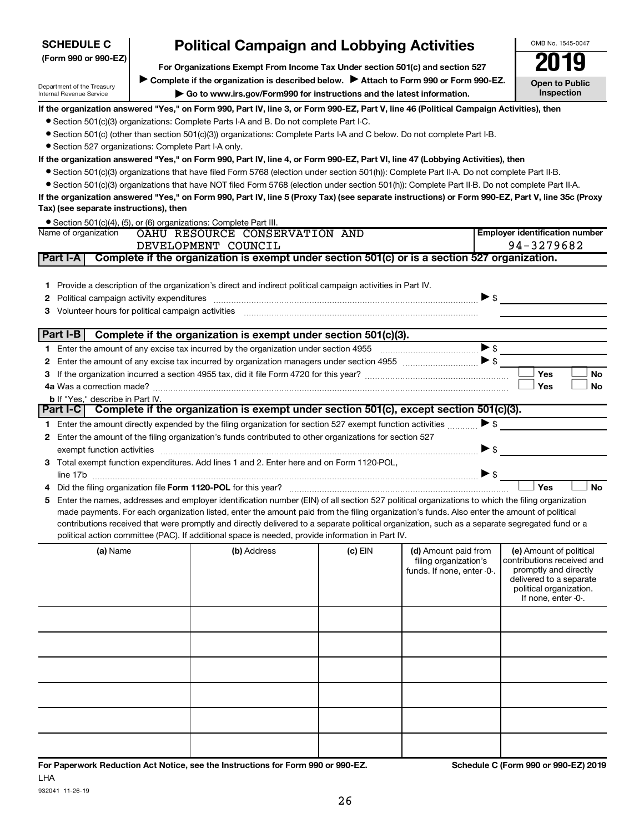| (Form 990 or 990-EZ)                                                                                                                    |                                                                                                                                                                                                         | For Organizations Exempt From Income Tax Under section 501(c) and section 527                                                                                                                                                                                                                                                                                                                                                                                                                                                                        |           |                                                                             | 2019                                                                                                                                                        |  |  |  |
|-----------------------------------------------------------------------------------------------------------------------------------------|---------------------------------------------------------------------------------------------------------------------------------------------------------------------------------------------------------|------------------------------------------------------------------------------------------------------------------------------------------------------------------------------------------------------------------------------------------------------------------------------------------------------------------------------------------------------------------------------------------------------------------------------------------------------------------------------------------------------------------------------------------------------|-----------|-----------------------------------------------------------------------------|-------------------------------------------------------------------------------------------------------------------------------------------------------------|--|--|--|
|                                                                                                                                         |                                                                                                                                                                                                         |                                                                                                                                                                                                                                                                                                                                                                                                                                                                                                                                                      |           |                                                                             |                                                                                                                                                             |  |  |  |
| Department of the Treasury<br>Internal Revenue Service                                                                                  | Complete if the organization is described below.<br>Attach to Form 990 or Form 990-EZ.<br><b>Open to Public</b><br>Inspection<br>Go to www.irs.gov/Form990 for instructions and the latest information. |                                                                                                                                                                                                                                                                                                                                                                                                                                                                                                                                                      |           |                                                                             |                                                                                                                                                             |  |  |  |
| If the organization answered "Yes," on Form 990, Part IV, line 3, or Form 990-EZ, Part V, line 46 (Political Campaign Activities), then |                                                                                                                                                                                                         |                                                                                                                                                                                                                                                                                                                                                                                                                                                                                                                                                      |           |                                                                             |                                                                                                                                                             |  |  |  |
|                                                                                                                                         |                                                                                                                                                                                                         | • Section 501(c)(3) organizations: Complete Parts I-A and B. Do not complete Part I-C.                                                                                                                                                                                                                                                                                                                                                                                                                                                               |           |                                                                             |                                                                                                                                                             |  |  |  |
|                                                                                                                                         |                                                                                                                                                                                                         | • Section 501(c) (other than section 501(c)(3)) organizations: Complete Parts I-A and C below. Do not complete Part I-B.                                                                                                                                                                                                                                                                                                                                                                                                                             |           |                                                                             |                                                                                                                                                             |  |  |  |
| • Section 527 organizations: Complete Part I-A only.                                                                                    |                                                                                                                                                                                                         |                                                                                                                                                                                                                                                                                                                                                                                                                                                                                                                                                      |           |                                                                             |                                                                                                                                                             |  |  |  |
|                                                                                                                                         |                                                                                                                                                                                                         | If the organization answered "Yes," on Form 990, Part IV, line 4, or Form 990-EZ, Part VI, line 47 (Lobbying Activities), then                                                                                                                                                                                                                                                                                                                                                                                                                       |           |                                                                             |                                                                                                                                                             |  |  |  |
|                                                                                                                                         |                                                                                                                                                                                                         | • Section 501(c)(3) organizations that have filed Form 5768 (election under section 501(h)): Complete Part II-A. Do not complete Part II-B.                                                                                                                                                                                                                                                                                                                                                                                                          |           |                                                                             |                                                                                                                                                             |  |  |  |
|                                                                                                                                         |                                                                                                                                                                                                         | • Section 501(c)(3) organizations that have NOT filed Form 5768 (election under section 501(h)): Complete Part II-B. Do not complete Part II-A.                                                                                                                                                                                                                                                                                                                                                                                                      |           |                                                                             |                                                                                                                                                             |  |  |  |
| Tax) (see separate instructions), then                                                                                                  |                                                                                                                                                                                                         | If the organization answered "Yes," on Form 990, Part IV, line 5 (Proxy Tax) (see separate instructions) or Form 990-EZ, Part V, line 35c (Proxy                                                                                                                                                                                                                                                                                                                                                                                                     |           |                                                                             |                                                                                                                                                             |  |  |  |
|                                                                                                                                         |                                                                                                                                                                                                         | • Section 501(c)(4), (5), or (6) organizations: Complete Part III.                                                                                                                                                                                                                                                                                                                                                                                                                                                                                   |           |                                                                             |                                                                                                                                                             |  |  |  |
| Name of organization                                                                                                                    |                                                                                                                                                                                                         | OAHU RESOURCE CONSERVATION AND                                                                                                                                                                                                                                                                                                                                                                                                                                                                                                                       |           |                                                                             | <b>Employer identification number</b>                                                                                                                       |  |  |  |
|                                                                                                                                         |                                                                                                                                                                                                         | DEVELOPMENT COUNCIL                                                                                                                                                                                                                                                                                                                                                                                                                                                                                                                                  |           |                                                                             | 94-3279682                                                                                                                                                  |  |  |  |
| Part I-A                                                                                                                                |                                                                                                                                                                                                         | Complete if the organization is exempt under section 501(c) or is a section 527 organization.                                                                                                                                                                                                                                                                                                                                                                                                                                                        |           |                                                                             |                                                                                                                                                             |  |  |  |
| 1.<br>2<br>з                                                                                                                            |                                                                                                                                                                                                         | Provide a description of the organization's direct and indirect political campaign activities in Part IV.<br>Volunteer hours for political campaign activities [11] www.communicallynews.communicallyness.com                                                                                                                                                                                                                                                                                                                                        |           |                                                                             | $\triangleright$ \$                                                                                                                                         |  |  |  |
| Part I-B                                                                                                                                |                                                                                                                                                                                                         | Complete if the organization is exempt under section 501(c)(3).                                                                                                                                                                                                                                                                                                                                                                                                                                                                                      |           |                                                                             |                                                                                                                                                             |  |  |  |
| 1.                                                                                                                                      |                                                                                                                                                                                                         |                                                                                                                                                                                                                                                                                                                                                                                                                                                                                                                                                      |           |                                                                             | $\blacktriangleright$ s                                                                                                                                     |  |  |  |
| 2                                                                                                                                       |                                                                                                                                                                                                         |                                                                                                                                                                                                                                                                                                                                                                                                                                                                                                                                                      |           |                                                                             |                                                                                                                                                             |  |  |  |
|                                                                                                                                         |                                                                                                                                                                                                         |                                                                                                                                                                                                                                                                                                                                                                                                                                                                                                                                                      |           |                                                                             | Yes<br><b>No</b>                                                                                                                                            |  |  |  |
| з                                                                                                                                       |                                                                                                                                                                                                         |                                                                                                                                                                                                                                                                                                                                                                                                                                                                                                                                                      |           |                                                                             | <b>Yes</b><br>No                                                                                                                                            |  |  |  |
| <b>b</b> If "Yes," describe in Part IV.                                                                                                 |                                                                                                                                                                                                         |                                                                                                                                                                                                                                                                                                                                                                                                                                                                                                                                                      |           |                                                                             |                                                                                                                                                             |  |  |  |
|                                                                                                                                         |                                                                                                                                                                                                         | Part I-C Complete if the organization is exempt under section 501(c), except section 501(c)(3).                                                                                                                                                                                                                                                                                                                                                                                                                                                      |           |                                                                             |                                                                                                                                                             |  |  |  |
| 1.                                                                                                                                      |                                                                                                                                                                                                         | Enter the amount directly expended by the filing organization for section 527 exempt function activities                                                                                                                                                                                                                                                                                                                                                                                                                                             |           |                                                                             | $\triangleright$ s                                                                                                                                          |  |  |  |
| 2                                                                                                                                       |                                                                                                                                                                                                         | Enter the amount of the filing organization's funds contributed to other organizations for section 527                                                                                                                                                                                                                                                                                                                                                                                                                                               |           |                                                                             |                                                                                                                                                             |  |  |  |
|                                                                                                                                         |                                                                                                                                                                                                         |                                                                                                                                                                                                                                                                                                                                                                                                                                                                                                                                                      |           |                                                                             | $\triangleright$ s                                                                                                                                          |  |  |  |
| 3                                                                                                                                       |                                                                                                                                                                                                         | exempt function activities [1111] www.material.com/material.com/material.com/material.com/material.com/material.com/material.com/material.com/material.com/material.com/material.com/material.com/material.com/material.com/ma<br>Total exempt function expenditures. Add lines 1 and 2. Enter here and on Form 1120-POL,                                                                                                                                                                                                                            |           |                                                                             |                                                                                                                                                             |  |  |  |
|                                                                                                                                         |                                                                                                                                                                                                         |                                                                                                                                                                                                                                                                                                                                                                                                                                                                                                                                                      |           |                                                                             | $\blacktriangleright$ \$                                                                                                                                    |  |  |  |
|                                                                                                                                         |                                                                                                                                                                                                         |                                                                                                                                                                                                                                                                                                                                                                                                                                                                                                                                                      |           |                                                                             | Yes<br><b>No</b>                                                                                                                                            |  |  |  |
|                                                                                                                                         |                                                                                                                                                                                                         |                                                                                                                                                                                                                                                                                                                                                                                                                                                                                                                                                      |           |                                                                             |                                                                                                                                                             |  |  |  |
| 5                                                                                                                                       |                                                                                                                                                                                                         | Enter the names, addresses and employer identification number (EIN) of all section 527 political organizations to which the filing organization<br>made payments. For each organization listed, enter the amount paid from the filing organization's funds. Also enter the amount of political<br>contributions received that were promptly and directly delivered to a separate political organization, such as a separate segregated fund or a<br>political action committee (PAC). If additional space is needed, provide information in Part IV. |           |                                                                             |                                                                                                                                                             |  |  |  |
| (a) Name                                                                                                                                |                                                                                                                                                                                                         | (b) Address                                                                                                                                                                                                                                                                                                                                                                                                                                                                                                                                          | $(c)$ EIN | (d) Amount paid from<br>filing organization's<br>funds. If none, enter -0-. | (e) Amount of political<br>contributions received and<br>promptly and directly<br>delivered to a separate<br>political organization.<br>If none, enter -0-. |  |  |  |
|                                                                                                                                         |                                                                                                                                                                                                         |                                                                                                                                                                                                                                                                                                                                                                                                                                                                                                                                                      |           |                                                                             |                                                                                                                                                             |  |  |  |
|                                                                                                                                         |                                                                                                                                                                                                         |                                                                                                                                                                                                                                                                                                                                                                                                                                                                                                                                                      |           |                                                                             |                                                                                                                                                             |  |  |  |
|                                                                                                                                         |                                                                                                                                                                                                         |                                                                                                                                                                                                                                                                                                                                                                                                                                                                                                                                                      |           |                                                                             |                                                                                                                                                             |  |  |  |
|                                                                                                                                         |                                                                                                                                                                                                         |                                                                                                                                                                                                                                                                                                                                                                                                                                                                                                                                                      |           |                                                                             |                                                                                                                                                             |  |  |  |
|                                                                                                                                         |                                                                                                                                                                                                         |                                                                                                                                                                                                                                                                                                                                                                                                                                                                                                                                                      |           |                                                                             |                                                                                                                                                             |  |  |  |
|                                                                                                                                         |                                                                                                                                                                                                         |                                                                                                                                                                                                                                                                                                                                                                                                                                                                                                                                                      |           |                                                                             |                                                                                                                                                             |  |  |  |

**SCHEDULE C**

OMB No. 1545-0047 **Political Campaign and Lobbying Activities**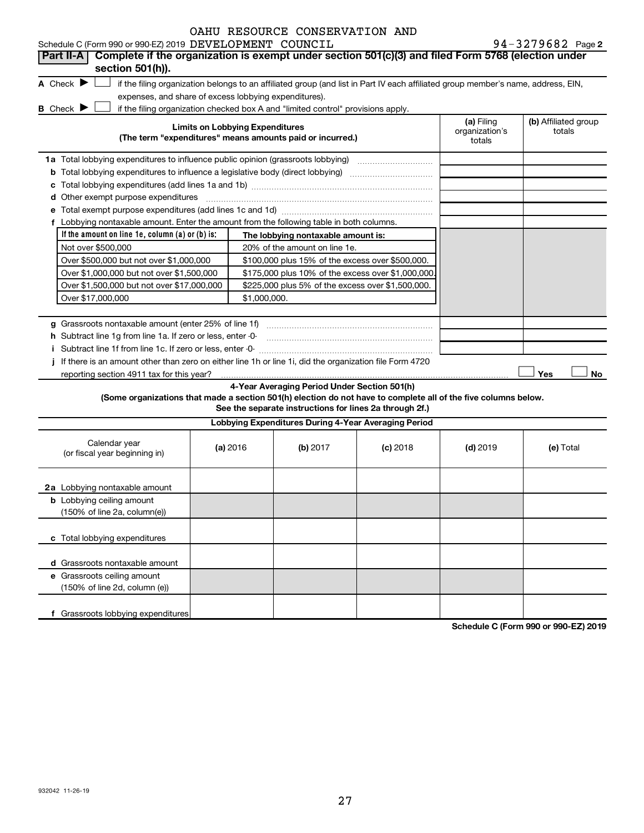|  | OAHU RESOURCE CONSERVATION AND |  |
|--|--------------------------------|--|
|  |                                |  |

|                                      |                                                             | <b>OAHU RESOURCE CONSERVATION AND</b>                                                                                                                                     |                                        |                                |  |  |  |
|--------------------------------------|-------------------------------------------------------------|---------------------------------------------------------------------------------------------------------------------------------------------------------------------------|----------------------------------------|--------------------------------|--|--|--|
|                                      | Schedule C (Form 990 or 990-EZ) 2019 DEVELOPMENT COUNCIL    |                                                                                                                                                                           |                                        | 94-3279682 Page 2              |  |  |  |
| Part II-A                            |                                                             | Complete if the organization is exempt under section 501(c)(3) and filed Form 5768 (election under                                                                        |                                        |                                |  |  |  |
|                                      | section 501(h)).                                            |                                                                                                                                                                           |                                        |                                |  |  |  |
| A Check $\blacktriangleright$        |                                                             | if the filing organization belongs to an affiliated group (and list in Part IV each affiliated group member's name, address, EIN,                                         |                                        |                                |  |  |  |
|                                      | expenses, and share of excess lobbying expenditures).       |                                                                                                                                                                           |                                        |                                |  |  |  |
| <b>B</b> Check $\blacktriangleright$ |                                                             | if the filing organization checked box A and "limited control" provisions apply.                                                                                          |                                        |                                |  |  |  |
|                                      |                                                             | <b>Limits on Lobbying Expenditures</b><br>(The term "expenditures" means amounts paid or incurred.)                                                                       | (a) Filing<br>organization's<br>totals | (b) Affiliated group<br>totals |  |  |  |
|                                      |                                                             | 1a Total lobbying expenditures to influence public opinion (grassroots lobbying) [[[[[[[[[[[[[[[[[[[[[[[[[[[[                                                             |                                        |                                |  |  |  |
|                                      |                                                             | <b>b</b> Total lobbying expenditures to influence a legislative body (direct lobbying) <i>manumumumum</i>                                                                 |                                        |                                |  |  |  |
| с                                    |                                                             |                                                                                                                                                                           |                                        |                                |  |  |  |
| d                                    | Other exempt purpose expenditures                           |                                                                                                                                                                           |                                        |                                |  |  |  |
|                                      |                                                             |                                                                                                                                                                           |                                        |                                |  |  |  |
| f                                    |                                                             | Lobbying nontaxable amount. Enter the amount from the following table in both columns.                                                                                    |                                        |                                |  |  |  |
|                                      | If the amount on line 1e, column $(a)$ or $(b)$ is;         | The lobbying nontaxable amount is:                                                                                                                                        |                                        |                                |  |  |  |
|                                      | Not over \$500,000                                          | 20% of the amount on line 1e.                                                                                                                                             |                                        |                                |  |  |  |
|                                      | Over \$500,000 but not over \$1,000,000                     | \$100,000 plus 15% of the excess over \$500,000.                                                                                                                          |                                        |                                |  |  |  |
|                                      | Over \$1,000,000 but not over \$1,500,000                   | \$175,000 plus 10% of the excess over \$1,000,000.                                                                                                                        |                                        |                                |  |  |  |
|                                      | Over \$1,500,000 but not over \$17,000,000                  | \$225,000 plus 5% of the excess over \$1,500,000.                                                                                                                         |                                        |                                |  |  |  |
|                                      | Over \$17,000,000<br>\$1,000,000.                           |                                                                                                                                                                           |                                        |                                |  |  |  |
|                                      |                                                             |                                                                                                                                                                           |                                        |                                |  |  |  |
| a                                    | Grassroots nontaxable amount (enter 25% of line 1f)         |                                                                                                                                                                           |                                        |                                |  |  |  |
|                                      | h Subtract line 1g from line 1a. If zero or less, enter -0- |                                                                                                                                                                           |                                        |                                |  |  |  |
|                                      |                                                             |                                                                                                                                                                           |                                        |                                |  |  |  |
|                                      |                                                             | If there is an amount other than zero on either line 1h or line 1i, did the organization file Form 4720                                                                   |                                        |                                |  |  |  |
|                                      |                                                             |                                                                                                                                                                           |                                        | Yes<br><b>No</b>               |  |  |  |
|                                      |                                                             | 4-Year Averaging Period Under Section 501(h)                                                                                                                              |                                        |                                |  |  |  |
|                                      |                                                             | (Some organizations that made a section 501(h) election do not have to complete all of the five columns below.<br>See the separate instructions for lines 2a through 2f.) |                                        |                                |  |  |  |
|                                      |                                                             | Lobbying Expenditures During 4-Year Averaging Period                                                                                                                      |                                        |                                |  |  |  |
|                                      |                                                             |                                                                                                                                                                           |                                        |                                |  |  |  |

| Calendar year<br>(or fiscal year beginning in)                                      | (a) 2016 | (b) 2017 | $(c)$ 2018 | $(d)$ 2019 | (e) Total |
|-------------------------------------------------------------------------------------|----------|----------|------------|------------|-----------|
| 2a Lobbying nontaxable amount                                                       |          |          |            |            |           |
| <b>b</b> Lobbying ceiling amount<br>$(150\% \text{ of line } 2a, \text{column}(e))$ |          |          |            |            |           |
| c Total lobbying expenditures                                                       |          |          |            |            |           |
| d Grassroots nontaxable amount                                                      |          |          |            |            |           |
| e Grassroots ceiling amount<br>(150% of line 2d, column (e))                        |          |          |            |            |           |
| Grassroots lobbying expenditures                                                    |          |          |            |            |           |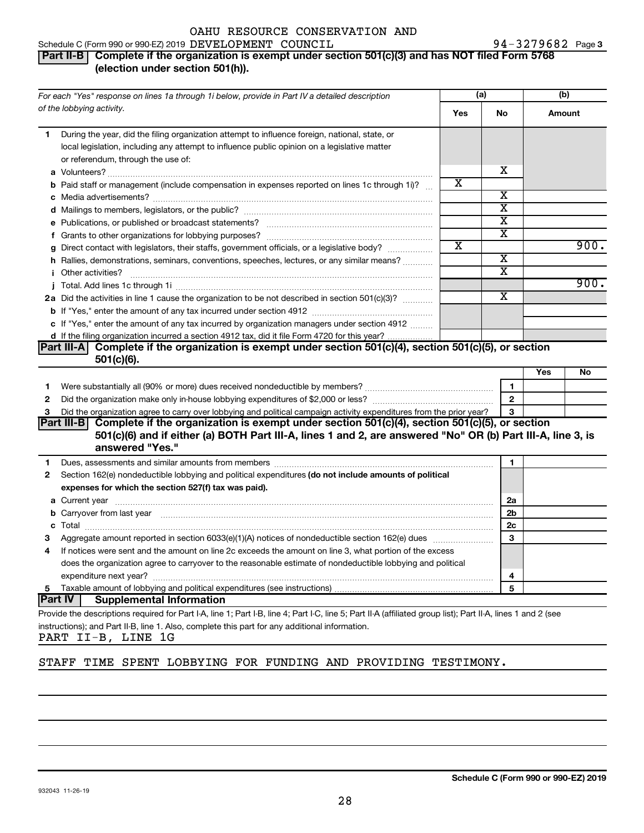### **Part II-B | Complete if the organization is exempt under section 501(c)(3) and has NOT filed Form 5768 (election under section 501(h)).**

| For each "Yes" response on lines 1a through 1i below, provide in Part IV a detailed description |                                                                                                                                                                                                                                      | (a) |                         | (b)    |      |
|-------------------------------------------------------------------------------------------------|--------------------------------------------------------------------------------------------------------------------------------------------------------------------------------------------------------------------------------------|-----|-------------------------|--------|------|
|                                                                                                 | of the lobbying activity.                                                                                                                                                                                                            | Yes | <b>No</b>               | Amount |      |
| 1.                                                                                              | During the year, did the filing organization attempt to influence foreign, national, state, or<br>local legislation, including any attempt to influence public opinion on a legislative matter<br>or referendum, through the use of: |     |                         |        |      |
|                                                                                                 |                                                                                                                                                                                                                                      |     | x                       |        |      |
|                                                                                                 | <b>b</b> Paid staff or management (include compensation in expenses reported on lines 1c through 1i)?                                                                                                                                | х   |                         |        |      |
|                                                                                                 |                                                                                                                                                                                                                                      |     | х                       |        |      |
|                                                                                                 |                                                                                                                                                                                                                                      |     | $\overline{\mathtt{x}}$ |        |      |
|                                                                                                 |                                                                                                                                                                                                                                      |     | x                       |        |      |
|                                                                                                 |                                                                                                                                                                                                                                      |     | X                       |        |      |
|                                                                                                 | g Direct contact with legislators, their staffs, government officials, or a legislative body?                                                                                                                                        | X   |                         |        | 900. |
|                                                                                                 | h Rallies, demonstrations, seminars, conventions, speeches, lectures, or any similar means?                                                                                                                                          |     | $\overline{\text{x}}$   |        |      |
|                                                                                                 | <i>i</i> Other activities?                                                                                                                                                                                                           |     | $\overline{\text{x}}$   |        |      |
|                                                                                                 |                                                                                                                                                                                                                                      |     |                         |        | 900. |
|                                                                                                 | 2a Did the activities in line 1 cause the organization to be not described in section 501(c)(3)?                                                                                                                                     |     | x                       |        |      |
|                                                                                                 |                                                                                                                                                                                                                                      |     |                         |        |      |
|                                                                                                 | c If "Yes," enter the amount of any tax incurred by organization managers under section 4912                                                                                                                                         |     |                         |        |      |
|                                                                                                 | d If the filing organization incurred a section 4912 tax, did it file Form 4720 for this year?                                                                                                                                       |     |                         |        |      |
|                                                                                                 | Complete if the organization is exempt under section 501(c)(4), section 501(c)(5), or section<br> Part III-A <br>$501(c)(6)$ .                                                                                                       |     |                         |        |      |
|                                                                                                 |                                                                                                                                                                                                                                      |     |                         | Yes    | No   |
| 1                                                                                               |                                                                                                                                                                                                                                      |     | 1.                      |        |      |
| 2                                                                                               |                                                                                                                                                                                                                                      |     | $\overline{2}$          |        |      |
| 3                                                                                               | Did the organization agree to carry over lobbying and political campaign activity expenditures from the prior year?                                                                                                                  |     | 3                       |        |      |
|                                                                                                 | Part III-B Complete if the organization is exempt under section 501(c)(4), section 501(c)(5), or section                                                                                                                             |     |                         |        |      |
|                                                                                                 | 501(c)(6) and if either (a) BOTH Part III-A, lines 1 and 2, are answered "No" OR (b) Part III-A, line 3, is                                                                                                                          |     |                         |        |      |
|                                                                                                 | answered "Yes."                                                                                                                                                                                                                      |     |                         |        |      |
| 1.                                                                                              |                                                                                                                                                                                                                                      |     | 1                       |        |      |
| 2                                                                                               | Section 162(e) nondeductible lobbying and political expenditures (do not include amounts of political                                                                                                                                |     |                         |        |      |
|                                                                                                 | expenses for which the section 527(f) tax was paid).                                                                                                                                                                                 |     |                         |        |      |
|                                                                                                 |                                                                                                                                                                                                                                      |     | 2a                      |        |      |
|                                                                                                 | b Carryover from last year manufactured and contract the contract of the contract of the contract of the contract of contract of contract of contract of contract of contract of contract of contract of contract of contract        | 2b  |                         |        |      |
|                                                                                                 |                                                                                                                                                                                                                                      | 2c  |                         |        |      |
| з                                                                                               |                                                                                                                                                                                                                                      |     | 3                       |        |      |
| 4                                                                                               | If notices were sent and the amount on line 2c exceeds the amount on line 3, what portion of the excess                                                                                                                              |     |                         |        |      |
|                                                                                                 | does the organization agree to carryover to the reasonable estimate of nondeductible lobbying and political                                                                                                                          |     |                         |        |      |
|                                                                                                 |                                                                                                                                                                                                                                      | 4   |                         |        |      |
| 5                                                                                               |                                                                                                                                                                                                                                      |     | 5                       |        |      |
|                                                                                                 | ∣Part IV<br><b>Supplemental Information</b>                                                                                                                                                                                          |     |                         |        |      |
|                                                                                                 | Provide the descriptions required for Part I-A, line 1; Part I-B, line 4; Part I-C, line 5; Part II-A (affiliated group list); Part II-A, lines 1 and 2 (see                                                                         |     |                         |        |      |
|                                                                                                 | instructions); and Part II-B, line 1. Also, complete this part for any additional information.                                                                                                                                       |     |                         |        |      |

PART II-B, LINE 1G

### STAFF TIME SPENT LOBBYING FOR FUNDING AND PROVIDING TESTIMONY.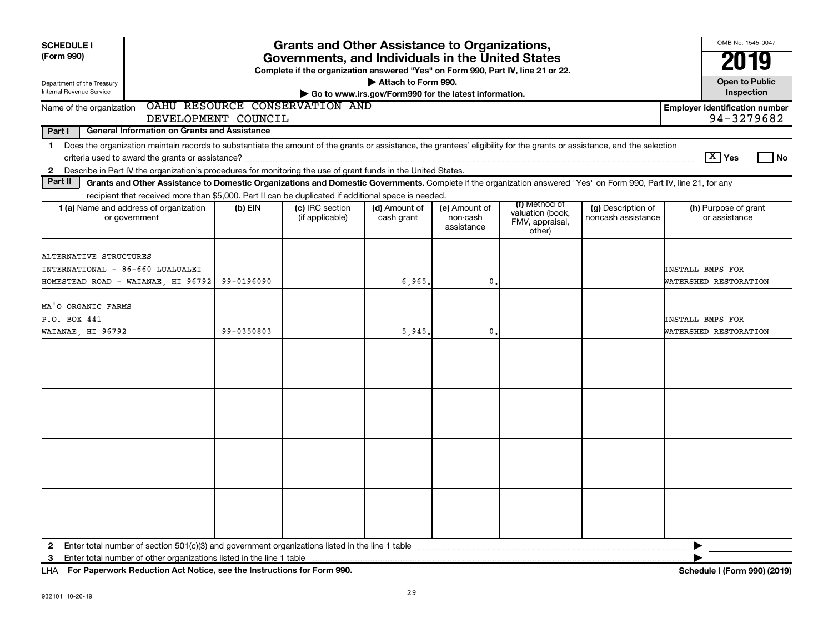| <b>SCHEDULE I</b><br><b>Grants and Other Assistance to Organizations,</b><br>(Form 990)<br>Governments, and Individuals in the United States<br>Complete if the organization answered "Yes" on Form 990, Part IV, line 21 or 22.<br>Attach to Form 990.<br>Department of the Treasury<br>Internal Revenue Service<br>Go to www.irs.gov/Form990 for the latest information. |                     |                                    |                             |                                         |                                                                |                                          |                                                     |
|----------------------------------------------------------------------------------------------------------------------------------------------------------------------------------------------------------------------------------------------------------------------------------------------------------------------------------------------------------------------------|---------------------|------------------------------------|-----------------------------|-----------------------------------------|----------------------------------------------------------------|------------------------------------------|-----------------------------------------------------|
| Name of the organization                                                                                                                                                                                                                                                                                                                                                   |                     | OAHU RESOURCE CONSERVATION AND     |                             |                                         |                                                                |                                          | Inspection<br><b>Employer identification number</b> |
|                                                                                                                                                                                                                                                                                                                                                                            | DEVELOPMENT COUNCIL |                                    |                             |                                         |                                                                |                                          | 94-3279682                                          |
| Part I<br><b>General Information on Grants and Assistance</b>                                                                                                                                                                                                                                                                                                              |                     |                                    |                             |                                         |                                                                |                                          |                                                     |
| Does the organization maintain records to substantiate the amount of the grants or assistance, the grantees' eligibility for the grants or assistance, and the selection<br>1<br>Describe in Part IV the organization's procedures for monitoring the use of grant funds in the United States.<br>$\mathbf{2}$                                                             |                     |                                    |                             |                                         |                                                                |                                          | $\boxed{\text{X}}$ Yes<br>  No                      |
| Part II<br>Grants and Other Assistance to Domestic Organizations and Domestic Governments. Complete if the organization answered "Yes" on Form 990, Part IV, line 21, for any                                                                                                                                                                                              |                     |                                    |                             |                                         |                                                                |                                          |                                                     |
| recipient that received more than \$5,000. Part II can be duplicated if additional space is needed.<br>1 (a) Name and address of organization<br>or government                                                                                                                                                                                                             | $(b)$ EIN           | (c) IRC section<br>(if applicable) | (d) Amount of<br>cash grant | (e) Amount of<br>non-cash<br>assistance | (f) Method of<br>valuation (book,<br>FMV, appraisal,<br>other) | (g) Description of<br>noncash assistance | (h) Purpose of grant<br>or assistance               |
| ALTERNATIVE STRUCTURES<br>INTERNATIONAL - 86-660 LUALUALEI<br>HOMESTEAD ROAD - WAIANAE, HI 96792                                                                                                                                                                                                                                                                           | 99-0196090          |                                    | 6,965.                      | $\mathbf 0$ .                           |                                                                |                                          | <b>INSTALL BMPS FOR</b><br>WATERSHED RESTORATION    |
| MA'O ORGANIC FARMS<br>P.O. BOX 441<br>WAIANAE, HI 96792                                                                                                                                                                                                                                                                                                                    | 99-0350803          |                                    | 5,945                       | $\mathbf{0}$                            |                                                                |                                          | <b>INSTALL BMPS FOR</b><br>WATERSHED RESTORATION    |
|                                                                                                                                                                                                                                                                                                                                                                            |                     |                                    |                             |                                         |                                                                |                                          |                                                     |
|                                                                                                                                                                                                                                                                                                                                                                            |                     |                                    |                             |                                         |                                                                |                                          |                                                     |
|                                                                                                                                                                                                                                                                                                                                                                            |                     |                                    |                             |                                         |                                                                |                                          |                                                     |
|                                                                                                                                                                                                                                                                                                                                                                            |                     |                                    |                             |                                         |                                                                |                                          |                                                     |
| Enter total number of other organizations listed in the line 1 table<br>3                                                                                                                                                                                                                                                                                                  |                     |                                    |                             |                                         |                                                                |                                          |                                                     |

**For Paperwork Reduction Act Notice, see the Instructions for Form 990. Schedule I (Form 990) (2019)** LHA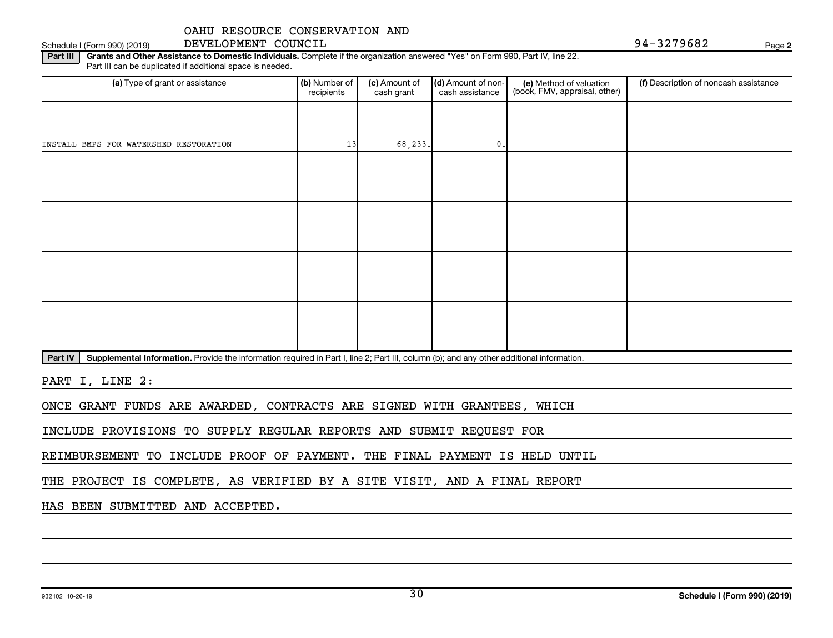Schedule I (Form 990) (2019) DEVELOPMENT COUNCIL (Schedule I (Form 990) (2019) Page

**2**

Part III | Grants and Other Assistance to Domestic Individuals. Complete if the organization answered "Yes" on Form 990, Part IV, line 22. Part III can be duplicated if additional space is needed.

| (a) Type of grant or assistance        | (b) Number of<br>recipients | (c) Amount of<br>cash grant | (d) Amount of non-<br>cash assistance | (e) Method of valuation<br>(book, FMV, appraisal, other) | (f) Description of noncash assistance |
|----------------------------------------|-----------------------------|-----------------------------|---------------------------------------|----------------------------------------------------------|---------------------------------------|
|                                        |                             |                             |                                       |                                                          |                                       |
| INSTALL BMPS FOR WATERSHED RESTORATION | 13                          | 68, 233.                    | $\mathbf{0}$ .                        |                                                          |                                       |
|                                        |                             |                             |                                       |                                                          |                                       |
|                                        |                             |                             |                                       |                                                          |                                       |
|                                        |                             |                             |                                       |                                                          |                                       |
|                                        |                             |                             |                                       |                                                          |                                       |
|                                        |                             |                             |                                       |                                                          |                                       |
|                                        |                             |                             |                                       |                                                          |                                       |
|                                        |                             |                             |                                       |                                                          |                                       |
|                                        |                             |                             |                                       |                                                          |                                       |

Part IV | Supplemental Information. Provide the information required in Part I, line 2; Part III, column (b); and any other additional information.

PART I, LINE 2:

ONCE GRANT FUNDS ARE AWARDED, CONTRACTS ARE SIGNED WITH GRANTEES, WHICH

INCLUDE PROVISIONS TO SUPPLY REGULAR REPORTS AND SUBMIT REQUEST FOR

REIMBURSEMENT TO INCLUDE PROOF OF PAYMENT. THE FINAL PAYMENT IS HELD UNTIL

THE PROJECT IS COMPLETE, AS VERIFIED BY A SITE VISIT, AND A FINAL REPORT

HAS BEEN SUBMITTED AND ACCEPTED.